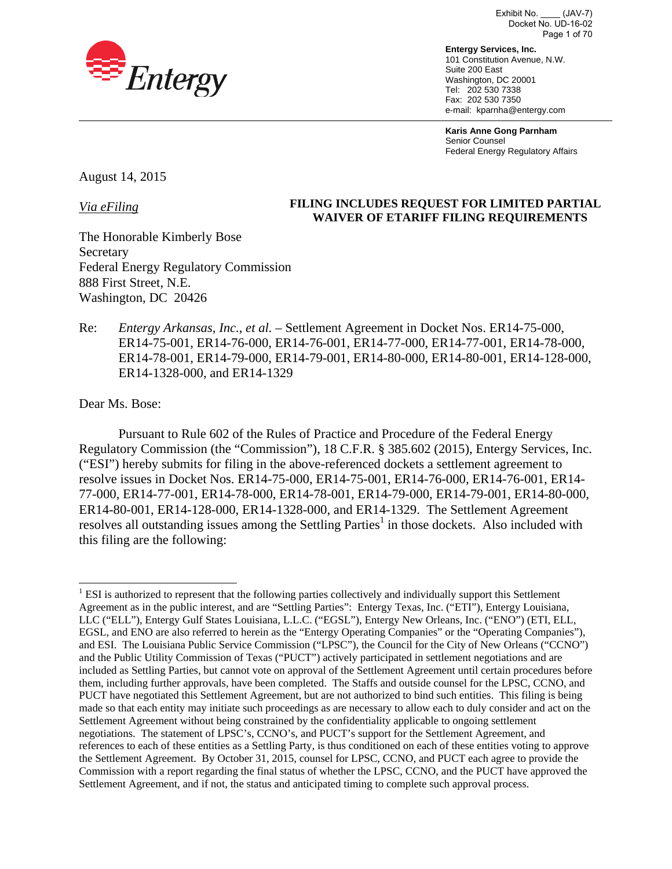

Exhibit No. \_\_\_\_ (JAV-7) Docket No. UD-16-02 Page 1 of 70

**Entergy Services, Inc.**  101 Constitution Avenue, N.W. Suite 200 East Washington, DC 20001 Tel: 202 530 7338 Fax: 202 530 7350 e-mail: kparnha@entergy.com

**Karis Anne Gong Parnham** Senior Counsel Federal Energy Regulatory Affairs

August 14, 2015

*Via eFiling* 

### **FILING INCLUDES REQUEST FOR LIMITED PARTIAL WAIVER OF ETARIFF FILING REQUIREMENTS**

The Honorable Kimberly Bose **Secretary** Federal Energy Regulatory Commission 888 First Street, N.E. Washington, DC 20426

Re: *Entergy Arkansas, Inc.*, *et al.* – Settlement Agreement in Docket Nos. ER14-75-000, ER14-75-001, ER14-76-000, ER14-76-001, ER14-77-000, ER14-77-001, ER14-78-000, ER14-78-001, ER14-79-000, ER14-79-001, ER14-80-000, ER14-80-001, ER14-128-000, ER14-1328-000, and ER14-1329

Dear Ms. Bose:

Pursuant to Rule 602 of the Rules of Practice and Procedure of the Federal Energy Regulatory Commission (the "Commission"), 18 C.F.R. § 385.602 (2015), Entergy Services, Inc. ("ESI") hereby submits for filing in the above-referenced dockets a settlement agreement to resolve issues in Docket Nos. ER14-75-000, ER14-75-001, ER14-76-000, ER14-76-001, ER14- 77-000, ER14-77-001, ER14-78-000, ER14-78-001, ER14-79-000, ER14-79-001, ER14-80-000, ER14-80-001, ER14-128-000, ER14-1328-000, and ER14-1329. The Settlement Agreement resolves all outstanding issues among the Settling Parties<sup>1</sup> in those dockets. Also included with this filing are the following:

 $\overline{a}$ <sup>1</sup> ESI is authorized to represent that the following parties collectively and individually support this Settlement Agreement as in the public interest, and are "Settling Parties": Entergy Texas, Inc. ("ETI"), Entergy Louisiana, LLC ("ELL"), Entergy Gulf States Louisiana, L.L.C. ("EGSL"), Entergy New Orleans, Inc. ("ENO") (ETI, ELL, EGSL, and ENO are also referred to herein as the "Entergy Operating Companies" or the "Operating Companies"), and ESI. The Louisiana Public Service Commission ("LPSC"), the Council for the City of New Orleans ("CCNO") and the Public Utility Commission of Texas ("PUCT") actively participated in settlement negotiations and are included as Settling Parties, but cannot vote on approval of the Settlement Agreement until certain procedures before them, including further approvals, have been completed. The Staffs and outside counsel for the LPSC, CCNO, and PUCT have negotiated this Settlement Agreement, but are not authorized to bind such entities. This filing is being made so that each entity may initiate such proceedings as are necessary to allow each to duly consider and act on the Settlement Agreement without being constrained by the confidentiality applicable to ongoing settlement negotiations. The statement of LPSC's, CCNO's, and PUCT's support for the Settlement Agreement, and references to each of these entities as a Settling Party, is thus conditioned on each of these entities voting to approve the Settlement Agreement. By October 31, 2015, counsel for LPSC, CCNO, and PUCT each agree to provide the Commission with a report regarding the final status of whether the LPSC, CCNO, and the PUCT have approved the Settlement Agreement, and if not, the status and anticipated timing to complete such approval process.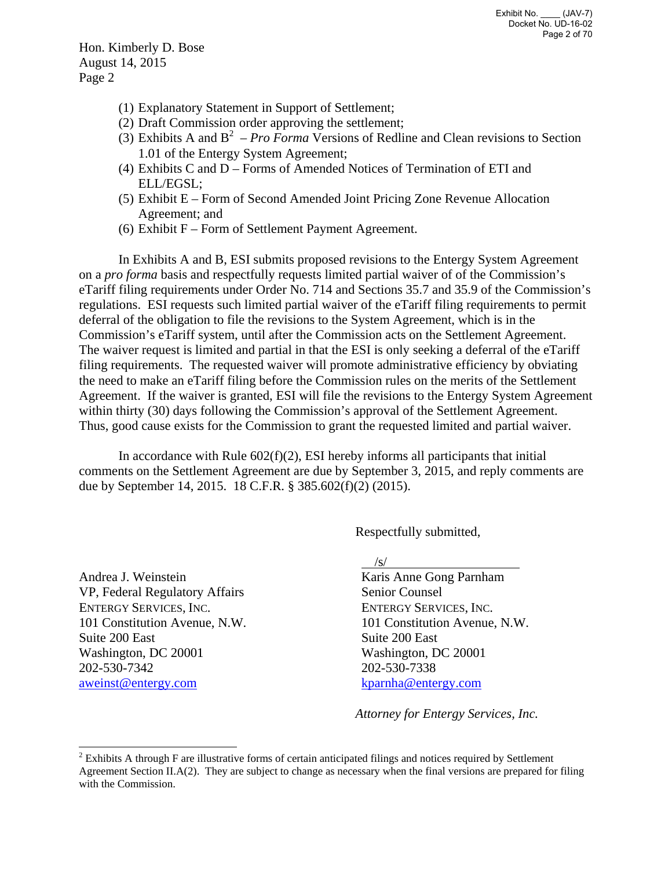Hon. Kimberly D. Bose August 14, 2015 Page 2

- (1) Explanatory Statement in Support of Settlement;
- (2) Draft Commission order approving the settlement;
- (3) Exhibits A and  $B^2$  *Pro Forma* Versions of Redline and Clean revisions to Section 1.01 of the Entergy System Agreement;
- (4) Exhibits C and D Forms of Amended Notices of Termination of ETI and ELL/EGSL;
- (5) Exhibit E Form of Second Amended Joint Pricing Zone Revenue Allocation Agreement; and
- (6) Exhibit F Form of Settlement Payment Agreement.

In Exhibits A and B, ESI submits proposed revisions to the Entergy System Agreement on a *pro forma* basis and respectfully requests limited partial waiver of of the Commission's eTariff filing requirements under Order No. 714 and Sections 35.7 and 35.9 of the Commission's regulations. ESI requests such limited partial waiver of the eTariff filing requirements to permit deferral of the obligation to file the revisions to the System Agreement, which is in the Commission's eTariff system, until after the Commission acts on the Settlement Agreement. The waiver request is limited and partial in that the ESI is only seeking a deferral of the eTariff filing requirements. The requested waiver will promote administrative efficiency by obviating the need to make an eTariff filing before the Commission rules on the merits of the Settlement Agreement. If the waiver is granted, ESI will file the revisions to the Entergy System Agreement within thirty (30) days following the Commission's approval of the Settlement Agreement. Thus, good cause exists for the Commission to grant the requested limited and partial waiver.

In accordance with Rule  $602(f)(2)$ , ESI hereby informs all participants that initial comments on the Settlement Agreement are due by September 3, 2015, and reply comments are due by September 14, 2015. 18 C.F.R. § 385.602(f)(2) (2015).

Respectfully submitted,

Andrea J. Weinstein VP, Federal Regulatory Affairs ENTERGY SERVICES, INC. 101 Constitution Avenue, N.W. Suite 200 East Washington, DC 20001 202-530-7342 aweinst@entergy.com

 $\sqrt{s}$ /

Karis Anne Gong Parnham Senior Counsel ENTERGY SERVICES, INC. 101 Constitution Avenue, N.W. Suite 200 East Washington, DC 20001 202-530-7338 kparnha@entergy.com

*Attorney for Entergy Services, Inc.*

<sup>&</sup>lt;sup>2</sup> Exhibits A through F are illustrative forms of certain anticipated filings and notices required by Settlement Agreement Section II.A(2). They are subject to change as necessary when the final versions are prepared for filing with the Commission.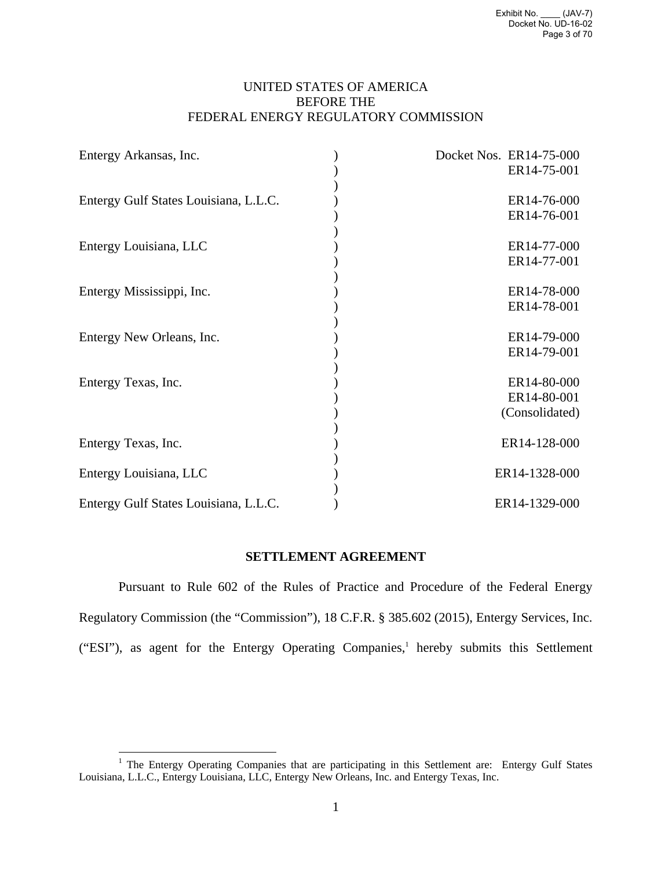## UNITED STATES OF AMERICA BEFORE THE FEDERAL ENERGY REGULATORY COMMISSION

| Entergy Arkansas, Inc.                | Docket Nos. ER14-75-000 |
|---------------------------------------|-------------------------|
|                                       | ER14-75-001             |
| Entergy Gulf States Louisiana, L.L.C. | ER14-76-000             |
|                                       | ER14-76-001             |
| Entergy Louisiana, LLC                | ER14-77-000             |
|                                       | ER14-77-001             |
| Entergy Mississippi, Inc.             | ER14-78-000             |
|                                       | ER14-78-001             |
| Entergy New Orleans, Inc.             | ER14-79-000             |
|                                       | ER14-79-001             |
| Entergy Texas, Inc.                   | ER14-80-000             |
|                                       | ER14-80-001             |
|                                       | (Consolidated)          |
| Entergy Texas, Inc.                   | ER14-128-000            |
| Entergy Louisiana, LLC                | ER14-1328-000           |
| Entergy Gulf States Louisiana, L.L.C. | ER14-1329-000           |

### **SETTLEMENT AGREEMENT**

Pursuant to Rule 602 of the Rules of Practice and Procedure of the Federal Energy Regulatory Commission (the "Commission"), 18 C.F.R. § 385.602 (2015), Entergy Services, Inc. ("ESI"), as agent for the Entergy Operating Companies,<sup>1</sup> hereby submits this Settlement

 $\overline{a}$ 

<sup>&</sup>lt;sup>1</sup> The Entergy Operating Companies that are participating in this Settlement are: Entergy Gulf States Louisiana, L.L.C., Entergy Louisiana, LLC, Entergy New Orleans, Inc. and Entergy Texas, Inc.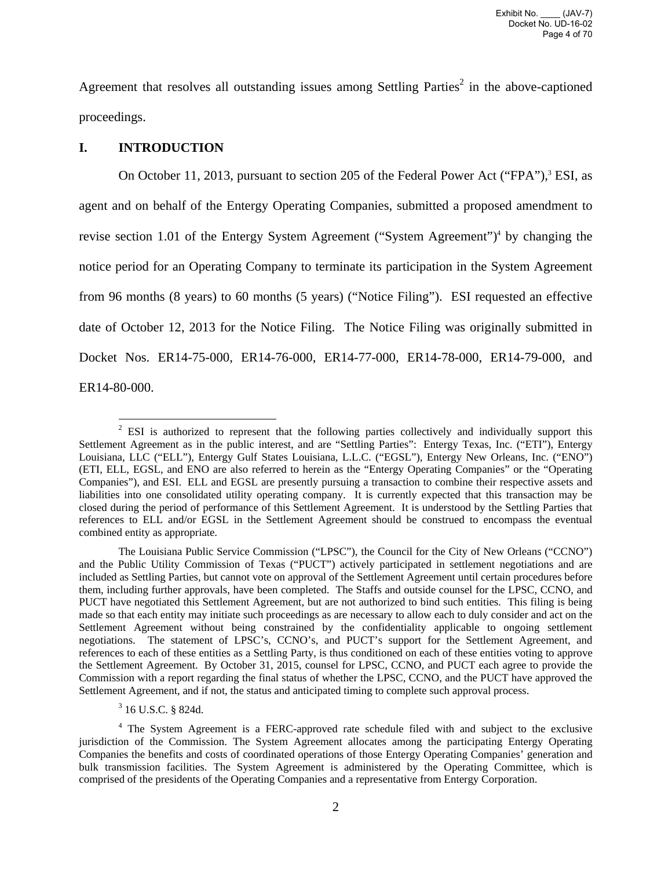Agreement that resolves all outstanding issues among Settling Parties<sup>2</sup> in the above-captioned proceedings.

## **I. INTRODUCTION**

On October 11, 2013, pursuant to section 205 of the Federal Power Act ("FPA"),<sup>3</sup> ESI, as agent and on behalf of the Entergy Operating Companies, submitted a proposed amendment to revise section 1.01 of the Entergy System Agreement ("System Agreement")<sup>4</sup> by changing the notice period for an Operating Company to terminate its participation in the System Agreement from 96 months (8 years) to 60 months (5 years) ("Notice Filing"). ESI requested an effective date of October 12, 2013 for the Notice Filing. The Notice Filing was originally submitted in Docket Nos. ER14-75-000, ER14-76-000, ER14-77-000, ER14-78-000, ER14-79-000, and ER14-80-000.

<sup>&</sup>lt;sup>2</sup> ESI is authorized to represent that the following parties collectively and individually support this Settlement Agreement as in the public interest, and are "Settling Parties": Entergy Texas, Inc. ("ETI"), Entergy Louisiana, LLC ("ELL"), Entergy Gulf States Louisiana, L.L.C. ("EGSL"), Entergy New Orleans, Inc. ("ENO") (ETI, ELL, EGSL, and ENO are also referred to herein as the "Entergy Operating Companies" or the "Operating Companies"), and ESI. ELL and EGSL are presently pursuing a transaction to combine their respective assets and liabilities into one consolidated utility operating company. It is currently expected that this transaction may be closed during the period of performance of this Settlement Agreement. It is understood by the Settling Parties that references to ELL and/or EGSL in the Settlement Agreement should be construed to encompass the eventual combined entity as appropriate.

The Louisiana Public Service Commission ("LPSC"), the Council for the City of New Orleans ("CCNO") and the Public Utility Commission of Texas ("PUCT") actively participated in settlement negotiations and are included as Settling Parties, but cannot vote on approval of the Settlement Agreement until certain procedures before them, including further approvals, have been completed. The Staffs and outside counsel for the LPSC, CCNO, and PUCT have negotiated this Settlement Agreement, but are not authorized to bind such entities. This filing is being made so that each entity may initiate such proceedings as are necessary to allow each to duly consider and act on the Settlement Agreement without being constrained by the confidentiality applicable to ongoing settlement negotiations. The statement of LPSC's, CCNO's, and PUCT's support for the Settlement Agreement, and references to each of these entities as a Settling Party, is thus conditioned on each of these entities voting to approve the Settlement Agreement. By October 31, 2015, counsel for LPSC, CCNO, and PUCT each agree to provide the Commission with a report regarding the final status of whether the LPSC, CCNO, and the PUCT have approved the Settlement Agreement, and if not, the status and anticipated timing to complete such approval process.

<sup>3</sup> 16 U.S.C. § 824d.

<sup>&</sup>lt;sup>4</sup> The System Agreement is a FERC-approved rate schedule filed with and subject to the exclusive jurisdiction of the Commission. The System Agreement allocates among the participating Entergy Operating Companies the benefits and costs of coordinated operations of those Entergy Operating Companies' generation and bulk transmission facilities. The System Agreement is administered by the Operating Committee, which is comprised of the presidents of the Operating Companies and a representative from Entergy Corporation.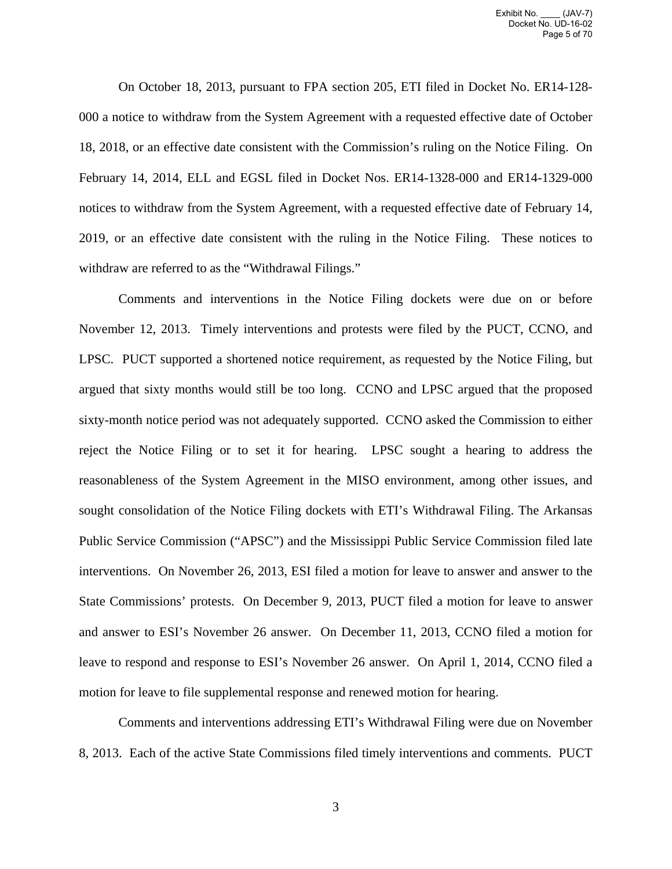On October 18, 2013, pursuant to FPA section 205, ETI filed in Docket No. ER14-128- 000 a notice to withdraw from the System Agreement with a requested effective date of October 18, 2018, or an effective date consistent with the Commission's ruling on the Notice Filing. On February 14, 2014, ELL and EGSL filed in Docket Nos. ER14-1328-000 and ER14-1329-000 notices to withdraw from the System Agreement, with a requested effective date of February 14, 2019, or an effective date consistent with the ruling in the Notice Filing. These notices to withdraw are referred to as the "Withdrawal Filings."

Comments and interventions in the Notice Filing dockets were due on or before November 12, 2013. Timely interventions and protests were filed by the PUCT, CCNO, and LPSC. PUCT supported a shortened notice requirement, as requested by the Notice Filing, but argued that sixty months would still be too long. CCNO and LPSC argued that the proposed sixty-month notice period was not adequately supported. CCNO asked the Commission to either reject the Notice Filing or to set it for hearing. LPSC sought a hearing to address the reasonableness of the System Agreement in the MISO environment, among other issues, and sought consolidation of the Notice Filing dockets with ETI's Withdrawal Filing. The Arkansas Public Service Commission ("APSC") and the Mississippi Public Service Commission filed late interventions. On November 26, 2013, ESI filed a motion for leave to answer and answer to the State Commissions' protests. On December 9, 2013, PUCT filed a motion for leave to answer and answer to ESI's November 26 answer. On December 11, 2013, CCNO filed a motion for leave to respond and response to ESI's November 26 answer. On April 1, 2014, CCNO filed a motion for leave to file supplemental response and renewed motion for hearing.

Comments and interventions addressing ETI's Withdrawal Filing were due on November 8, 2013. Each of the active State Commissions filed timely interventions and comments. PUCT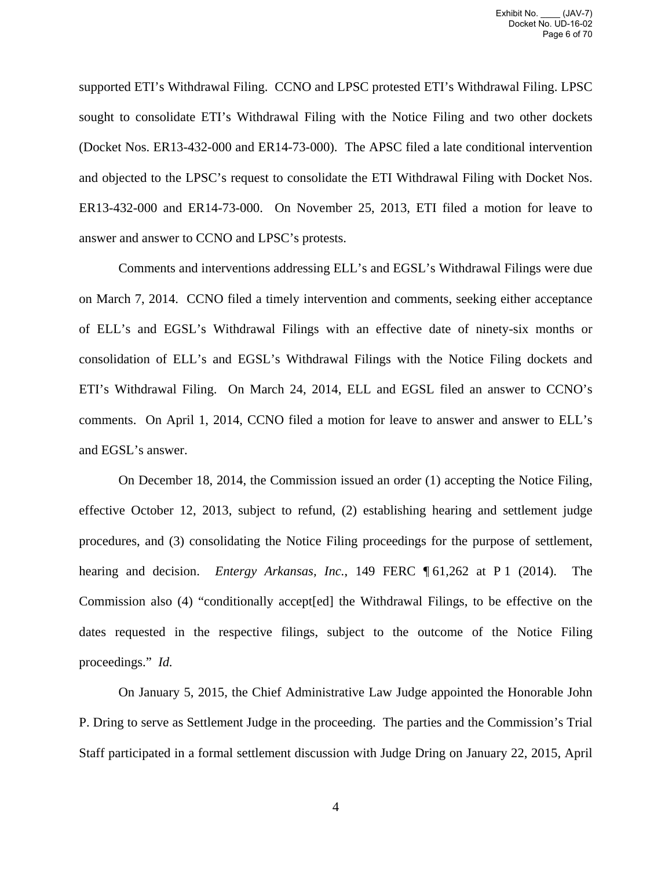supported ETI's Withdrawal Filing. CCNO and LPSC protested ETI's Withdrawal Filing. LPSC sought to consolidate ETI's Withdrawal Filing with the Notice Filing and two other dockets (Docket Nos. ER13-432-000 and ER14-73-000). The APSC filed a late conditional intervention and objected to the LPSC's request to consolidate the ETI Withdrawal Filing with Docket Nos. ER13-432-000 and ER14-73-000. On November 25, 2013, ETI filed a motion for leave to answer and answer to CCNO and LPSC's protests.

Comments and interventions addressing ELL's and EGSL's Withdrawal Filings were due on March 7, 2014. CCNO filed a timely intervention and comments, seeking either acceptance of ELL's and EGSL's Withdrawal Filings with an effective date of ninety-six months or consolidation of ELL's and EGSL's Withdrawal Filings with the Notice Filing dockets and ETI's Withdrawal Filing. On March 24, 2014, ELL and EGSL filed an answer to CCNO's comments. On April 1, 2014, CCNO filed a motion for leave to answer and answer to ELL's and EGSL's answer.

On December 18, 2014, the Commission issued an order (1) accepting the Notice Filing, effective October 12, 2013, subject to refund, (2) establishing hearing and settlement judge procedures, and (3) consolidating the Notice Filing proceedings for the purpose of settlement, hearing and decision. *Entergy Arkansas, Inc.*, 149 FERC ¶ 61,262 at P 1 (2014). The Commission also (4) "conditionally accept[ed] the Withdrawal Filings, to be effective on the dates requested in the respective filings, subject to the outcome of the Notice Filing proceedings." *Id.*

On January 5, 2015, the Chief Administrative Law Judge appointed the Honorable John P. Dring to serve as Settlement Judge in the proceeding. The parties and the Commission's Trial Staff participated in a formal settlement discussion with Judge Dring on January 22, 2015, April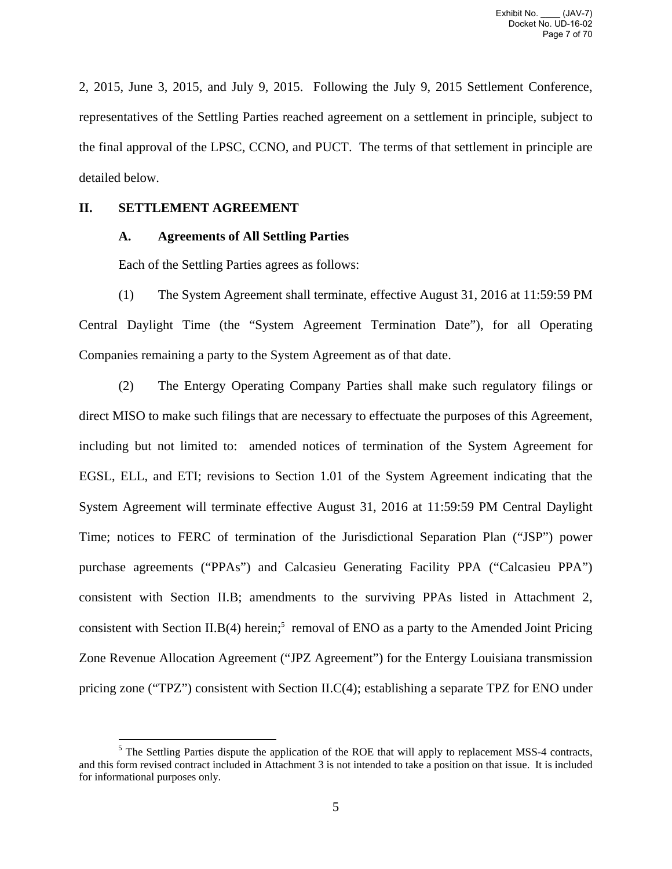2, 2015, June 3, 2015, and July 9, 2015. Following the July 9, 2015 Settlement Conference, representatives of the Settling Parties reached agreement on a settlement in principle, subject to the final approval of the LPSC, CCNO, and PUCT. The terms of that settlement in principle are detailed below.

## **II. SETTLEMENT AGREEMENT**

## **A. Agreements of All Settling Parties**

Each of the Settling Parties agrees as follows:

(1) The System Agreement shall terminate, effective August 31, 2016 at 11:59:59 PM Central Daylight Time (the "System Agreement Termination Date"), for all Operating Companies remaining a party to the System Agreement as of that date.

(2) The Entergy Operating Company Parties shall make such regulatory filings or direct MISO to make such filings that are necessary to effectuate the purposes of this Agreement, including but not limited to: amended notices of termination of the System Agreement for EGSL, ELL, and ETI; revisions to Section 1.01 of the System Agreement indicating that the System Agreement will terminate effective August 31, 2016 at 11:59:59 PM Central Daylight Time; notices to FERC of termination of the Jurisdictional Separation Plan ("JSP") power purchase agreements ("PPAs") and Calcasieu Generating Facility PPA ("Calcasieu PPA") consistent with Section II.B; amendments to the surviving PPAs listed in Attachment 2, consistent with Section II.B(4) herein;<sup>5</sup> removal of ENO as a party to the Amended Joint Pricing Zone Revenue Allocation Agreement ("JPZ Agreement") for the Entergy Louisiana transmission pricing zone ("TPZ") consistent with Section II.C(4); establishing a separate TPZ for ENO under

<sup>1</sup> <sup>5</sup> The Settling Parties dispute the application of the ROE that will apply to replacement MSS-4 contracts, and this form revised contract included in Attachment 3 is not intended to take a position on that issue. It is included for informational purposes only.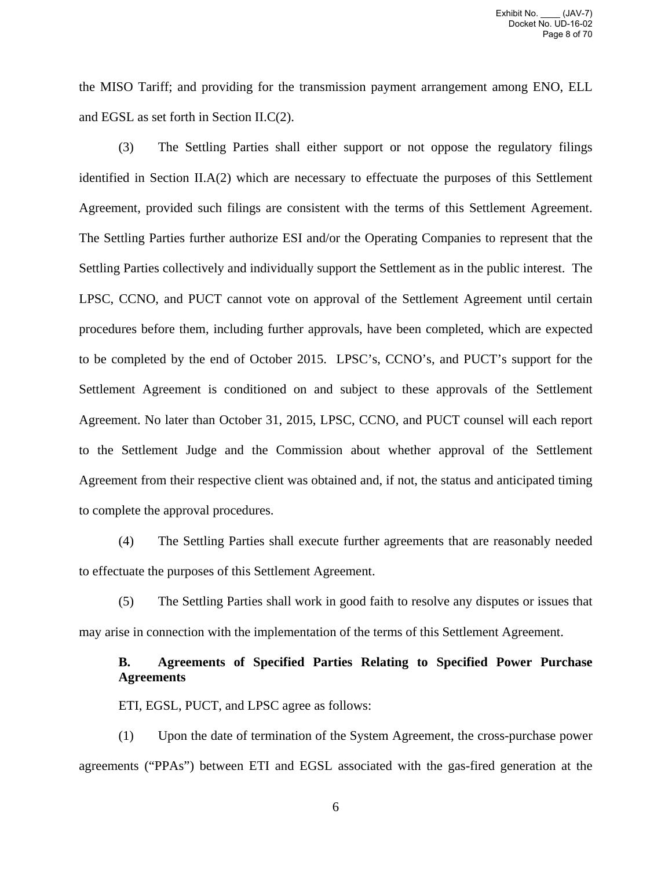the MISO Tariff; and providing for the transmission payment arrangement among ENO, ELL and EGSL as set forth in Section II.C(2).

(3) The Settling Parties shall either support or not oppose the regulatory filings identified in Section II.A(2) which are necessary to effectuate the purposes of this Settlement Agreement, provided such filings are consistent with the terms of this Settlement Agreement. The Settling Parties further authorize ESI and/or the Operating Companies to represent that the Settling Parties collectively and individually support the Settlement as in the public interest. The LPSC, CCNO, and PUCT cannot vote on approval of the Settlement Agreement until certain procedures before them, including further approvals, have been completed, which are expected to be completed by the end of October 2015. LPSC's, CCNO's, and PUCT's support for the Settlement Agreement is conditioned on and subject to these approvals of the Settlement Agreement. No later than October 31, 2015, LPSC, CCNO, and PUCT counsel will each report to the Settlement Judge and the Commission about whether approval of the Settlement Agreement from their respective client was obtained and, if not, the status and anticipated timing to complete the approval procedures.

(4) The Settling Parties shall execute further agreements that are reasonably needed to effectuate the purposes of this Settlement Agreement.

(5) The Settling Parties shall work in good faith to resolve any disputes or issues that may arise in connection with the implementation of the terms of this Settlement Agreement.

## **B. Agreements of Specified Parties Relating to Specified Power Purchase Agreements**

ETI, EGSL, PUCT, and LPSC agree as follows:

(1) Upon the date of termination of the System Agreement, the cross-purchase power agreements ("PPAs") between ETI and EGSL associated with the gas-fired generation at the

6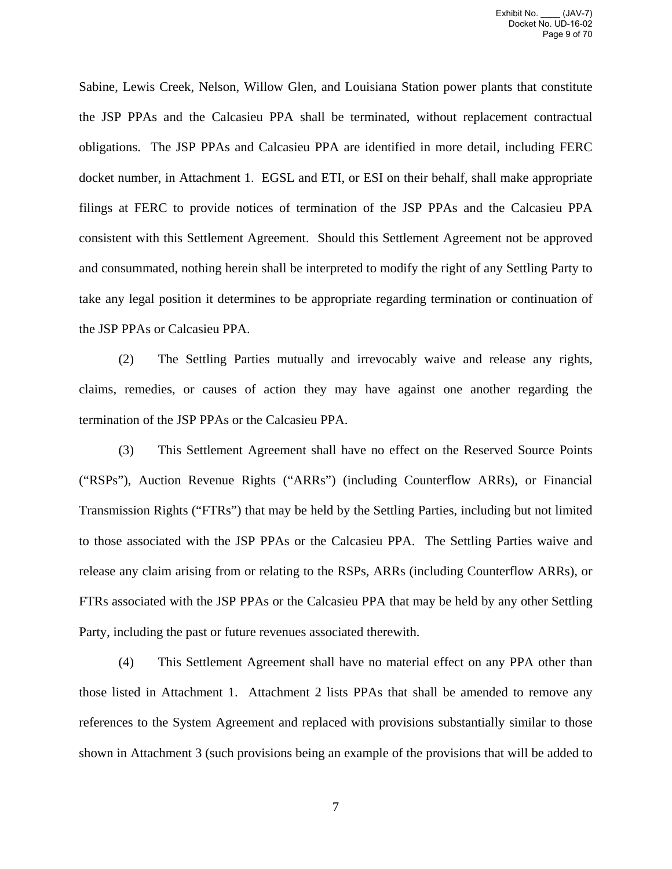Sabine, Lewis Creek, Nelson, Willow Glen, and Louisiana Station power plants that constitute the JSP PPAs and the Calcasieu PPA shall be terminated, without replacement contractual obligations. The JSP PPAs and Calcasieu PPA are identified in more detail, including FERC docket number, in Attachment 1. EGSL and ETI, or ESI on their behalf, shall make appropriate filings at FERC to provide notices of termination of the JSP PPAs and the Calcasieu PPA consistent with this Settlement Agreement. Should this Settlement Agreement not be approved and consummated, nothing herein shall be interpreted to modify the right of any Settling Party to take any legal position it determines to be appropriate regarding termination or continuation of the JSP PPAs or Calcasieu PPA.

(2) The Settling Parties mutually and irrevocably waive and release any rights, claims, remedies, or causes of action they may have against one another regarding the termination of the JSP PPAs or the Calcasieu PPA.

(3) This Settlement Agreement shall have no effect on the Reserved Source Points ("RSPs"), Auction Revenue Rights ("ARRs") (including Counterflow ARRs), or Financial Transmission Rights ("FTRs") that may be held by the Settling Parties, including but not limited to those associated with the JSP PPAs or the Calcasieu PPA. The Settling Parties waive and release any claim arising from or relating to the RSPs, ARRs (including Counterflow ARRs), or FTRs associated with the JSP PPAs or the Calcasieu PPA that may be held by any other Settling Party, including the past or future revenues associated therewith.

(4) This Settlement Agreement shall have no material effect on any PPA other than those listed in Attachment 1. Attachment 2 lists PPAs that shall be amended to remove any references to the System Agreement and replaced with provisions substantially similar to those shown in Attachment 3 (such provisions being an example of the provisions that will be added to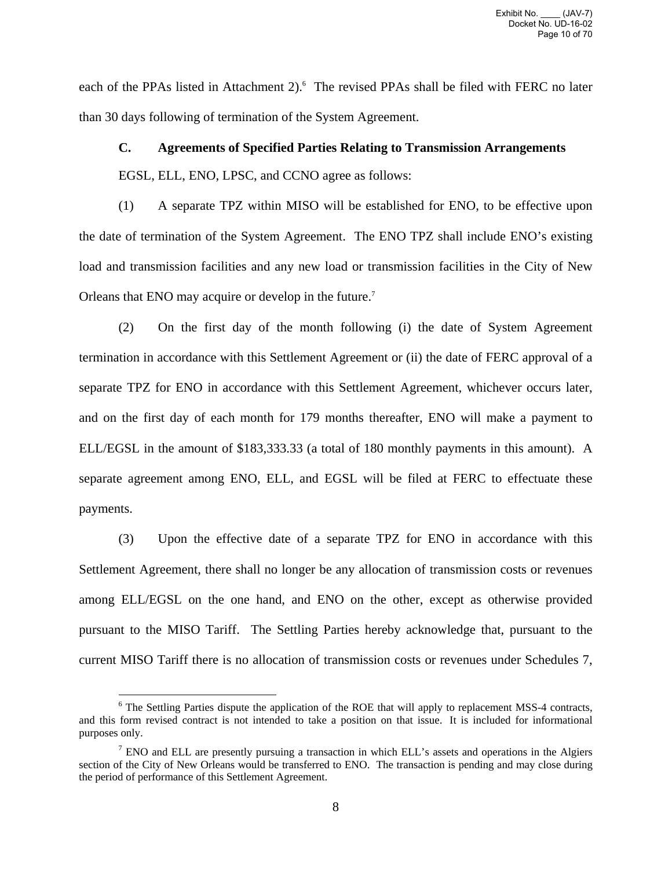each of the PPAs listed in Attachment 2).<sup>6</sup> The revised PPAs shall be filed with FERC no later than 30 days following of termination of the System Agreement.

## **C. Agreements of Specified Parties Relating to Transmission Arrangements**

EGSL, ELL, ENO, LPSC, and CCNO agree as follows:

(1) A separate TPZ within MISO will be established for ENO, to be effective upon the date of termination of the System Agreement. The ENO TPZ shall include ENO's existing load and transmission facilities and any new load or transmission facilities in the City of New Orleans that ENO may acquire or develop in the future.7

(2) On the first day of the month following (i) the date of System Agreement termination in accordance with this Settlement Agreement or (ii) the date of FERC approval of a separate TPZ for ENO in accordance with this Settlement Agreement, whichever occurs later, and on the first day of each month for 179 months thereafter, ENO will make a payment to ELL/EGSL in the amount of \$183,333.33 (a total of 180 monthly payments in this amount). A separate agreement among ENO, ELL, and EGSL will be filed at FERC to effectuate these payments.

(3) Upon the effective date of a separate TPZ for ENO in accordance with this Settlement Agreement, there shall no longer be any allocation of transmission costs or revenues among ELL/EGSL on the one hand, and ENO on the other, except as otherwise provided pursuant to the MISO Tariff. The Settling Parties hereby acknowledge that, pursuant to the current MISO Tariff there is no allocation of transmission costs or revenues under Schedules 7,

 $\overline{a}$ 

<sup>&</sup>lt;sup>6</sup> The Settling Parties dispute the application of the ROE that will apply to replacement MSS-4 contracts, and this form revised contract is not intended to take a position on that issue. It is included for informational purposes only.

 $<sup>7</sup>$  ENO and ELL are presently pursuing a transaction in which ELL's assets and operations in the Algiers</sup> section of the City of New Orleans would be transferred to ENO. The transaction is pending and may close during the period of performance of this Settlement Agreement.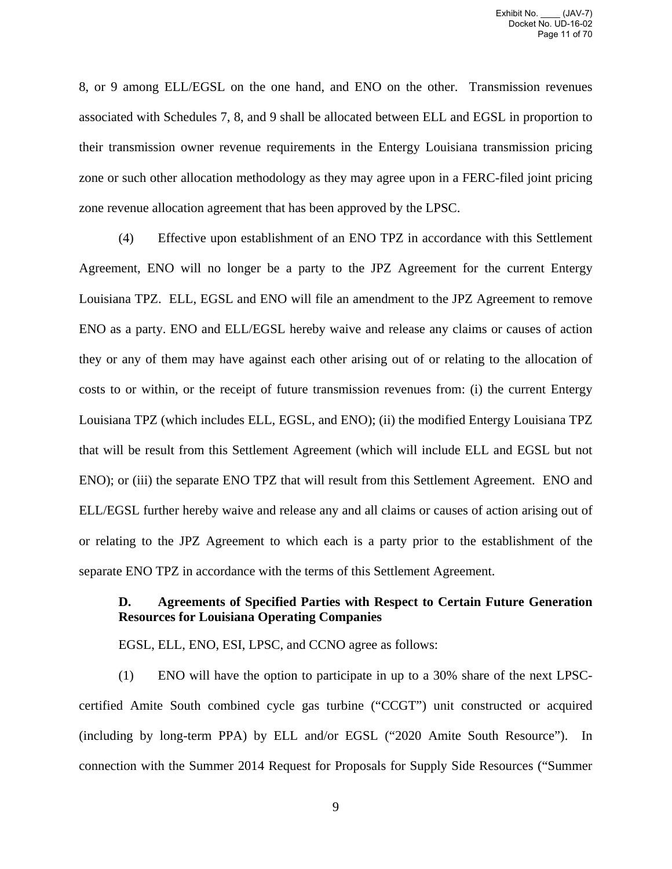8, or 9 among ELL/EGSL on the one hand, and ENO on the other. Transmission revenues associated with Schedules 7, 8, and 9 shall be allocated between ELL and EGSL in proportion to their transmission owner revenue requirements in the Entergy Louisiana transmission pricing zone or such other allocation methodology as they may agree upon in a FERC-filed joint pricing zone revenue allocation agreement that has been approved by the LPSC.

(4) Effective upon establishment of an ENO TPZ in accordance with this Settlement Agreement, ENO will no longer be a party to the JPZ Agreement for the current Entergy Louisiana TPZ. ELL, EGSL and ENO will file an amendment to the JPZ Agreement to remove ENO as a party. ENO and ELL/EGSL hereby waive and release any claims or causes of action they or any of them may have against each other arising out of or relating to the allocation of costs to or within, or the receipt of future transmission revenues from: (i) the current Entergy Louisiana TPZ (which includes ELL, EGSL, and ENO); (ii) the modified Entergy Louisiana TPZ that will be result from this Settlement Agreement (which will include ELL and EGSL but not ENO); or (iii) the separate ENO TPZ that will result from this Settlement Agreement. ENO and ELL/EGSL further hereby waive and release any and all claims or causes of action arising out of or relating to the JPZ Agreement to which each is a party prior to the establishment of the separate ENO TPZ in accordance with the terms of this Settlement Agreement.

# **D. Agreements of Specified Parties with Respect to Certain Future Generation Resources for Louisiana Operating Companies**

EGSL, ELL, ENO, ESI, LPSC, and CCNO agree as follows:

(1) ENO will have the option to participate in up to a 30% share of the next LPSCcertified Amite South combined cycle gas turbine ("CCGT") unit constructed or acquired (including by long-term PPA) by ELL and/or EGSL ("2020 Amite South Resource"). In connection with the Summer 2014 Request for Proposals for Supply Side Resources ("Summer

9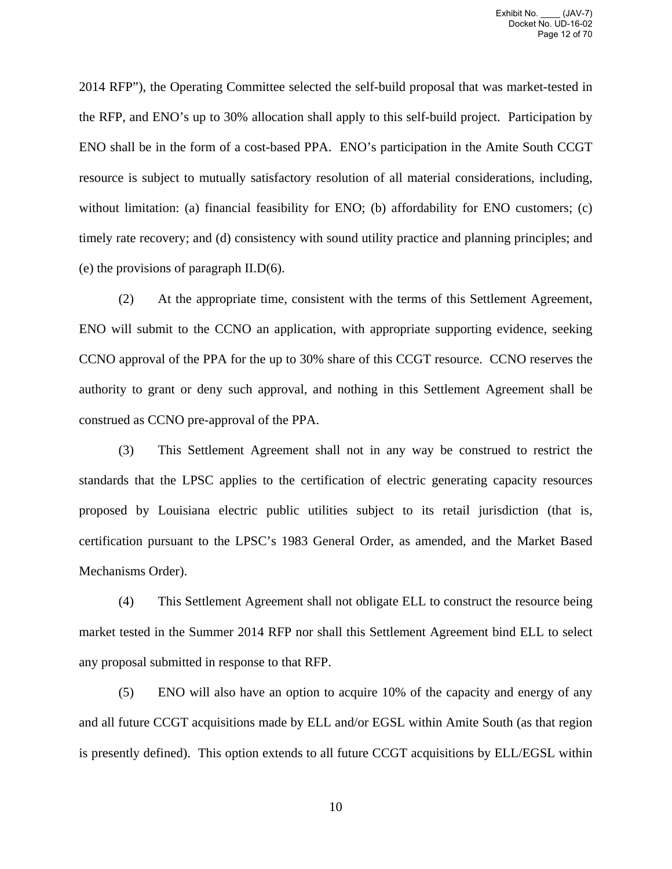2014 RFP"), the Operating Committee selected the self-build proposal that was market-tested in the RFP, and ENO's up to 30% allocation shall apply to this self-build project. Participation by ENO shall be in the form of a cost-based PPA. ENO's participation in the Amite South CCGT resource is subject to mutually satisfactory resolution of all material considerations, including, without limitation: (a) financial feasibility for ENO; (b) affordability for ENO customers; (c) timely rate recovery; and (d) consistency with sound utility practice and planning principles; and (e) the provisions of paragraph II.D(6).

(2) At the appropriate time, consistent with the terms of this Settlement Agreement, ENO will submit to the CCNO an application, with appropriate supporting evidence, seeking CCNO approval of the PPA for the up to 30% share of this CCGT resource. CCNO reserves the authority to grant or deny such approval, and nothing in this Settlement Agreement shall be construed as CCNO pre-approval of the PPA.

(3) This Settlement Agreement shall not in any way be construed to restrict the standards that the LPSC applies to the certification of electric generating capacity resources proposed by Louisiana electric public utilities subject to its retail jurisdiction (that is, certification pursuant to the LPSC's 1983 General Order, as amended, and the Market Based Mechanisms Order).

(4) This Settlement Agreement shall not obligate ELL to construct the resource being market tested in the Summer 2014 RFP nor shall this Settlement Agreement bind ELL to select any proposal submitted in response to that RFP.

(5) ENO will also have an option to acquire 10% of the capacity and energy of any and all future CCGT acquisitions made by ELL and/or EGSL within Amite South (as that region is presently defined). This option extends to all future CCGT acquisitions by ELL/EGSL within

10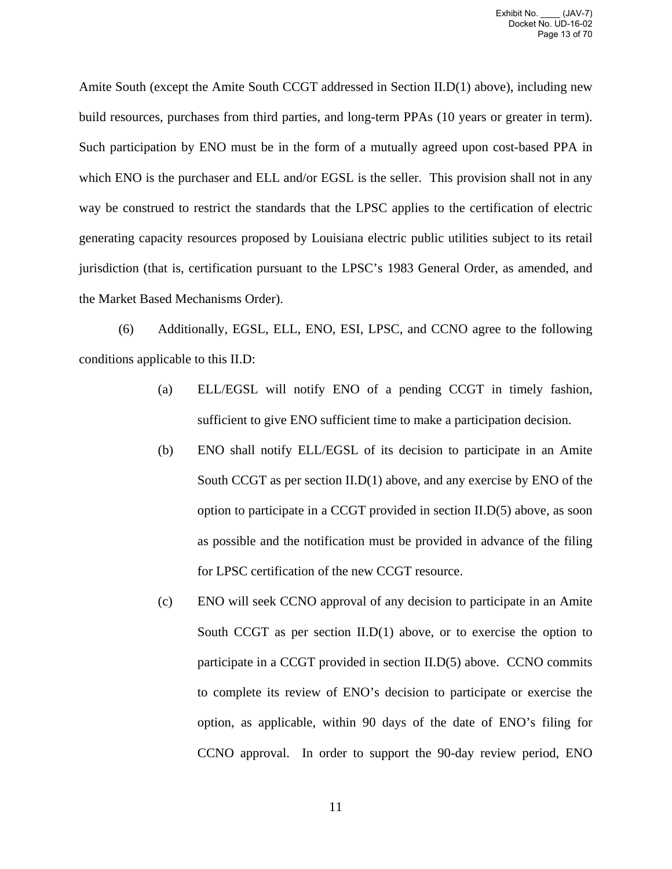Amite South (except the Amite South CCGT addressed in Section II.D(1) above), including new build resources, purchases from third parties, and long-term PPAs (10 years or greater in term). Such participation by ENO must be in the form of a mutually agreed upon cost-based PPA in which ENO is the purchaser and ELL and/or EGSL is the seller. This provision shall not in any way be construed to restrict the standards that the LPSC applies to the certification of electric generating capacity resources proposed by Louisiana electric public utilities subject to its retail jurisdiction (that is, certification pursuant to the LPSC's 1983 General Order, as amended, and the Market Based Mechanisms Order).

(6) Additionally, EGSL, ELL, ENO, ESI, LPSC, and CCNO agree to the following conditions applicable to this II.D:

- (a) ELL/EGSL will notify ENO of a pending CCGT in timely fashion, sufficient to give ENO sufficient time to make a participation decision.
- (b) ENO shall notify ELL/EGSL of its decision to participate in an Amite South CCGT as per section II.D(1) above, and any exercise by ENO of the option to participate in a CCGT provided in section II.D(5) above, as soon as possible and the notification must be provided in advance of the filing for LPSC certification of the new CCGT resource.
- (c) ENO will seek CCNO approval of any decision to participate in an Amite South CCGT as per section II.D(1) above, or to exercise the option to participate in a CCGT provided in section II.D(5) above. CCNO commits to complete its review of ENO's decision to participate or exercise the option, as applicable, within 90 days of the date of ENO's filing for CCNO approval. In order to support the 90-day review period, ENO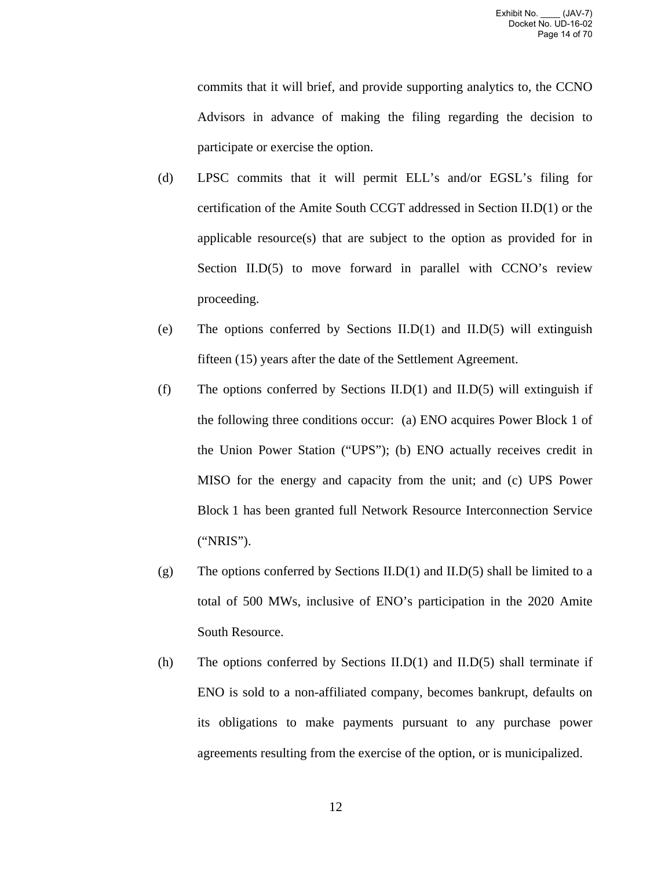commits that it will brief, and provide supporting analytics to, the CCNO Advisors in advance of making the filing regarding the decision to participate or exercise the option.

- (d) LPSC commits that it will permit ELL's and/or EGSL's filing for certification of the Amite South CCGT addressed in Section II.D(1) or the applicable resource(s) that are subject to the option as provided for in Section II.D(5) to move forward in parallel with CCNO's review proceeding.
- (e) The options conferred by Sections II.D(1) and II.D(5) will extinguish fifteen (15) years after the date of the Settlement Agreement.
- (f) The options conferred by Sections II.D(1) and II.D(5) will extinguish if the following three conditions occur: (a) ENO acquires Power Block 1 of the Union Power Station ("UPS"); (b) ENO actually receives credit in MISO for the energy and capacity from the unit; and (c) UPS Power Block 1 has been granted full Network Resource Interconnection Service ("NRIS").
- (g) The options conferred by Sections II.D(1) and II.D(5) shall be limited to a total of 500 MWs, inclusive of ENO's participation in the 2020 Amite South Resource.
- (h) The options conferred by Sections II.D(1) and II.D(5) shall terminate if ENO is sold to a non-affiliated company, becomes bankrupt, defaults on its obligations to make payments pursuant to any purchase power agreements resulting from the exercise of the option, or is municipalized.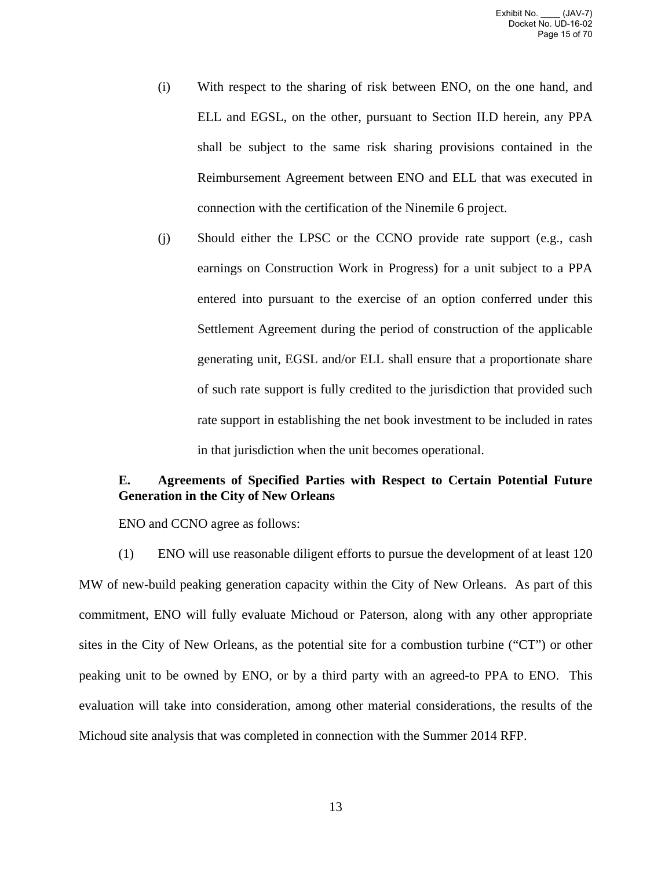- (i) With respect to the sharing of risk between ENO, on the one hand, and ELL and EGSL, on the other, pursuant to Section II.D herein, any PPA shall be subject to the same risk sharing provisions contained in the Reimbursement Agreement between ENO and ELL that was executed in connection with the certification of the Ninemile 6 project.
- (j) Should either the LPSC or the CCNO provide rate support (e.g., cash earnings on Construction Work in Progress) for a unit subject to a PPA entered into pursuant to the exercise of an option conferred under this Settlement Agreement during the period of construction of the applicable generating unit, EGSL and/or ELL shall ensure that a proportionate share of such rate support is fully credited to the jurisdiction that provided such rate support in establishing the net book investment to be included in rates in that jurisdiction when the unit becomes operational.

# **E. Agreements of Specified Parties with Respect to Certain Potential Future Generation in the City of New Orleans**

ENO and CCNO agree as follows:

(1) ENO will use reasonable diligent efforts to pursue the development of at least 120 MW of new-build peaking generation capacity within the City of New Orleans. As part of this commitment, ENO will fully evaluate Michoud or Paterson, along with any other appropriate sites in the City of New Orleans, as the potential site for a combustion turbine ("CT") or other peaking unit to be owned by ENO, or by a third party with an agreed-to PPA to ENO. This evaluation will take into consideration, among other material considerations, the results of the Michoud site analysis that was completed in connection with the Summer 2014 RFP.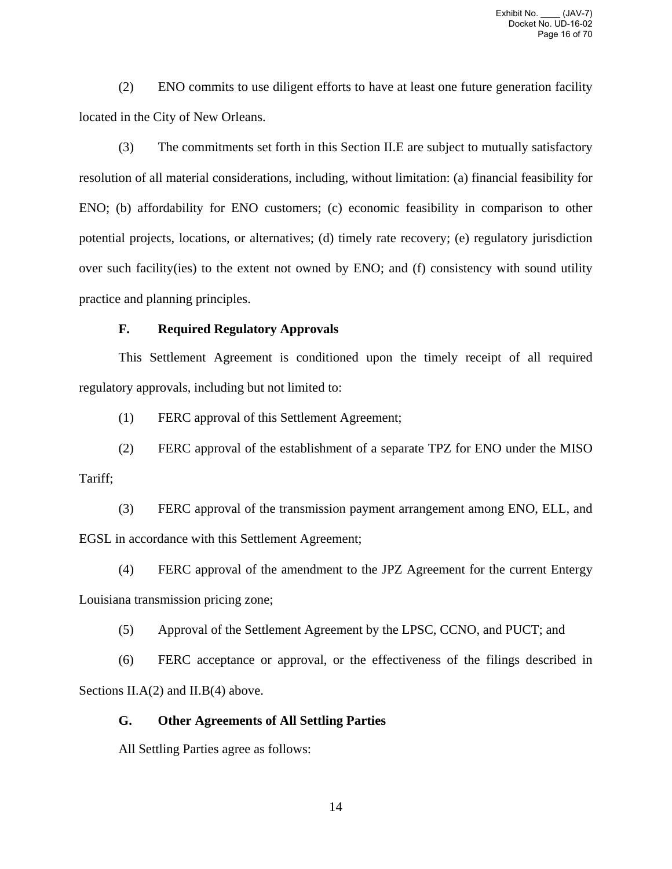(2) ENO commits to use diligent efforts to have at least one future generation facility located in the City of New Orleans.

(3) The commitments set forth in this Section II.E are subject to mutually satisfactory resolution of all material considerations, including, without limitation: (a) financial feasibility for ENO; (b) affordability for ENO customers; (c) economic feasibility in comparison to other potential projects, locations, or alternatives; (d) timely rate recovery; (e) regulatory jurisdiction over such facility(ies) to the extent not owned by ENO; and (f) consistency with sound utility practice and planning principles.

### **F. Required Regulatory Approvals**

This Settlement Agreement is conditioned upon the timely receipt of all required regulatory approvals, including but not limited to:

(1) FERC approval of this Settlement Agreement;

(2) FERC approval of the establishment of a separate TPZ for ENO under the MISO Tariff;

(3) FERC approval of the transmission payment arrangement among ENO, ELL, and EGSL in accordance with this Settlement Agreement;

(4) FERC approval of the amendment to the JPZ Agreement for the current Entergy Louisiana transmission pricing zone;

(5) Approval of the Settlement Agreement by the LPSC, CCNO, and PUCT; and

(6) FERC acceptance or approval, or the effectiveness of the filings described in Sections II.A(2) and II.B(4) above.

## **G. Other Agreements of All Settling Parties**

All Settling Parties agree as follows: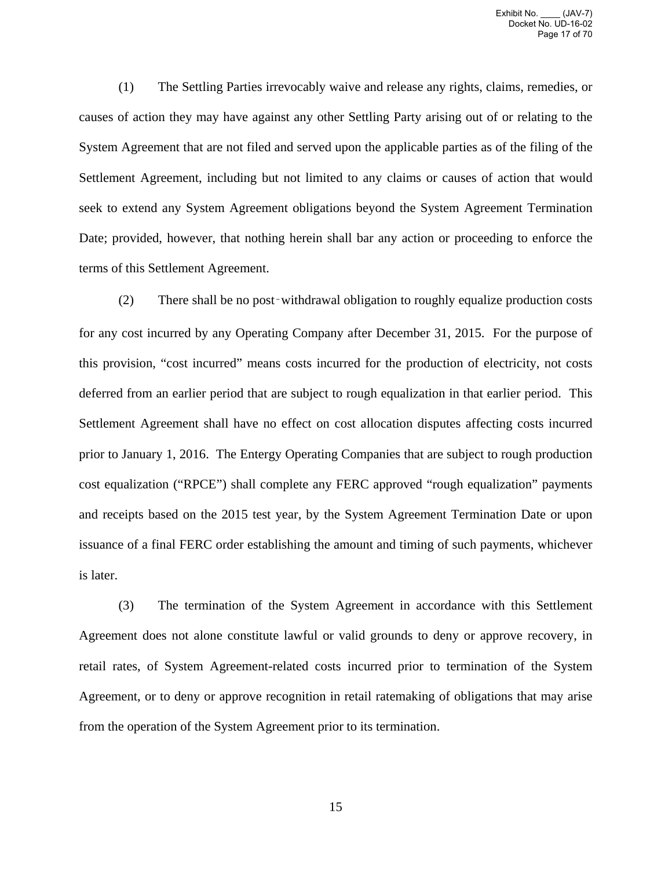(1) The Settling Parties irrevocably waive and release any rights, claims, remedies, or causes of action they may have against any other Settling Party arising out of or relating to the System Agreement that are not filed and served upon the applicable parties as of the filing of the Settlement Agreement, including but not limited to any claims or causes of action that would seek to extend any System Agreement obligations beyond the System Agreement Termination Date; provided, however, that nothing herein shall bar any action or proceeding to enforce the terms of this Settlement Agreement.

(2) There shall be no post‑withdrawal obligation to roughly equalize production costs for any cost incurred by any Operating Company after December 31, 2015. For the purpose of this provision, "cost incurred" means costs incurred for the production of electricity, not costs deferred from an earlier period that are subject to rough equalization in that earlier period. This Settlement Agreement shall have no effect on cost allocation disputes affecting costs incurred prior to January 1, 2016. The Entergy Operating Companies that are subject to rough production cost equalization ("RPCE") shall complete any FERC approved "rough equalization" payments and receipts based on the 2015 test year, by the System Agreement Termination Date or upon issuance of a final FERC order establishing the amount and timing of such payments, whichever is later.

(3) The termination of the System Agreement in accordance with this Settlement Agreement does not alone constitute lawful or valid grounds to deny or approve recovery, in retail rates, of System Agreement-related costs incurred prior to termination of the System Agreement, or to deny or approve recognition in retail ratemaking of obligations that may arise from the operation of the System Agreement prior to its termination.

15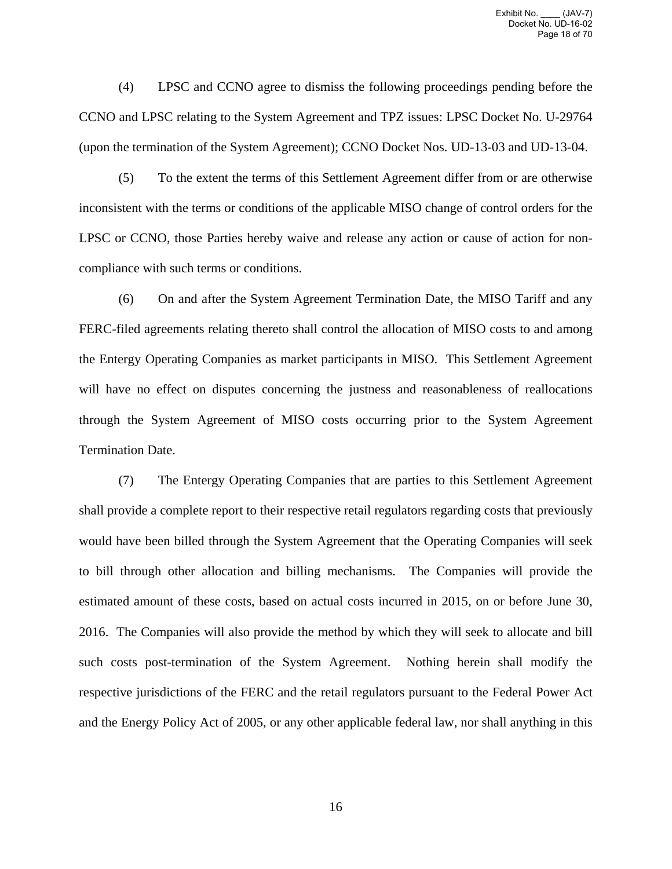(4) LPSC and CCNO agree to dismiss the following proceedings pending before the CCNO and LPSC relating to the System Agreement and TPZ issues: LPSC Docket No. U-29764 (upon the termination of the System Agreement); CCNO Docket Nos. UD-13-03 and UD-13-04.

(5) To the extent the terms of this Settlement Agreement differ from or are otherwise inconsistent with the terms or conditions of the applicable MISO change of control orders for the LPSC or CCNO, those Parties hereby waive and release any action or cause of action for noncompliance with such terms or conditions.

(6) On and after the System Agreement Termination Date, the MISO Tariff and any FERC-filed agreements relating thereto shall control the allocation of MISO costs to and among the Entergy Operating Companies as market participants in MISO. This Settlement Agreement will have no effect on disputes concerning the justness and reasonableness of reallocations through the System Agreement of MISO costs occurring prior to the System Agreement Termination Date.

(7) The Entergy Operating Companies that are parties to this Settlement Agreement shall provide a complete report to their respective retail regulators regarding costs that previously would have been billed through the System Agreement that the Operating Companies will seek to bill through other allocation and billing mechanisms. The Companies will provide the estimated amount of these costs, based on actual costs incurred in 2015, on or before June 30, 2016. The Companies will also provide the method by which they will seek to allocate and bill such costs post-termination of the System Agreement. Nothing herein shall modify the respective jurisdictions of the FERC and the retail regulators pursuant to the Federal Power Act and the Energy Policy Act of 2005, or any other applicable federal law, nor shall anything in this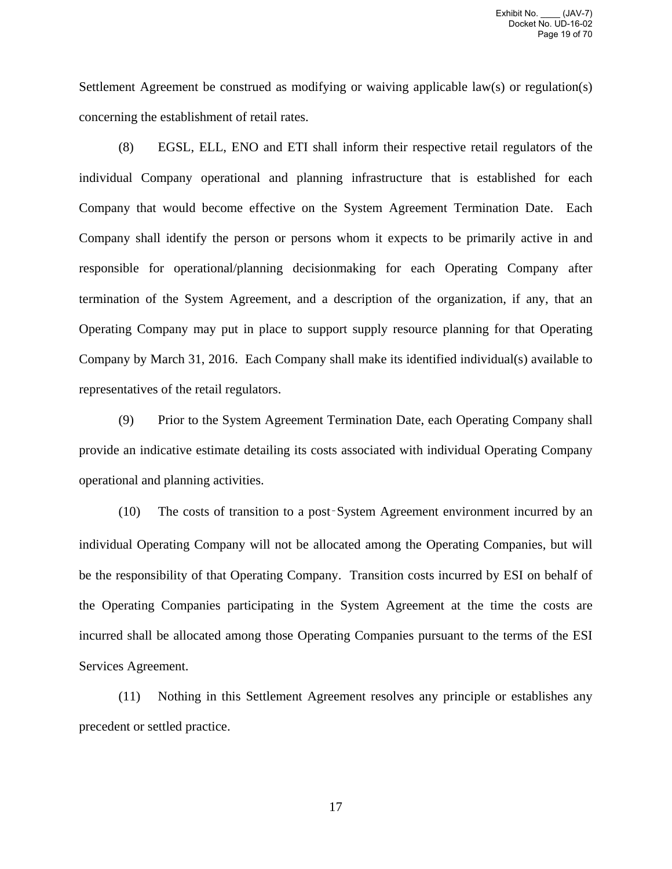Settlement Agreement be construed as modifying or waiving applicable law(s) or regulation(s) concerning the establishment of retail rates.

(8) EGSL, ELL, ENO and ETI shall inform their respective retail regulators of the individual Company operational and planning infrastructure that is established for each Company that would become effective on the System Agreement Termination Date. Each Company shall identify the person or persons whom it expects to be primarily active in and responsible for operational/planning decisionmaking for each Operating Company after termination of the System Agreement, and a description of the organization, if any, that an Operating Company may put in place to support supply resource planning for that Operating Company by March 31, 2016. Each Company shall make its identified individual(s) available to representatives of the retail regulators.

(9) Prior to the System Agreement Termination Date, each Operating Company shall provide an indicative estimate detailing its costs associated with individual Operating Company operational and planning activities.

(10) The costs of transition to a post‑System Agreement environment incurred by an individual Operating Company will not be allocated among the Operating Companies, but will be the responsibility of that Operating Company. Transition costs incurred by ESI on behalf of the Operating Companies participating in the System Agreement at the time the costs are incurred shall be allocated among those Operating Companies pursuant to the terms of the ESI Services Agreement.

(11) Nothing in this Settlement Agreement resolves any principle or establishes any precedent or settled practice.

17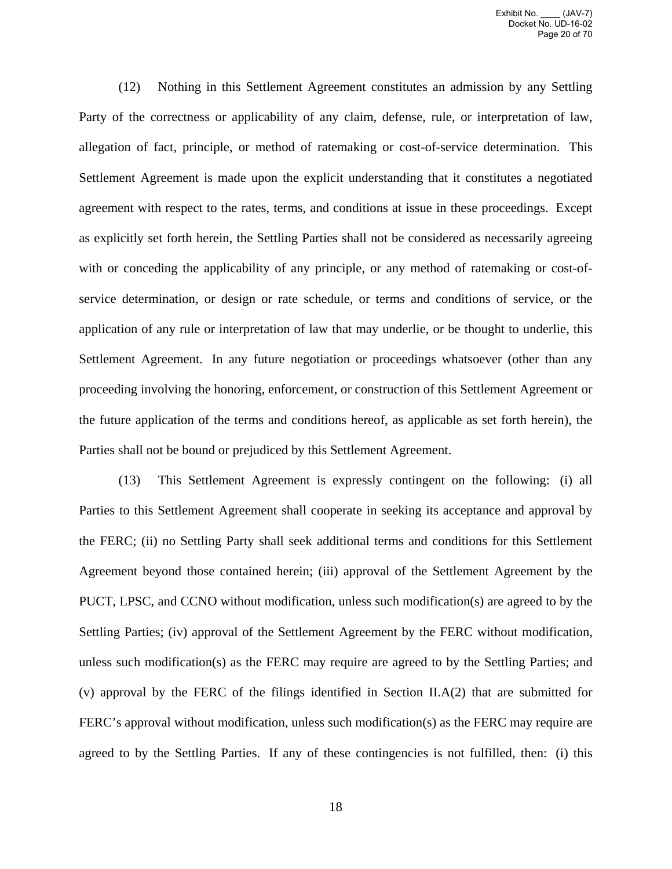(12) Nothing in this Settlement Agreement constitutes an admission by any Settling Party of the correctness or applicability of any claim, defense, rule, or interpretation of law, allegation of fact, principle, or method of ratemaking or cost-of-service determination. This Settlement Agreement is made upon the explicit understanding that it constitutes a negotiated agreement with respect to the rates, terms, and conditions at issue in these proceedings. Except as explicitly set forth herein, the Settling Parties shall not be considered as necessarily agreeing with or conceding the applicability of any principle, or any method of ratemaking or cost-ofservice determination, or design or rate schedule, or terms and conditions of service, or the application of any rule or interpretation of law that may underlie, or be thought to underlie, this Settlement Agreement. In any future negotiation or proceedings whatsoever (other than any proceeding involving the honoring, enforcement, or construction of this Settlement Agreement or the future application of the terms and conditions hereof, as applicable as set forth herein), the Parties shall not be bound or prejudiced by this Settlement Agreement.

(13) This Settlement Agreement is expressly contingent on the following: (i) all Parties to this Settlement Agreement shall cooperate in seeking its acceptance and approval by the FERC; (ii) no Settling Party shall seek additional terms and conditions for this Settlement Agreement beyond those contained herein; (iii) approval of the Settlement Agreement by the PUCT, LPSC, and CCNO without modification, unless such modification(s) are agreed to by the Settling Parties; (iv) approval of the Settlement Agreement by the FERC without modification, unless such modification(s) as the FERC may require are agreed to by the Settling Parties; and (v) approval by the FERC of the filings identified in Section II.A(2) that are submitted for FERC's approval without modification, unless such modification(s) as the FERC may require are agreed to by the Settling Parties. If any of these contingencies is not fulfilled, then: (i) this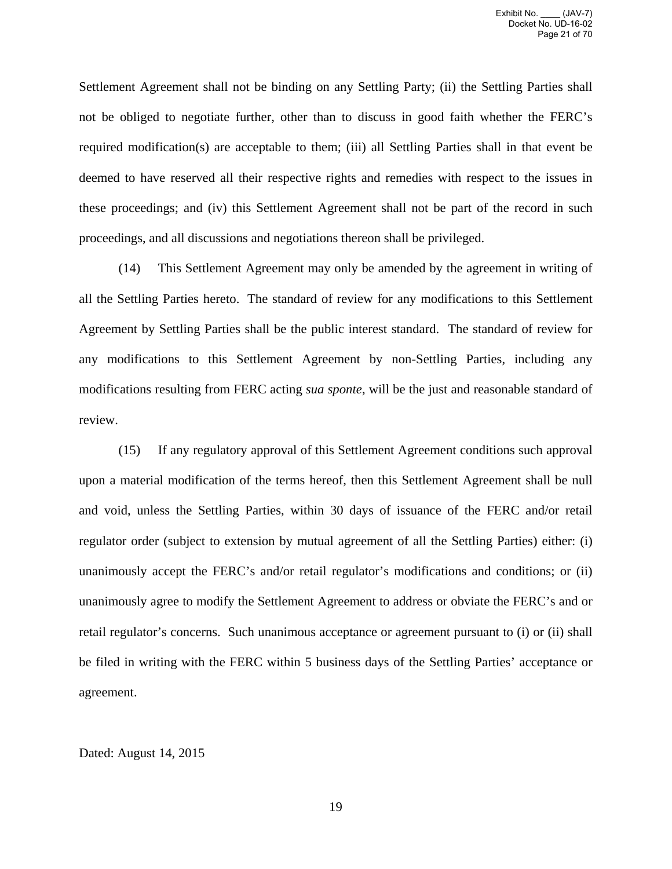Settlement Agreement shall not be binding on any Settling Party; (ii) the Settling Parties shall not be obliged to negotiate further, other than to discuss in good faith whether the FERC's required modification(s) are acceptable to them; (iii) all Settling Parties shall in that event be deemed to have reserved all their respective rights and remedies with respect to the issues in these proceedings; and (iv) this Settlement Agreement shall not be part of the record in such proceedings, and all discussions and negotiations thereon shall be privileged.

(14) This Settlement Agreement may only be amended by the agreement in writing of all the Settling Parties hereto. The standard of review for any modifications to this Settlement Agreement by Settling Parties shall be the public interest standard. The standard of review for any modifications to this Settlement Agreement by non-Settling Parties, including any modifications resulting from FERC acting *sua sponte*, will be the just and reasonable standard of review.

(15) If any regulatory approval of this Settlement Agreement conditions such approval upon a material modification of the terms hereof, then this Settlement Agreement shall be null and void, unless the Settling Parties, within 30 days of issuance of the FERC and/or retail regulator order (subject to extension by mutual agreement of all the Settling Parties) either: (i) unanimously accept the FERC's and/or retail regulator's modifications and conditions; or (ii) unanimously agree to modify the Settlement Agreement to address or obviate the FERC's and or retail regulator's concerns. Such unanimous acceptance or agreement pursuant to (i) or (ii) shall be filed in writing with the FERC within 5 business days of the Settling Parties' acceptance or agreement.

### Dated: August 14, 2015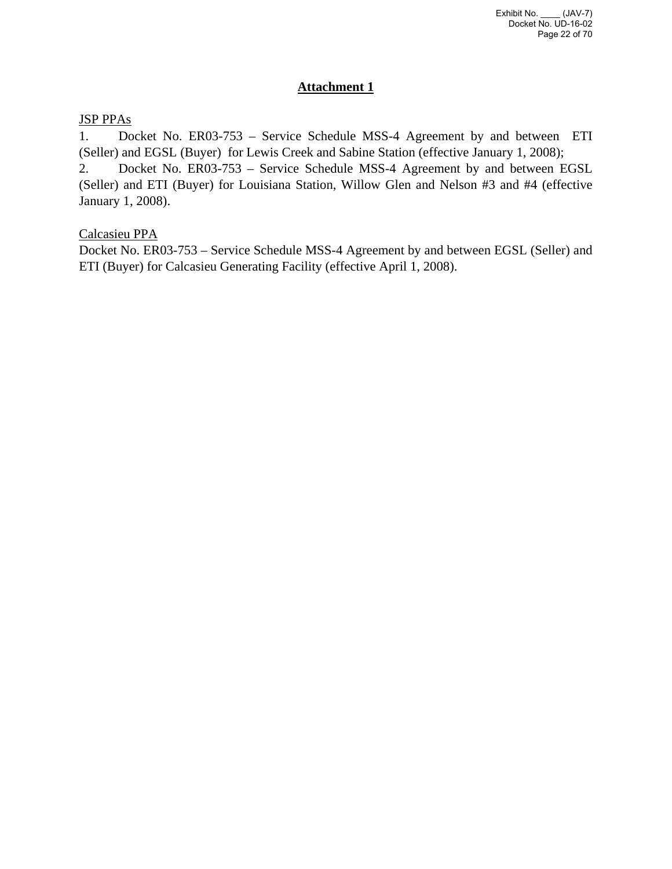# **Attachment 1**

# JSP PPAs

1. Docket No. ER03-753 – Service Schedule MSS-4 Agreement by and between ETI (Seller) and EGSL (Buyer) for Lewis Creek and Sabine Station (effective January 1, 2008);

2. Docket No. ER03-753 – Service Schedule MSS-4 Agreement by and between EGSL (Seller) and ETI (Buyer) for Louisiana Station, Willow Glen and Nelson #3 and #4 (effective January 1, 2008).

# Calcasieu PPA

Docket No. ER03-753 – Service Schedule MSS-4 Agreement by and between EGSL (Seller) and ETI (Buyer) for Calcasieu Generating Facility (effective April 1, 2008).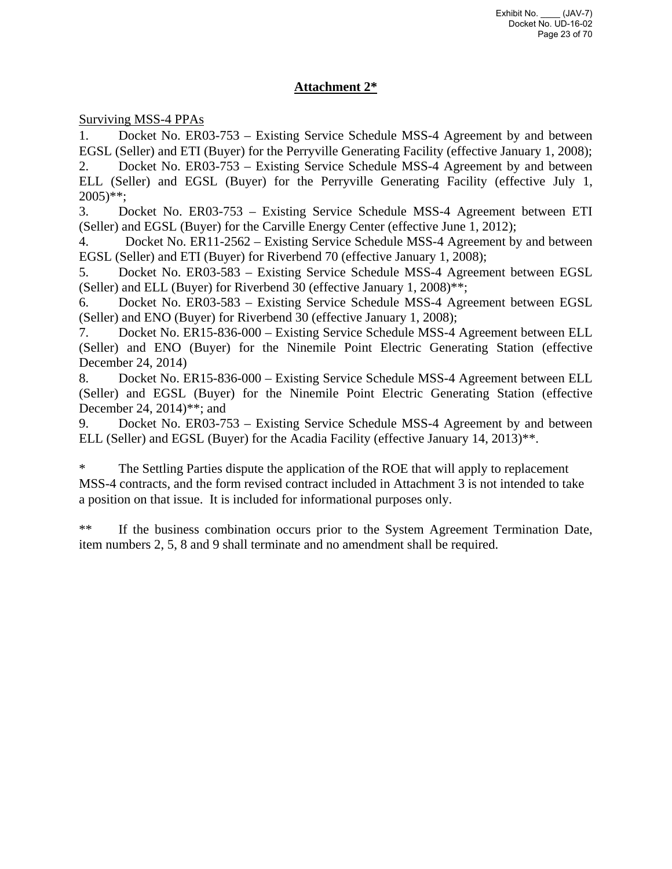# **Attachment 2\***

Surviving MSS-4 PPAs

1. Docket No. ER03-753 – Existing Service Schedule MSS-4 Agreement by and between EGSL (Seller) and ETI (Buyer) for the Perryville Generating Facility (effective January 1, 2008);

2. Docket No. ER03-753 – Existing Service Schedule MSS-4 Agreement by and between ELL (Seller) and EGSL (Buyer) for the Perryville Generating Facility (effective July 1,  $2005$ <sup>\*\*</sup>;

3. Docket No. ER03-753 – Existing Service Schedule MSS-4 Agreement between ETI (Seller) and EGSL (Buyer) for the Carville Energy Center (effective June 1, 2012);

4. Docket No. ER11-2562 – Existing Service Schedule MSS-4 Agreement by and between EGSL (Seller) and ETI (Buyer) for Riverbend 70 (effective January 1, 2008);

5. Docket No. ER03-583 – Existing Service Schedule MSS-4 Agreement between EGSL (Seller) and ELL (Buyer) for Riverbend 30 (effective January 1, 2008)\*\*;

6. Docket No. ER03-583 – Existing Service Schedule MSS-4 Agreement between EGSL (Seller) and ENO (Buyer) for Riverbend 30 (effective January 1, 2008);

7. Docket No. ER15-836-000 – Existing Service Schedule MSS-4 Agreement between ELL (Seller) and ENO (Buyer) for the Ninemile Point Electric Generating Station (effective December 24, 2014)

8. Docket No. ER15-836-000 – Existing Service Schedule MSS-4 Agreement between ELL (Seller) and EGSL (Buyer) for the Ninemile Point Electric Generating Station (effective December 24, 2014)\*\*; and

9. Docket No. ER03-753 – Existing Service Schedule MSS-4 Agreement by and between ELL (Seller) and EGSL (Buyer) for the Acadia Facility (effective January 14, 2013)\*\*.

\* The Settling Parties dispute the application of the ROE that will apply to replacement MSS-4 contracts, and the form revised contract included in Attachment 3 is not intended to take a position on that issue. It is included for informational purposes only.

\*\* If the business combination occurs prior to the System Agreement Termination Date, item numbers 2, 5, 8 and 9 shall terminate and no amendment shall be required.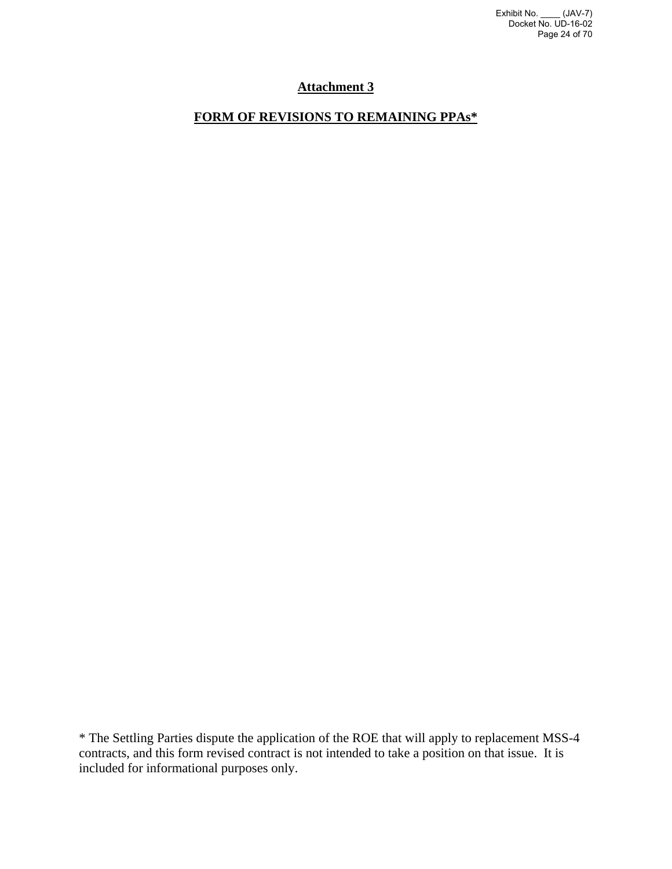# **Attachment 3**

# **FORM OF REVISIONS TO REMAINING PPAs\***

\* The Settling Parties dispute the application of the ROE that will apply to replacement MSS-4 contracts, and this form revised contract is not intended to take a position on that issue. It is included for informational purposes only.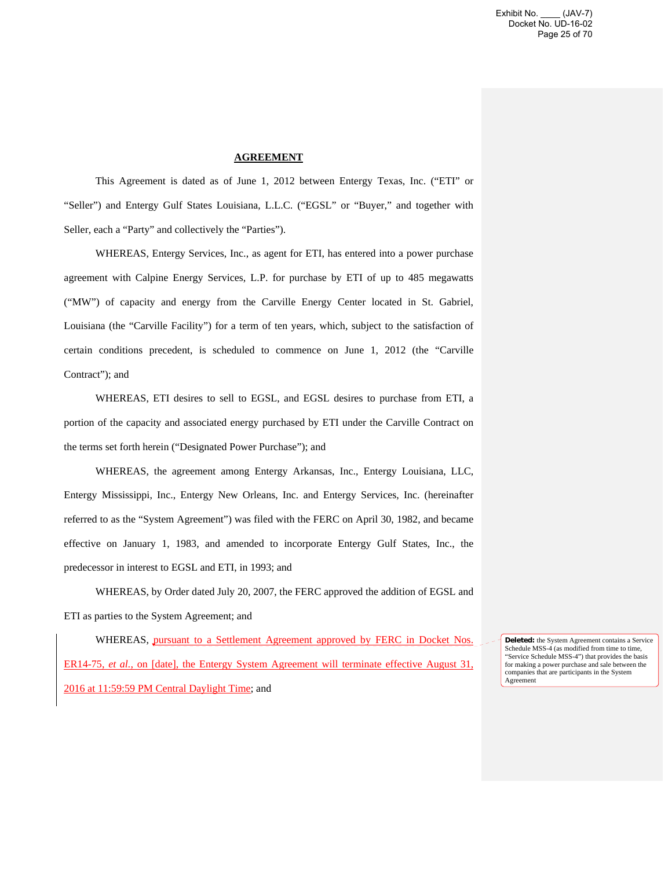#### **AGREEMENT**

This Agreement is dated as of June 1, 2012 between Entergy Texas, Inc. ("ETI" or "Seller") and Entergy Gulf States Louisiana, L.L.C. ("EGSL" or "Buyer," and together with Seller, each a "Party" and collectively the "Parties").

WHEREAS, Entergy Services, Inc., as agent for ETI, has entered into a power purchase agreement with Calpine Energy Services, L.P. for purchase by ETI of up to 485 megawatts ("MW") of capacity and energy from the Carville Energy Center located in St. Gabriel, Louisiana (the "Carville Facility") for a term of ten years, which, subject to the satisfaction of certain conditions precedent, is scheduled to commence on June 1, 2012 (the "Carville Contract"); and

WHEREAS, ETI desires to sell to EGSL, and EGSL desires to purchase from ETI, a portion of the capacity and associated energy purchased by ETI under the Carville Contract on the terms set forth herein ("Designated Power Purchase"); and

WHEREAS, the agreement among Entergy Arkansas, Inc., Entergy Louisiana, LLC, Entergy Mississippi, Inc., Entergy New Orleans, Inc. and Entergy Services, Inc. (hereinafter referred to as the "System Agreement") was filed with the FERC on April 30, 1982, and became effective on January 1, 1983, and amended to incorporate Entergy Gulf States, Inc., the predecessor in interest to EGSL and ETI, in 1993; and

WHEREAS, by Order dated July 20, 2007, the FERC approved the addition of EGSL and ETI as parties to the System Agreement; and

WHEREAS, pursuant to a Settlement Agreement approved by FERC in Docket Nos. ER14-75, *et al.*, on [date], the Entergy System Agreement will terminate effective August 31, 2016 at 11:59:59 PM Central Daylight Time; and

**Deleted:** the System Agreement contains a Service Schedule MSS-4 (as modified from time to time, "Service Schedule MSS-4") that provides the basis for making a power purchase and sale between the companies that are participants in the System **Agreement**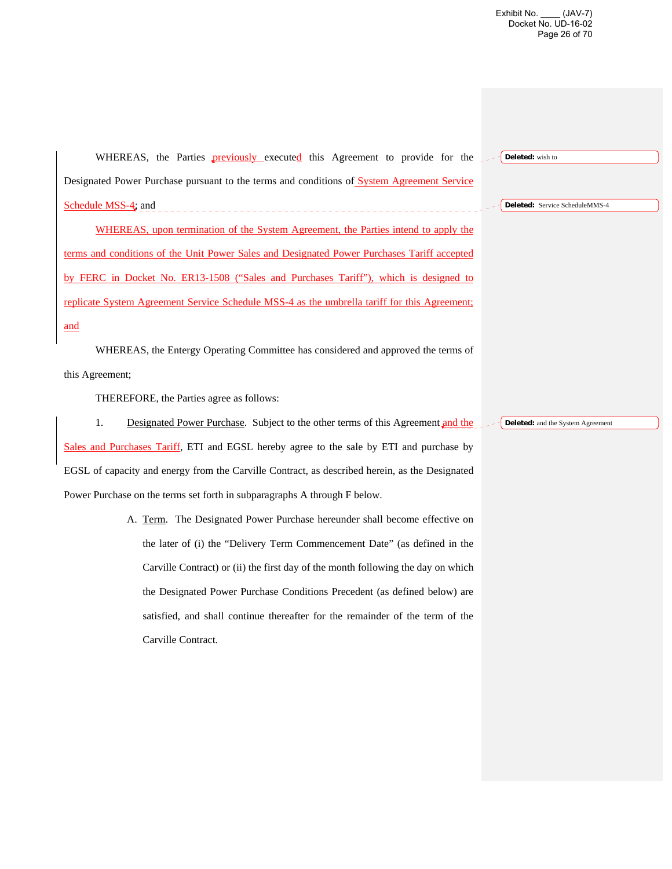Exhibit No. \_\_\_\_ (JAV-7) Docket No. UD-16-02 Page 26 of 70

WHEREAS, the Parties **previously** executed this Agreement to provide for the Designated Power Purchase pursuant to the terms and conditions of System Agreement Service Schedule MSS-4; and WHEREAS, upon termination of the System Agreement, the Parties intend to apply the terms and conditions of the Unit Power Sales and Designated Power Purchases Tariff accepted by FERC in Docket No. ER13-1508 ("Sales and Purchases Tariff"), which is designed to replicate System Agreement Service Schedule MSS-4 as the umbrella tariff for this Agreement; and WHEREAS, the Entergy Operating Committee has considered and approved the terms of this Agreement; THEREFORE, the Parties agree as follows: 1. Designated Power Purchase. Subject to the other terms of this Agreement and the **Deleted:** wish to **Deleted:** Service ScheduleMMS-4 **Deleted:** and the System Agreement

Sales and Purchases Tariff, ETI and EGSL hereby agree to the sale by ETI and purchase by EGSL of capacity and energy from the Carville Contract, as described herein, as the Designated Power Purchase on the terms set forth in subparagraphs A through F below.

> A. Term. The Designated Power Purchase hereunder shall become effective on the later of (i) the "Delivery Term Commencement Date" (as defined in the Carville Contract) or (ii) the first day of the month following the day on which the Designated Power Purchase Conditions Precedent (as defined below) are satisfied, and shall continue thereafter for the remainder of the term of the Carville Contract.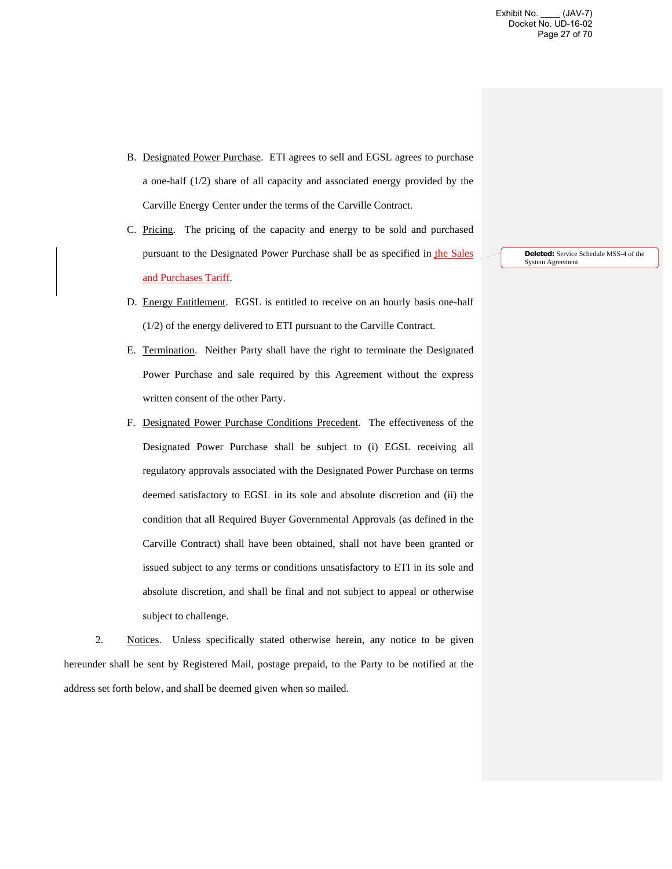- B. Designated Power Purchase. ETI agrees to sell and EGSL agrees to purchase a one-half (1/2) share of all capacity and associated energy provided by the Carville Energy Center under the terms of the Carville Contract.
- C. Pricing. The pricing of the capacity and energy to be sold and purchased pursuant to the Designated Power Purchase shall be as specified in the Sales and Purchases Tariff.
- D. Energy Entitlement. EGSL is entitled to receive on an hourly basis one-half (1/2) of the energy delivered to ETI pursuant to the Carville Contract.
- E. Termination. Neither Party shall have the right to terminate the Designated Power Purchase and sale required by this Agreement without the express written consent of the other Party.
- F. Designated Power Purchase Conditions Precedent. The effectiveness of the Designated Power Purchase shall be subject to (i) EGSL receiving all regulatory approvals associated with the Designated Power Purchase on terms deemed satisfactory to EGSL in its sole and absolute discretion and (ii) the condition that all Required Buyer Governmental Approvals (as defined in the Carville Contract) shall have been obtained, shall not have been granted or issued subject to any terms or conditions unsatisfactory to ETI in its sole and absolute discretion, and shall be final and not subject to appeal or otherwise subject to challenge.

2. Notices. Unless specifically stated otherwise herein, any notice to be given hereunder shall be sent by Registered Mail, postage prepaid, to the Party to be notified at the address set forth below, and shall be deemed given when so mailed.

**Deleted:** Service Schedule MSS-4 of the System Agreement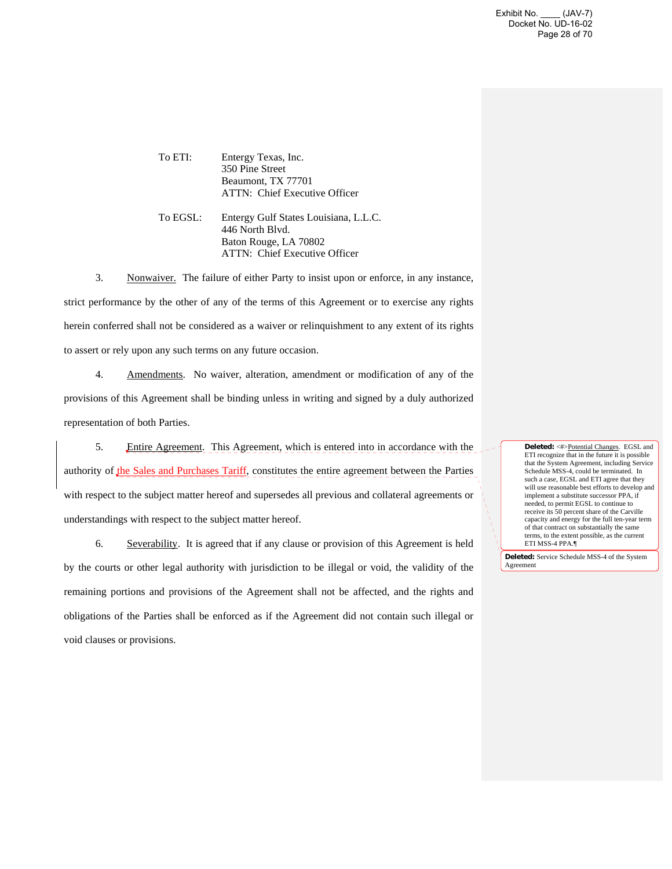Exhibit No. \_\_\_\_ (JAV-7) Docket No. UD-16-02 Page 28 of 70

To ETI: Entergy Texas, Inc. 350 Pine Street Beaumont, TX 77701 ATTN: Chief Executive Officer

To EGSL: Entergy Gulf States Louisiana, L.L.C. 446 North Blvd. Baton Rouge, LA 70802 ATTN: Chief Executive Officer

3. Nonwaiver. The failure of either Party to insist upon or enforce, in any instance, strict performance by the other of any of the terms of this Agreement or to exercise any rights herein conferred shall not be considered as a waiver or relinquishment to any extent of its rights to assert or rely upon any such terms on any future occasion.

4. Amendments. No waiver, alteration, amendment or modification of any of the provisions of this Agreement shall be binding unless in writing and signed by a duly authorized representation of both Parties.

5. Entire Agreement. This Agreement, which is entered into in accordance with the authority of the Sales and Purchases Tariff, constitutes the entire agreement between the Parties with respect to the subject matter hereof and supersedes all previous and collateral agreements or understandings with respect to the subject matter hereof.

6. Severability. It is agreed that if any clause or provision of this Agreement is held by the courts or other legal authority with jurisdiction to be illegal or void, the validity of the remaining portions and provisions of the Agreement shall not be affected, and the rights and obligations of the Parties shall be enforced as if the Agreement did not contain such illegal or void clauses or provisions.

**Deleted:** <#>Potential Changes. EGSL and ETI recognize that in the future it is possible that the System Agreement, including Service Schedule MSS-4, could be terminated. In such a case, EGSL and ETI agree that they will use reasonable best efforts to develop and implement a substitute successor PPA, if needed, to permit EGSL to continue to receive its 50 percent share of the Carville capacity and energy for the full ten-year term of that contract on substantially the same terms, to the extent possible, as the current ETI MSS-4 PPA.¶

**Deleted:** Service Schedule MSS-4 of the System Agreement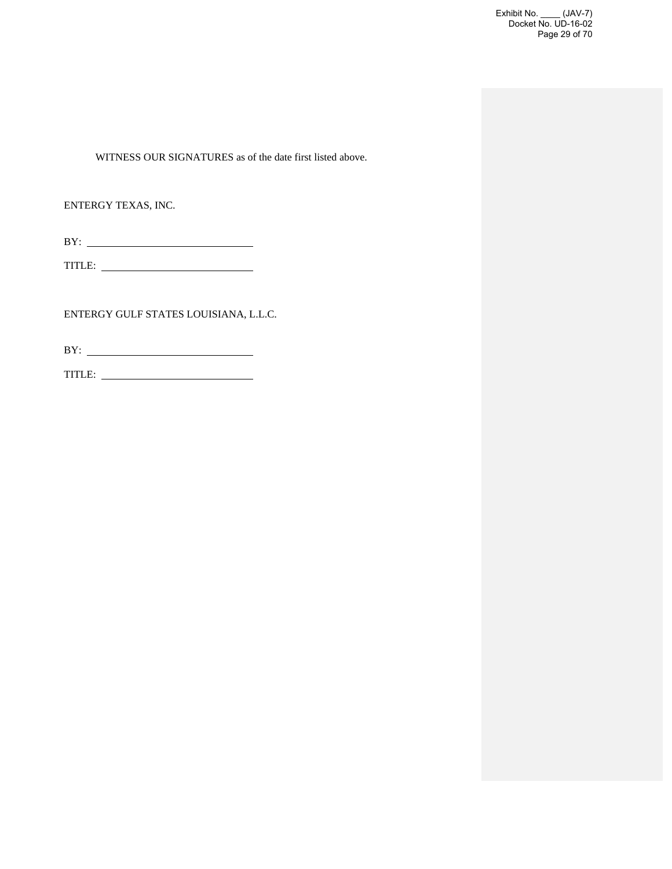Exhibit No. \_\_\_\_ (JAV-7) Docket No. UD-16-02 Page 29 of 70

WITNESS OUR SIGNATURES as of the date first listed above.

ENTERGY TEXAS, INC.

TITLE:

ENTERGY GULF STATES LOUISIANA, L.L.C.

BY:

TITLE: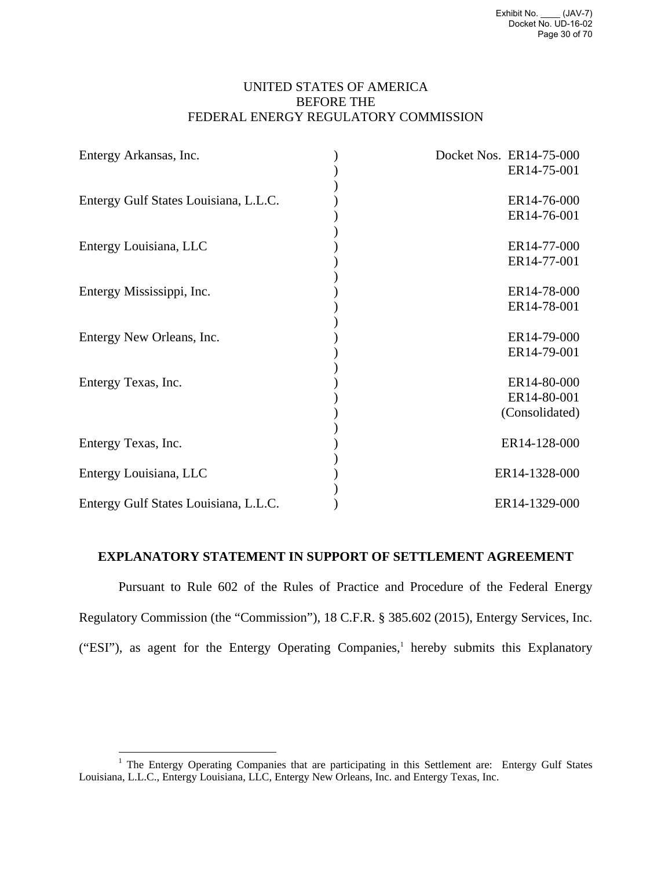## UNITED STATES OF AMERICA BEFORE THE FEDERAL ENERGY REGULATORY COMMISSION

| Entergy Arkansas, Inc.                | Docket Nos. ER14-75-000 |
|---------------------------------------|-------------------------|
|                                       | ER14-75-001             |
| Entergy Gulf States Louisiana, L.L.C. | ER14-76-000             |
|                                       | ER14-76-001             |
| Entergy Louisiana, LLC                | ER14-77-000             |
|                                       | ER14-77-001             |
| Entergy Mississippi, Inc.             | ER14-78-000             |
|                                       | ER14-78-001             |
| Entergy New Orleans, Inc.             | ER14-79-000             |
|                                       | ER14-79-001             |
| Entergy Texas, Inc.                   | ER14-80-000             |
|                                       | ER14-80-001             |
|                                       | (Consolidated)          |
| Entergy Texas, Inc.                   | ER14-128-000            |
| Entergy Louisiana, LLC                | ER14-1328-000           |
| Entergy Gulf States Louisiana, L.L.C. | ER14-1329-000           |

## **EXPLANATORY STATEMENT IN SUPPORT OF SETTLEMENT AGREEMENT**

Pursuant to Rule 602 of the Rules of Practice and Procedure of the Federal Energy Regulatory Commission (the "Commission"), 18 C.F.R. § 385.602 (2015), Entergy Services, Inc. ("ESI"), as agent for the Entergy Operating Companies,<sup>1</sup> hereby submits this Explanatory

<sup>&</sup>lt;sup>1</sup> The Entergy Operating Companies that are participating in this Settlement are: Entergy Gulf States Louisiana, L.L.C., Entergy Louisiana, LLC, Entergy New Orleans, Inc. and Entergy Texas, Inc.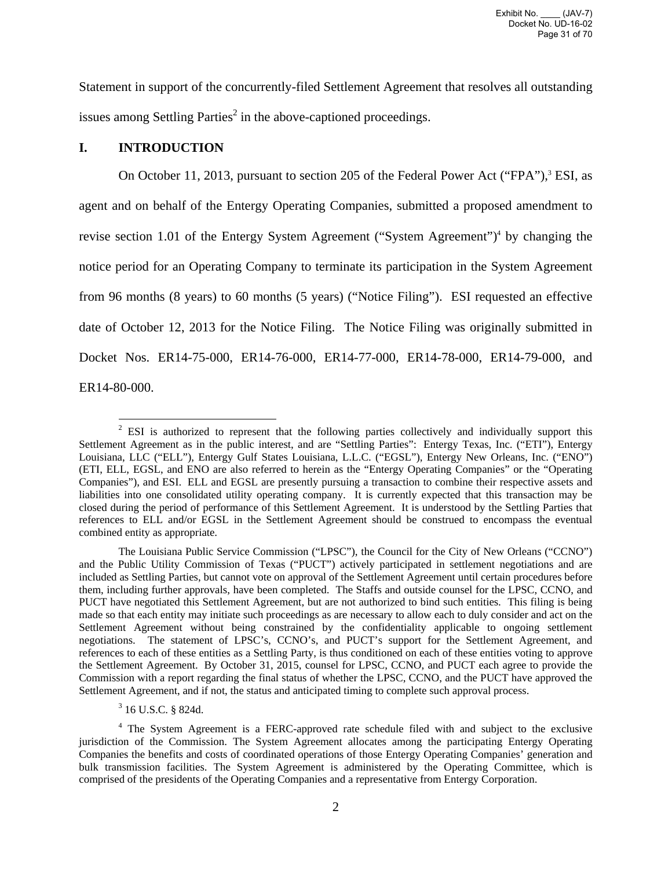Statement in support of the concurrently-filed Settlement Agreement that resolves all outstanding issues among Settling Parties<sup>2</sup> in the above-captioned proceedings.

### **I. INTRODUCTION**

On October 11, 2013, pursuant to section 205 of the Federal Power Act ("FPA"),<sup>3</sup> ESI, as agent and on behalf of the Entergy Operating Companies, submitted a proposed amendment to revise section 1.01 of the Entergy System Agreement ("System Agreement")<sup>4</sup> by changing the notice period for an Operating Company to terminate its participation in the System Agreement from 96 months (8 years) to 60 months (5 years) ("Notice Filing"). ESI requested an effective date of October 12, 2013 for the Notice Filing. The Notice Filing was originally submitted in Docket Nos. ER14-75-000, ER14-76-000, ER14-77-000, ER14-78-000, ER14-79-000, and ER14-80-000.

<sup>&</sup>lt;sup>2</sup> ESI is authorized to represent that the following parties collectively and individually support this Settlement Agreement as in the public interest, and are "Settling Parties": Entergy Texas, Inc. ("ETI"), Entergy Louisiana, LLC ("ELL"), Entergy Gulf States Louisiana, L.L.C. ("EGSL"), Entergy New Orleans, Inc. ("ENO") (ETI, ELL, EGSL, and ENO are also referred to herein as the "Entergy Operating Companies" or the "Operating Companies"), and ESI. ELL and EGSL are presently pursuing a transaction to combine their respective assets and liabilities into one consolidated utility operating company. It is currently expected that this transaction may be closed during the period of performance of this Settlement Agreement. It is understood by the Settling Parties that references to ELL and/or EGSL in the Settlement Agreement should be construed to encompass the eventual combined entity as appropriate.

The Louisiana Public Service Commission ("LPSC"), the Council for the City of New Orleans ("CCNO") and the Public Utility Commission of Texas ("PUCT") actively participated in settlement negotiations and are included as Settling Parties, but cannot vote on approval of the Settlement Agreement until certain procedures before them, including further approvals, have been completed. The Staffs and outside counsel for the LPSC, CCNO, and PUCT have negotiated this Settlement Agreement, but are not authorized to bind such entities. This filing is being made so that each entity may initiate such proceedings as are necessary to allow each to duly consider and act on the Settlement Agreement without being constrained by the confidentiality applicable to ongoing settlement negotiations. The statement of LPSC's, CCNO's, and PUCT's support for the Settlement Agreement, and references to each of these entities as a Settling Party, is thus conditioned on each of these entities voting to approve the Settlement Agreement. By October 31, 2015, counsel for LPSC, CCNO, and PUCT each agree to provide the Commission with a report regarding the final status of whether the LPSC, CCNO, and the PUCT have approved the Settlement Agreement, and if not, the status and anticipated timing to complete such approval process.

<sup>3</sup> 16 U.S.C. § 824d.

<sup>&</sup>lt;sup>4</sup> The System Agreement is a FERC-approved rate schedule filed with and subject to the exclusive jurisdiction of the Commission. The System Agreement allocates among the participating Entergy Operating Companies the benefits and costs of coordinated operations of those Entergy Operating Companies' generation and bulk transmission facilities. The System Agreement is administered by the Operating Committee, which is comprised of the presidents of the Operating Companies and a representative from Entergy Corporation.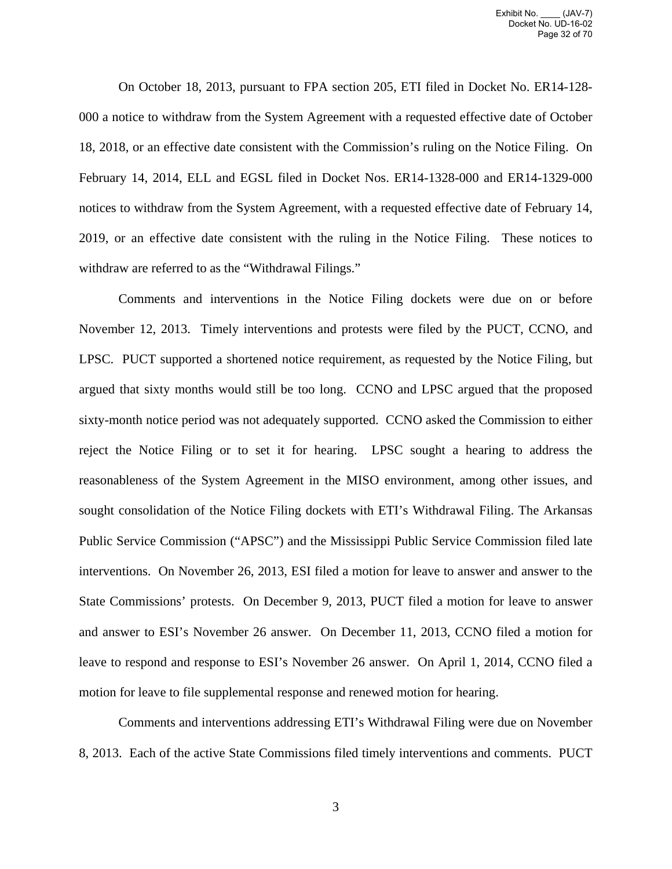On October 18, 2013, pursuant to FPA section 205, ETI filed in Docket No. ER14-128- 000 a notice to withdraw from the System Agreement with a requested effective date of October 18, 2018, or an effective date consistent with the Commission's ruling on the Notice Filing. On February 14, 2014, ELL and EGSL filed in Docket Nos. ER14-1328-000 and ER14-1329-000 notices to withdraw from the System Agreement, with a requested effective date of February 14, 2019, or an effective date consistent with the ruling in the Notice Filing. These notices to withdraw are referred to as the "Withdrawal Filings."

Comments and interventions in the Notice Filing dockets were due on or before November 12, 2013. Timely interventions and protests were filed by the PUCT, CCNO, and LPSC. PUCT supported a shortened notice requirement, as requested by the Notice Filing, but argued that sixty months would still be too long. CCNO and LPSC argued that the proposed sixty-month notice period was not adequately supported. CCNO asked the Commission to either reject the Notice Filing or to set it for hearing. LPSC sought a hearing to address the reasonableness of the System Agreement in the MISO environment, among other issues, and sought consolidation of the Notice Filing dockets with ETI's Withdrawal Filing. The Arkansas Public Service Commission ("APSC") and the Mississippi Public Service Commission filed late interventions. On November 26, 2013, ESI filed a motion for leave to answer and answer to the State Commissions' protests. On December 9, 2013, PUCT filed a motion for leave to answer and answer to ESI's November 26 answer. On December 11, 2013, CCNO filed a motion for leave to respond and response to ESI's November 26 answer. On April 1, 2014, CCNO filed a motion for leave to file supplemental response and renewed motion for hearing.

Comments and interventions addressing ETI's Withdrawal Filing were due on November 8, 2013. Each of the active State Commissions filed timely interventions and comments. PUCT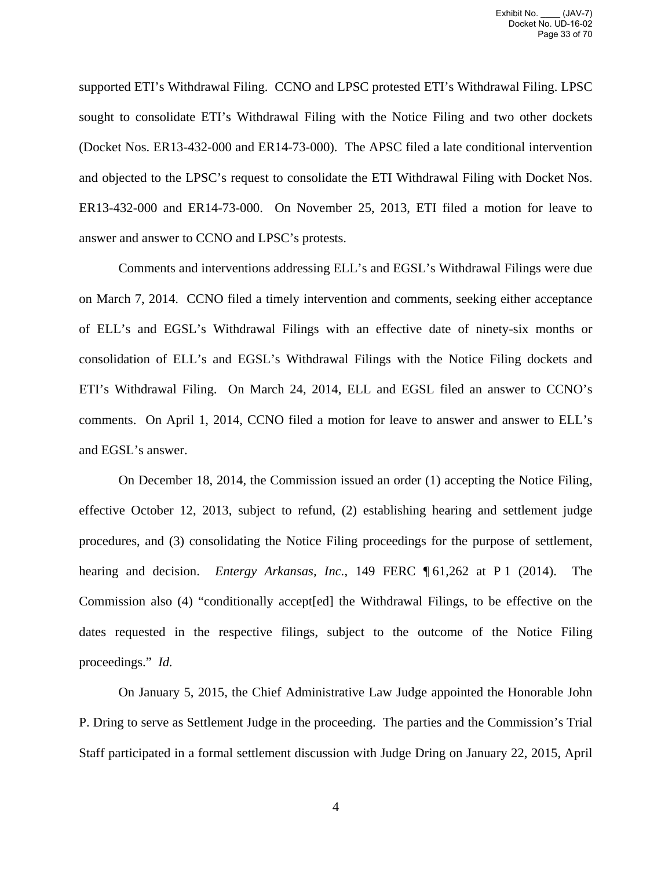supported ETI's Withdrawal Filing. CCNO and LPSC protested ETI's Withdrawal Filing. LPSC sought to consolidate ETI's Withdrawal Filing with the Notice Filing and two other dockets (Docket Nos. ER13-432-000 and ER14-73-000). The APSC filed a late conditional intervention and objected to the LPSC's request to consolidate the ETI Withdrawal Filing with Docket Nos. ER13-432-000 and ER14-73-000. On November 25, 2013, ETI filed a motion for leave to answer and answer to CCNO and LPSC's protests.

Comments and interventions addressing ELL's and EGSL's Withdrawal Filings were due on March 7, 2014. CCNO filed a timely intervention and comments, seeking either acceptance of ELL's and EGSL's Withdrawal Filings with an effective date of ninety-six months or consolidation of ELL's and EGSL's Withdrawal Filings with the Notice Filing dockets and ETI's Withdrawal Filing. On March 24, 2014, ELL and EGSL filed an answer to CCNO's comments. On April 1, 2014, CCNO filed a motion for leave to answer and answer to ELL's and EGSL's answer.

On December 18, 2014, the Commission issued an order (1) accepting the Notice Filing, effective October 12, 2013, subject to refund, (2) establishing hearing and settlement judge procedures, and (3) consolidating the Notice Filing proceedings for the purpose of settlement, hearing and decision. *Entergy Arkansas, Inc.*, 149 FERC ¶ 61,262 at P 1 (2014). The Commission also (4) "conditionally accept[ed] the Withdrawal Filings, to be effective on the dates requested in the respective filings, subject to the outcome of the Notice Filing proceedings." *Id.*

On January 5, 2015, the Chief Administrative Law Judge appointed the Honorable John P. Dring to serve as Settlement Judge in the proceeding. The parties and the Commission's Trial Staff participated in a formal settlement discussion with Judge Dring on January 22, 2015, April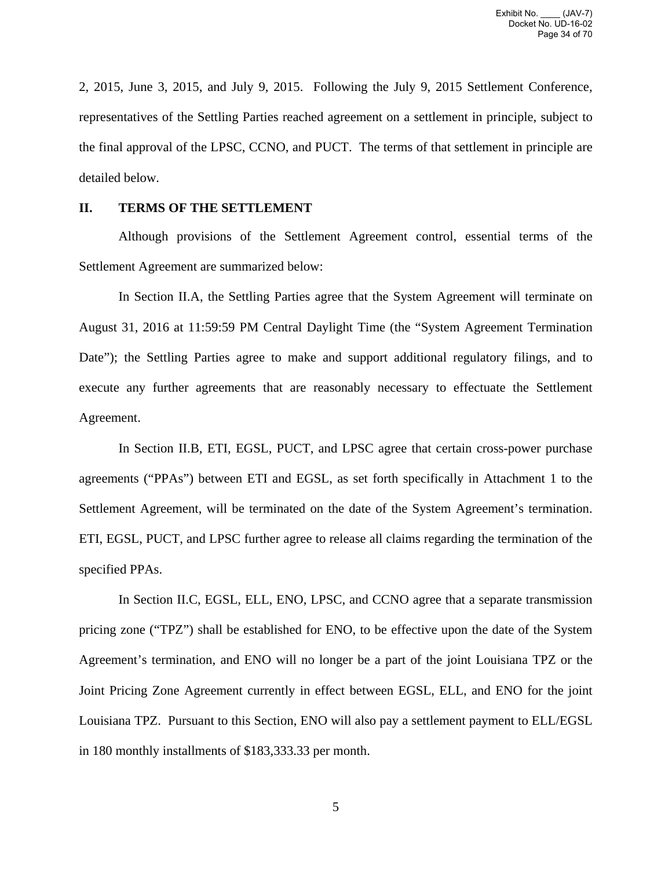2, 2015, June 3, 2015, and July 9, 2015. Following the July 9, 2015 Settlement Conference, representatives of the Settling Parties reached agreement on a settlement in principle, subject to the final approval of the LPSC, CCNO, and PUCT. The terms of that settlement in principle are detailed below.

## **II. TERMS OF THE SETTLEMENT**

Although provisions of the Settlement Agreement control, essential terms of the Settlement Agreement are summarized below:

In Section II.A, the Settling Parties agree that the System Agreement will terminate on August 31, 2016 at 11:59:59 PM Central Daylight Time (the "System Agreement Termination Date"); the Settling Parties agree to make and support additional regulatory filings, and to execute any further agreements that are reasonably necessary to effectuate the Settlement Agreement.

In Section II.B, ETI, EGSL, PUCT, and LPSC agree that certain cross-power purchase agreements ("PPAs") between ETI and EGSL, as set forth specifically in Attachment 1 to the Settlement Agreement, will be terminated on the date of the System Agreement's termination. ETI, EGSL, PUCT, and LPSC further agree to release all claims regarding the termination of the specified PPAs.

In Section II.C, EGSL, ELL, ENO, LPSC, and CCNO agree that a separate transmission pricing zone ("TPZ") shall be established for ENO, to be effective upon the date of the System Agreement's termination, and ENO will no longer be a part of the joint Louisiana TPZ or the Joint Pricing Zone Agreement currently in effect between EGSL, ELL, and ENO for the joint Louisiana TPZ. Pursuant to this Section, ENO will also pay a settlement payment to ELL/EGSL in 180 monthly installments of \$183,333.33 per month.

5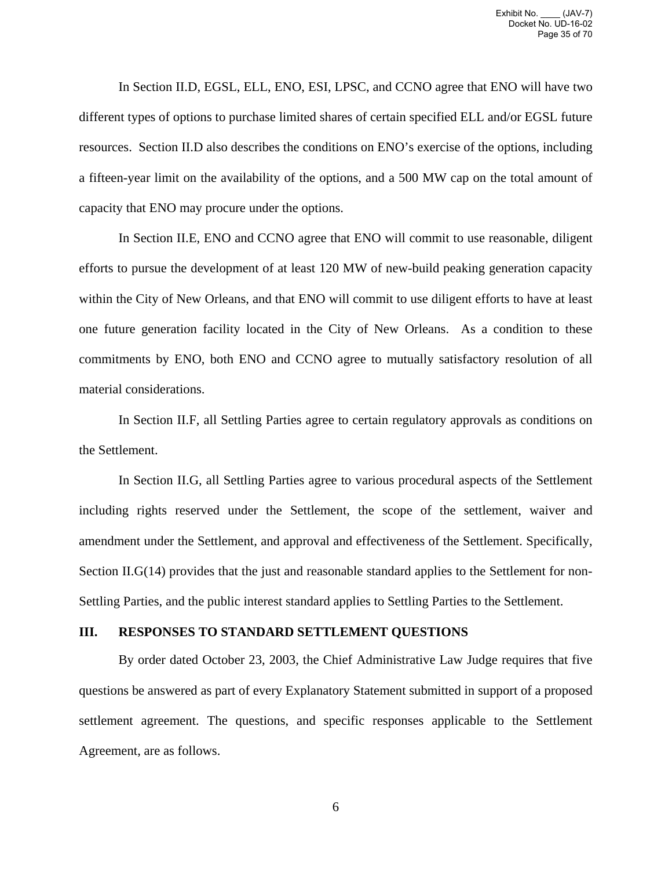In Section II.D, EGSL, ELL, ENO, ESI, LPSC, and CCNO agree that ENO will have two different types of options to purchase limited shares of certain specified ELL and/or EGSL future resources. Section II.D also describes the conditions on ENO's exercise of the options, including a fifteen-year limit on the availability of the options, and a 500 MW cap on the total amount of capacity that ENO may procure under the options.

In Section II.E, ENO and CCNO agree that ENO will commit to use reasonable, diligent efforts to pursue the development of at least 120 MW of new-build peaking generation capacity within the City of New Orleans, and that ENO will commit to use diligent efforts to have at least one future generation facility located in the City of New Orleans. As a condition to these commitments by ENO, both ENO and CCNO agree to mutually satisfactory resolution of all material considerations.

In Section II.F, all Settling Parties agree to certain regulatory approvals as conditions on the Settlement.

In Section II.G, all Settling Parties agree to various procedural aspects of the Settlement including rights reserved under the Settlement, the scope of the settlement, waiver and amendment under the Settlement, and approval and effectiveness of the Settlement. Specifically, Section II.G(14) provides that the just and reasonable standard applies to the Settlement for non-Settling Parties, and the public interest standard applies to Settling Parties to the Settlement.

### **III. RESPONSES TO STANDARD SETTLEMENT QUESTIONS**

By order dated October 23, 2003, the Chief Administrative Law Judge requires that five questions be answered as part of every Explanatory Statement submitted in support of a proposed settlement agreement. The questions, and specific responses applicable to the Settlement Agreement, are as follows.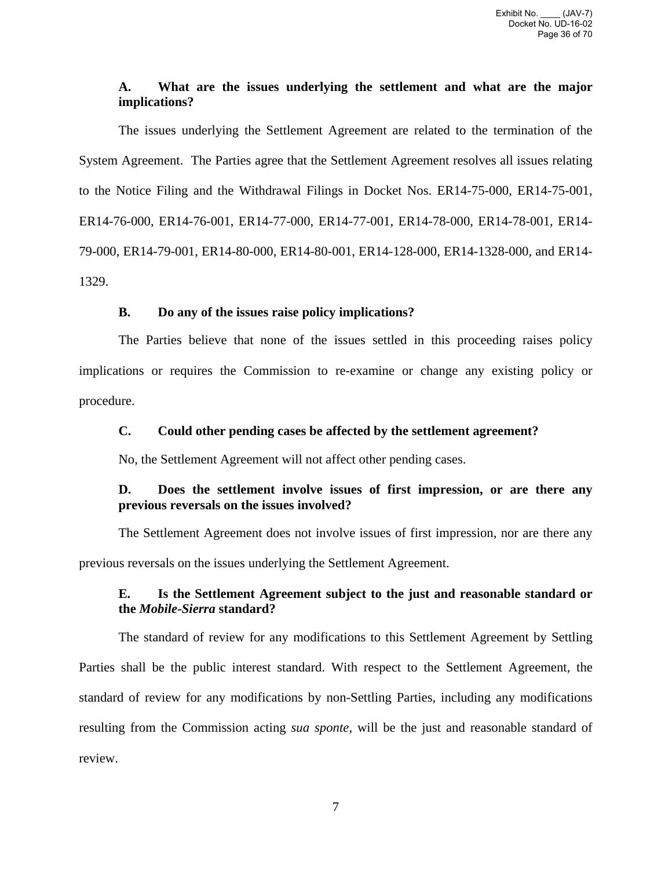# **A. What are the issues underlying the settlement and what are the major implications?**

The issues underlying the Settlement Agreement are related to the termination of the System Agreement. The Parties agree that the Settlement Agreement resolves all issues relating to the Notice Filing and the Withdrawal Filings in Docket Nos. ER14-75-000, ER14-75-001, ER14-76-000, ER14-76-001, ER14-77-000, ER14-77-001, ER14-78-000, ER14-78-001, ER14- 79-000, ER14-79-001, ER14-80-000, ER14-80-001, ER14-128-000, ER14-1328-000, and ER14- 1329.

## **B. Do any of the issues raise policy implications?**

The Parties believe that none of the issues settled in this proceeding raises policy implications or requires the Commission to re-examine or change any existing policy or procedure.

## **C. Could other pending cases be affected by the settlement agreement?**

No, the Settlement Agreement will not affect other pending cases.

# **D. Does the settlement involve issues of first impression, or are there any previous reversals on the issues involved?**

The Settlement Agreement does not involve issues of first impression, nor are there any

previous reversals on the issues underlying the Settlement Agreement.

# **E. Is the Settlement Agreement subject to the just and reasonable standard or the** *Mobile-Sierra* **standard?**

The standard of review for any modifications to this Settlement Agreement by Settling Parties shall be the public interest standard. With respect to the Settlement Agreement, the standard of review for any modifications by non-Settling Parties, including any modifications resulting from the Commission acting *sua sponte*, will be the just and reasonable standard of review.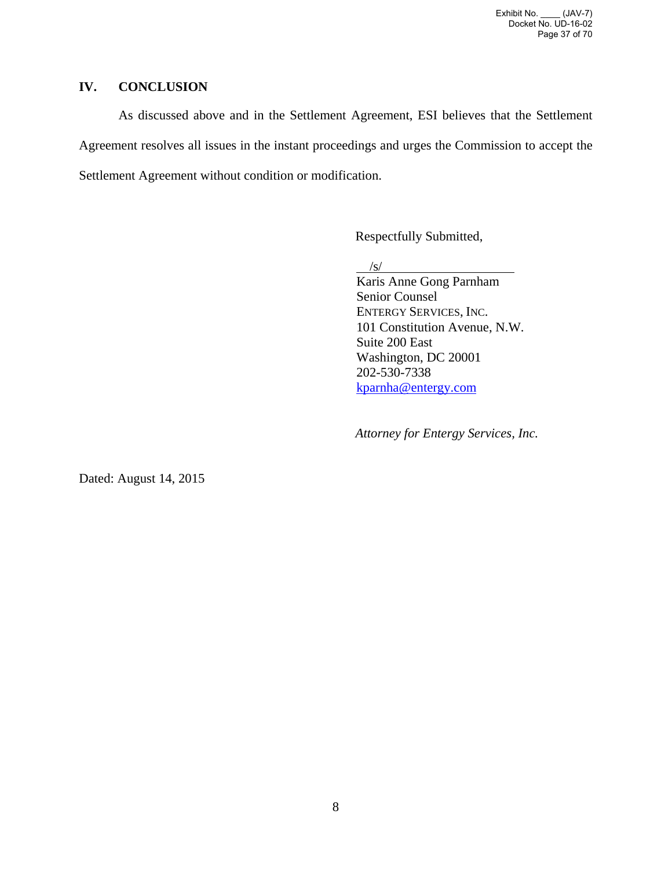Exhibit No. \_\_\_\_ (JAV-7) Docket No. UD-16-02 Page 37 of 70

## **IV. CONCLUSION**

As discussed above and in the Settlement Agreement, ESI believes that the Settlement Agreement resolves all issues in the instant proceedings and urges the Commission to accept the Settlement Agreement without condition or modification.

Respectfully Submitted,

/s/

Karis Anne Gong Parnham Senior Counsel ENTERGY SERVICES, INC. 101 Constitution Avenue, N.W. Suite 200 East Washington, DC 20001 202-530-7338 kparnha@entergy.com

*Attorney for Entergy Services, Inc.* 

Dated: August 14, 2015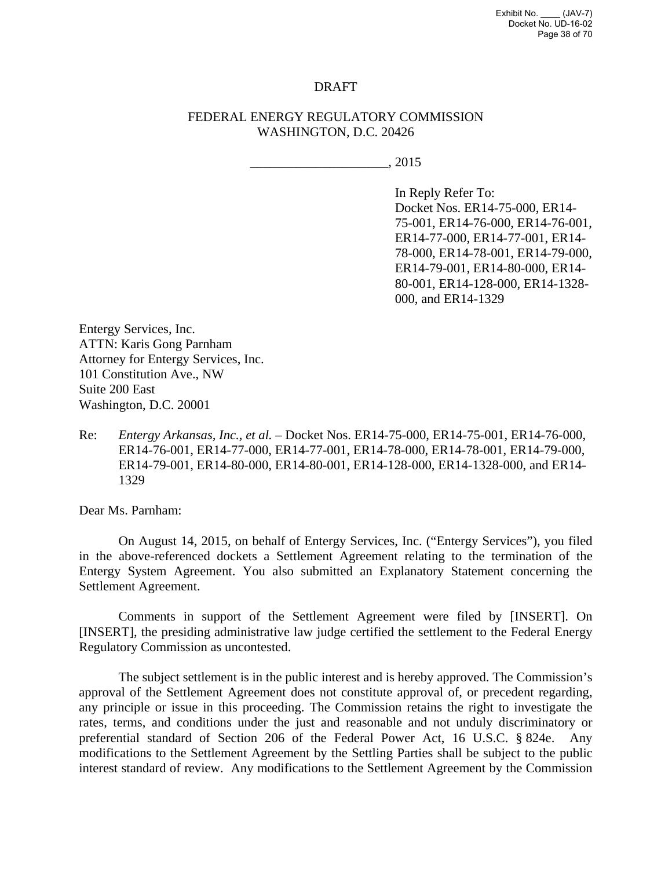Exhibit No. \_\_\_\_ (JAV-7) Docket No. UD-16-02 Page 38 of 70

### DRAFT

### FEDERAL ENERGY REGULATORY COMMISSION WASHINGTON, D.C. 20426

 $\_$ , 2015

In Reply Refer To: Docket Nos. ER14-75-000, ER14- 75-001, ER14-76-000, ER14-76-001, ER14-77-000, ER14-77-001, ER14- 78-000, ER14-78-001, ER14-79-000, ER14-79-001, ER14-80-000, ER14- 80-001, ER14-128-000, ER14-1328- 000, and ER14-1329

Entergy Services, Inc. ATTN: Karis Gong Parnham Attorney for Entergy Services, Inc. 101 Constitution Ave., NW Suite 200 East Washington, D.C. 20001

Re: *Entergy Arkansas, Inc., et al.* – Docket Nos. ER14-75-000, ER14-75-001, ER14-76-000, ER14-76-001, ER14-77-000, ER14-77-001, ER14-78-000, ER14-78-001, ER14-79-000, ER14-79-001, ER14-80-000, ER14-80-001, ER14-128-000, ER14-1328-000, and ER14- 1329

Dear Ms. Parnham:

On August 14, 2015, on behalf of Entergy Services, Inc. ("Entergy Services"), you filed in the above-referenced dockets a Settlement Agreement relating to the termination of the Entergy System Agreement. You also submitted an Explanatory Statement concerning the Settlement Agreement.

Comments in support of the Settlement Agreement were filed by [INSERT]. On [INSERT], the presiding administrative law judge certified the settlement to the Federal Energy Regulatory Commission as uncontested.

The subject settlement is in the public interest and is hereby approved. The Commission's approval of the Settlement Agreement does not constitute approval of, or precedent regarding, any principle or issue in this proceeding. The Commission retains the right to investigate the rates, terms, and conditions under the just and reasonable and not unduly discriminatory or preferential standard of Section 206 of the Federal Power Act, 16 U.S.C. § 824e. Any modifications to the Settlement Agreement by the Settling Parties shall be subject to the public interest standard of review. Any modifications to the Settlement Agreement by the Commission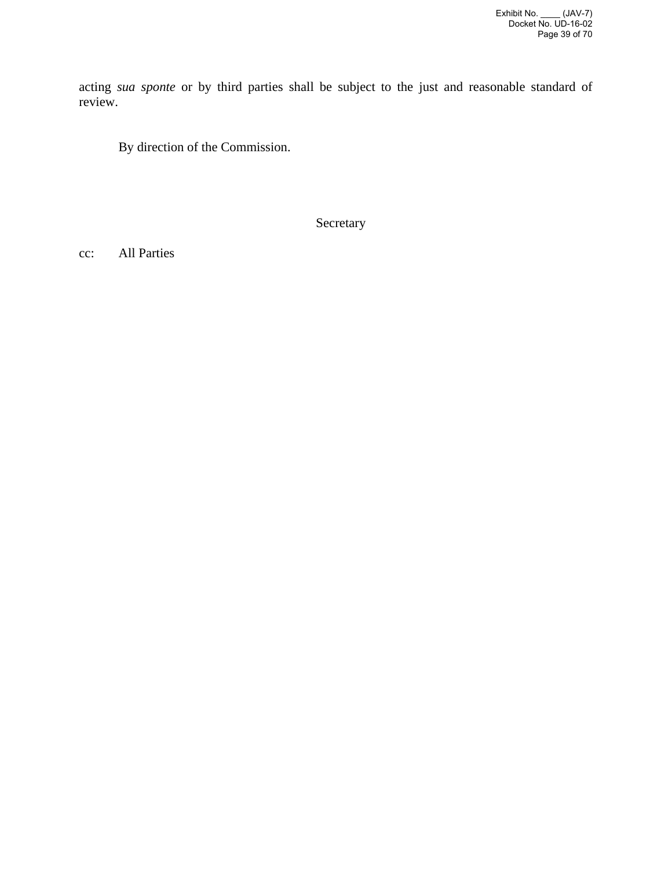acting *sua sponte* or by third parties shall be subject to the just and reasonable standard of review.

By direction of the Commission.

Secretary

cc: All Parties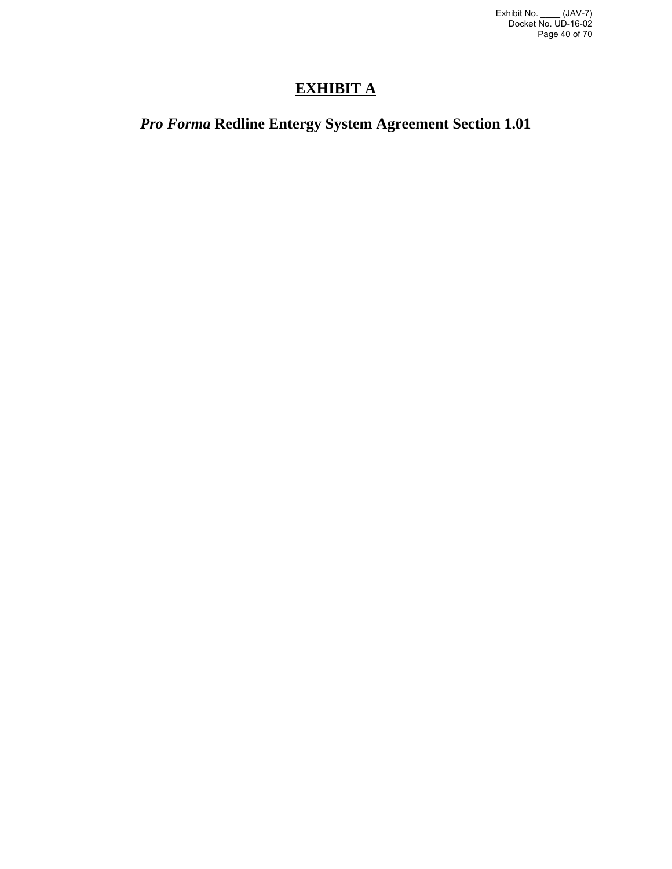# **EXHIBIT A**

# *Pro Forma* **Redline Entergy System Agreement Section 1.01**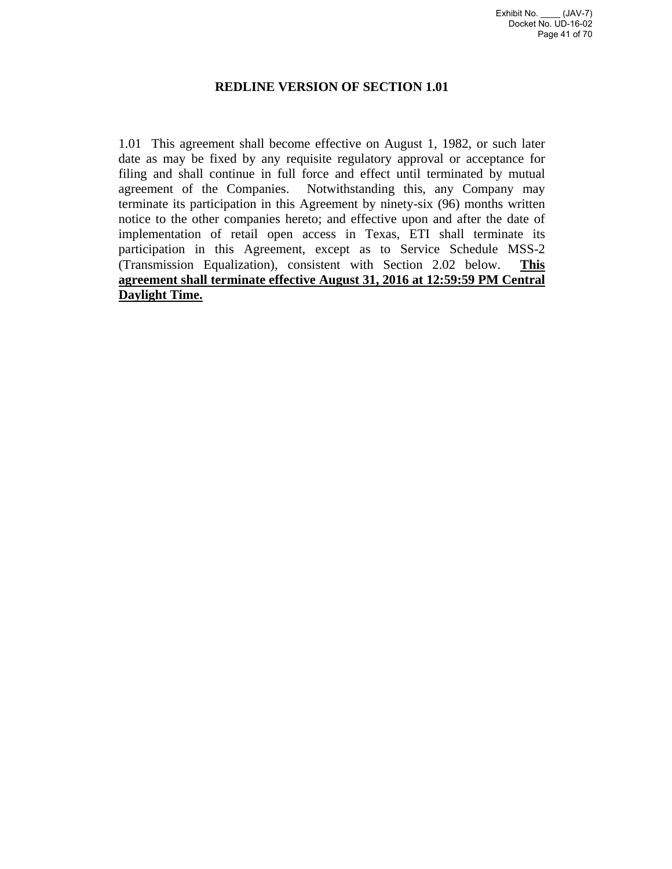## **REDLINE VERSION OF SECTION 1.01**

1.01 This agreement shall become effective on August 1, 1982, or such later date as may be fixed by any requisite regulatory approval or acceptance for filing and shall continue in full force and effect until terminated by mutual agreement of the Companies. Notwithstanding this, any Company may terminate its participation in this Agreement by ninety-six (96) months written notice to the other companies hereto; and effective upon and after the date of implementation of retail open access in Texas, ETI shall terminate its participation in this Agreement, except as to Service Schedule MSS-2 (Transmission Equalization), consistent with Section 2.02 below. **This agreement shall terminate effective August 31, 2016 at 12:59:59 PM Central Daylight Time.**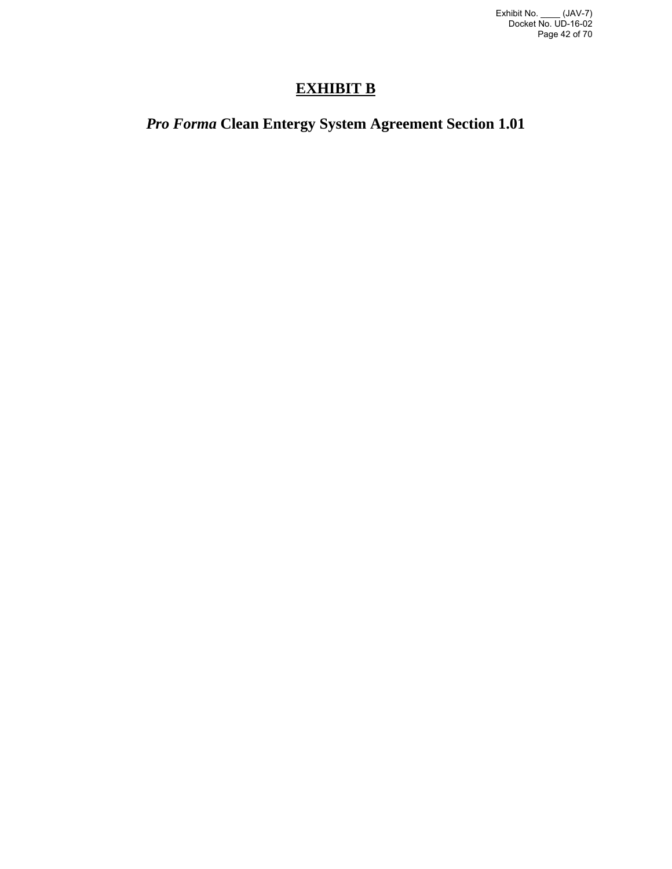# **EXHIBIT B**

# *Pro Forma* **Clean Entergy System Agreement Section 1.01**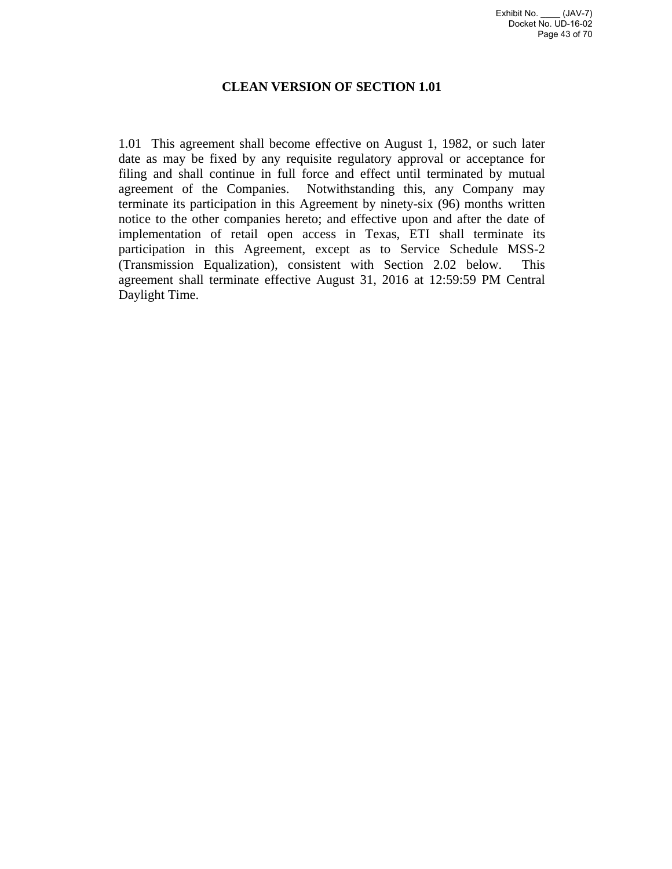## **CLEAN VERSION OF SECTION 1.01**

1.01 This agreement shall become effective on August 1, 1982, or such later date as may be fixed by any requisite regulatory approval or acceptance for filing and shall continue in full force and effect until terminated by mutual agreement of the Companies. Notwithstanding this, any Company may terminate its participation in this Agreement by ninety-six (96) months written notice to the other companies hereto; and effective upon and after the date of implementation of retail open access in Texas, ETI shall terminate its participation in this Agreement, except as to Service Schedule MSS-2 (Transmission Equalization), consistent with Section 2.02 below. This agreement shall terminate effective August 31, 2016 at 12:59:59 PM Central Daylight Time.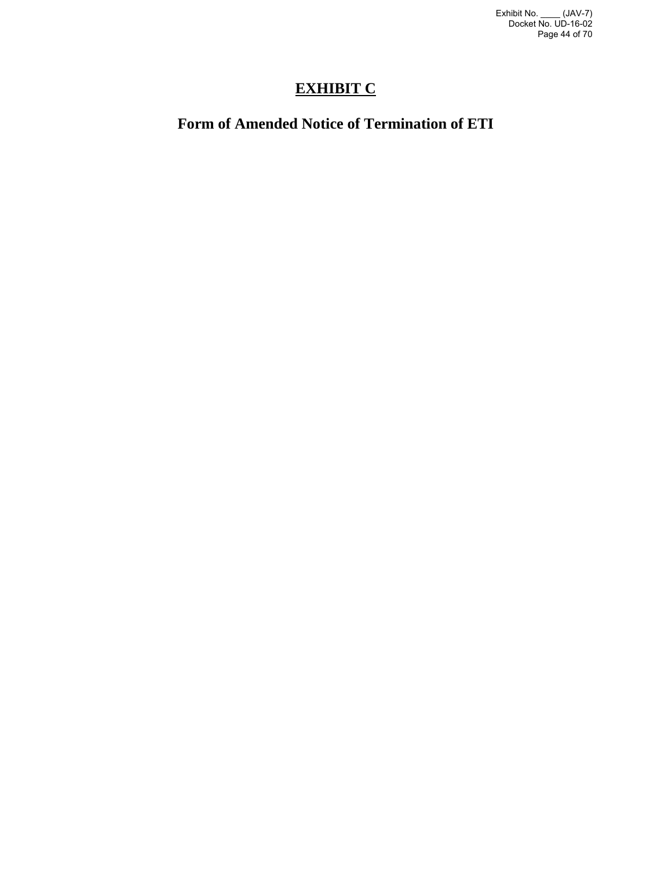# **EXHIBIT C**

# **Form of Amended Notice of Termination of ETI**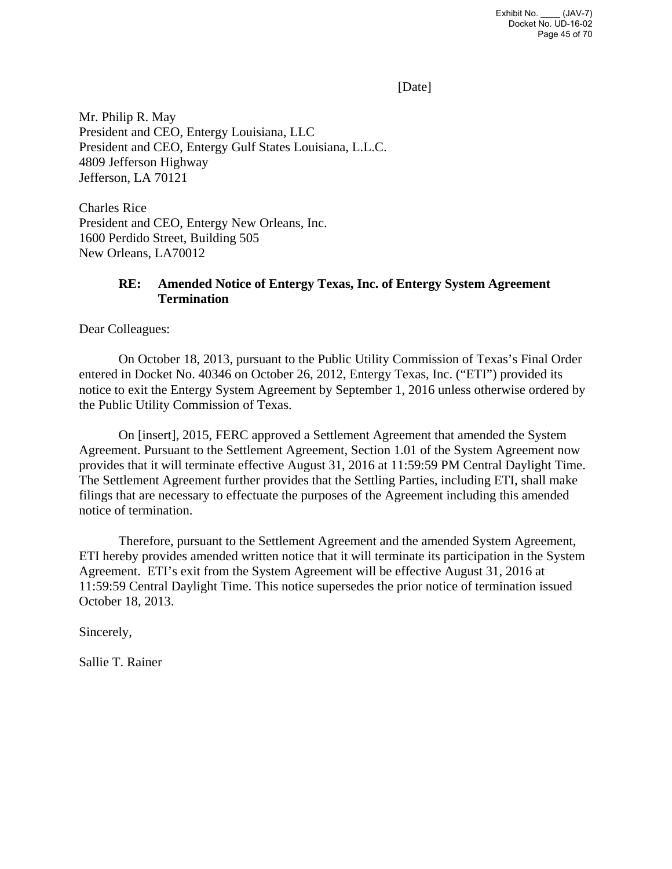[Date]

Mr. Philip R. May President and CEO, Entergy Louisiana, LLC President and CEO, Entergy Gulf States Louisiana, L.L.C. 4809 Jefferson Highway Jefferson, LA 70121

Charles Rice President and CEO, Entergy New Orleans, Inc. 1600 Perdido Street, Building 505 New Orleans, LA70012

## **RE: Amended Notice of Entergy Texas, Inc. of Entergy System Agreement Termination**

Dear Colleagues:

 On October 18, 2013, pursuant to the Public Utility Commission of Texas's Final Order entered in Docket No. 40346 on October 26, 2012, Entergy Texas, Inc. ("ETI") provided its notice to exit the Entergy System Agreement by September 1, 2016 unless otherwise ordered by the Public Utility Commission of Texas.

On [insert], 2015, FERC approved a Settlement Agreement that amended the System Agreement. Pursuant to the Settlement Agreement, Section 1.01 of the System Agreement now provides that it will terminate effective August 31, 2016 at 11:59:59 PM Central Daylight Time. The Settlement Agreement further provides that the Settling Parties, including ETI, shall make filings that are necessary to effectuate the purposes of the Agreement including this amended notice of termination.

Therefore, pursuant to the Settlement Agreement and the amended System Agreement, ETI hereby provides amended written notice that it will terminate its participation in the System Agreement. ETI's exit from the System Agreement will be effective August 31, 2016 at 11:59:59 Central Daylight Time. This notice supersedes the prior notice of termination issued October 18, 2013.

Sincerely,

Sallie T. Rainer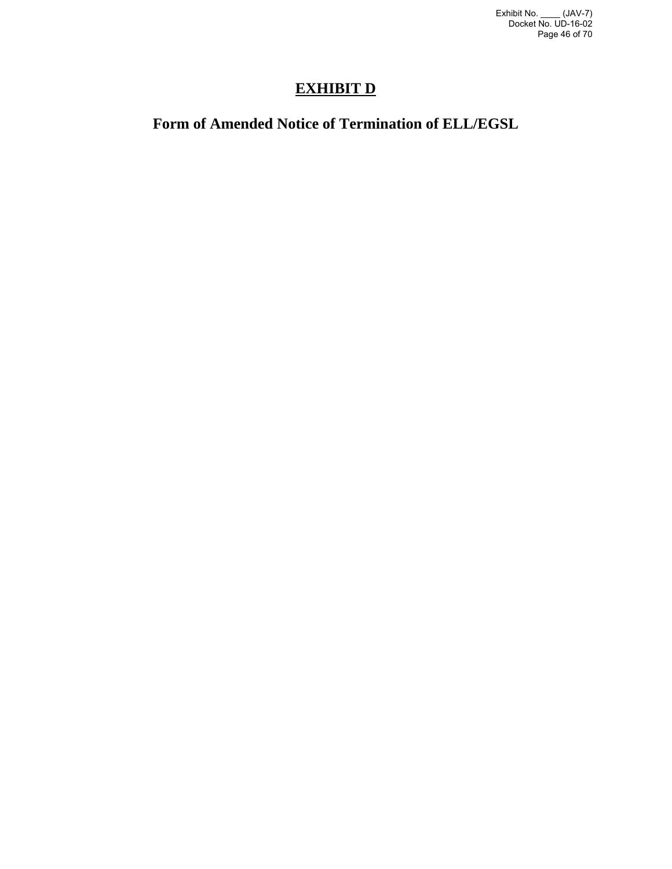# **EXHIBIT D**

# **Form of Amended Notice of Termination of ELL/EGSL**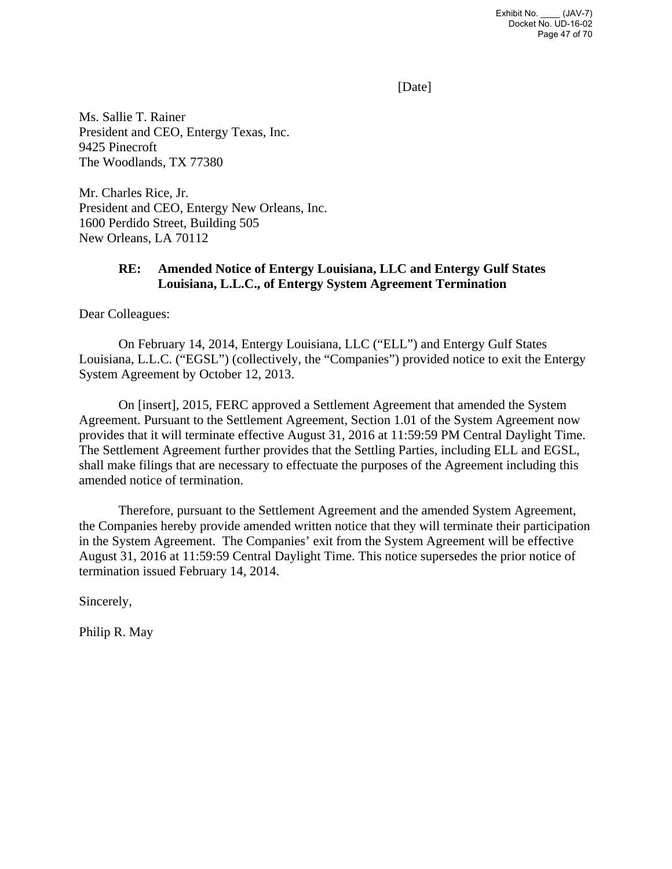[Date]

Ms. Sallie T. Rainer President and CEO, Entergy Texas, Inc. 9425 Pinecroft The Woodlands, TX 77380

Mr. Charles Rice, Jr. President and CEO, Entergy New Orleans, Inc. 1600 Perdido Street, Building 505 New Orleans, LA 70112

## **RE: Amended Notice of Entergy Louisiana, LLC and Entergy Gulf States Louisiana, L.L.C., of Entergy System Agreement Termination**

Dear Colleagues:

 On February 14, 2014, Entergy Louisiana, LLC ("ELL") and Entergy Gulf States Louisiana, L.L.C. ("EGSL") (collectively, the "Companies") provided notice to exit the Entergy System Agreement by October 12, 2013.

On [insert], 2015, FERC approved a Settlement Agreement that amended the System Agreement. Pursuant to the Settlement Agreement, Section 1.01 of the System Agreement now provides that it will terminate effective August 31, 2016 at 11:59:59 PM Central Daylight Time. The Settlement Agreement further provides that the Settling Parties, including ELL and EGSL, shall make filings that are necessary to effectuate the purposes of the Agreement including this amended notice of termination.

Therefore, pursuant to the Settlement Agreement and the amended System Agreement, the Companies hereby provide amended written notice that they will terminate their participation in the System Agreement. The Companies' exit from the System Agreement will be effective August 31, 2016 at 11:59:59 Central Daylight Time. This notice supersedes the prior notice of termination issued February 14, 2014.

Sincerely,

Philip R. May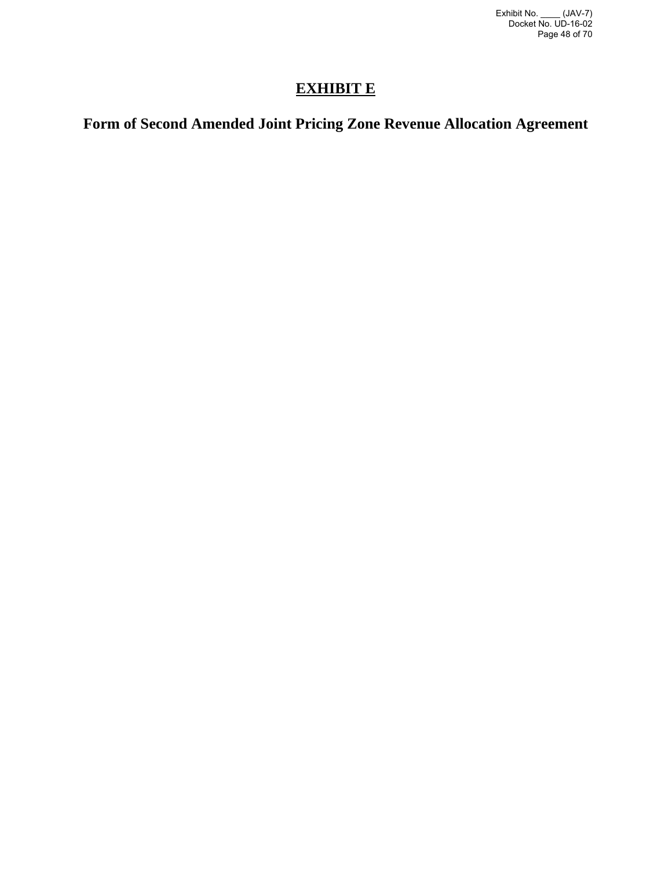# **EXHIBIT E**

# **Form of Second Amended Joint Pricing Zone Revenue Allocation Agreement**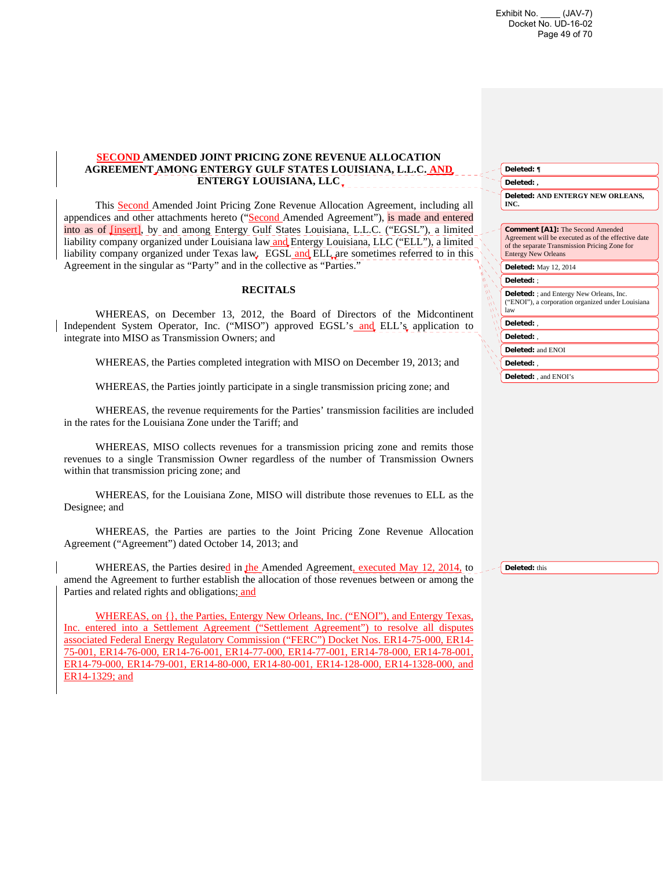Exhibit No. \_\_\_\_ (JAV-7) Docket No. UD-16-02 Page 49 of 70

**Deleted: ¶**

### **SECOND AMENDED JOINT PRICING ZONE REVENUE ALLOCATION AGREEMENT AMONG ENTERGY GULF STATES LOUISIANA, L.L.C. AND ENTERGY LOUISIANA, LLC**

This Second Amended Joint Pricing Zone Revenue Allocation Agreement, including all appendices and other attachments hereto ("Second Amended Agreement"), is made and entered into as of [insert], by and among Entergy Gulf States Louisiana, L.L.C. ("EGSL"), a limited liability company organized under Louisiana law and Entergy Louisiana, LLC ("ELL"), a limited liability company organized under Texas law. EGSL and ELL are sometimes referred to in this Agreement in the singular as "Party" and in the collective as "Parties."

#### **RECITALS**

WHEREAS, on December 13, 2012, the Board of Directors of the Midcontinent Independent System Operator, Inc. ("MISO") approved EGSL's and ELL's application to integrate into MISO as Transmission Owners; and

WHEREAS, the Parties completed integration with MISO on December 19, 2013; and

WHEREAS, the Parties jointly participate in a single transmission pricing zone; and

WHEREAS, the revenue requirements for the Parties' transmission facilities are included in the rates for the Louisiana Zone under the Tariff; and

WHEREAS, MISO collects revenues for a transmission pricing zone and remits those revenues to a single Transmission Owner regardless of the number of Transmission Owners within that transmission pricing zone; and

WHEREAS, for the Louisiana Zone, MISO will distribute those revenues to ELL as the Designee; and

WHEREAS, the Parties are parties to the Joint Pricing Zone Revenue Allocation Agreement ("Agreement") dated October 14, 2013; and

WHEREAS, the Parties desired in the Amended Agreement, executed May 12, 2014, to amend the Agreement to further establish the allocation of those revenues between or among the Parties and related rights and obligations; and

WHEREAS, on {}, the Parties, Entergy New Orleans, Inc. ("ENOI"), and Entergy Texas, Inc. entered into a Settlement Agreement ("Settlement Agreement") to resolve all disputes associated Federal Energy Regulatory Commission ("FERC") Docket Nos. ER14-75-000, ER14- 75-001, ER14-76-000, ER14-76-001, ER14-77-000, ER14-77-001, ER14-78-000, ER14-78-001, ER14-79-000, ER14-79-001, ER14-80-000, ER14-80-001, ER14-128-000, ER14-1328-000, and ER14-1329; and

| Deleted:,                                                                                                                                                                     |
|-------------------------------------------------------------------------------------------------------------------------------------------------------------------------------|
| Deleted: AND ENTERGY NEW ORLEANS,<br>INC.                                                                                                                                     |
|                                                                                                                                                                               |
| <b>Comment [A1]:</b> The Second Amended<br>Agreement will be executed as of the effective date<br>of the separate Transmission Pricing Zone for<br><b>Entergy New Orleans</b> |
| <b>Deleted:</b> May 12, 2014                                                                                                                                                  |
| Deleted: :                                                                                                                                                                    |
| <b>Deleted:</b> ; and Entergy New Orleans, Inc.<br>("ENOI"), a corporation organized under Louisiana<br>law                                                                   |
| Deleted: .                                                                                                                                                                    |
| Deleted: .                                                                                                                                                                    |
| Deleted: and ENOI                                                                                                                                                             |
| Deleted: .                                                                                                                                                                    |
| <b>Deleted:</b> , and ENOI's                                                                                                                                                  |

**Deleted:** this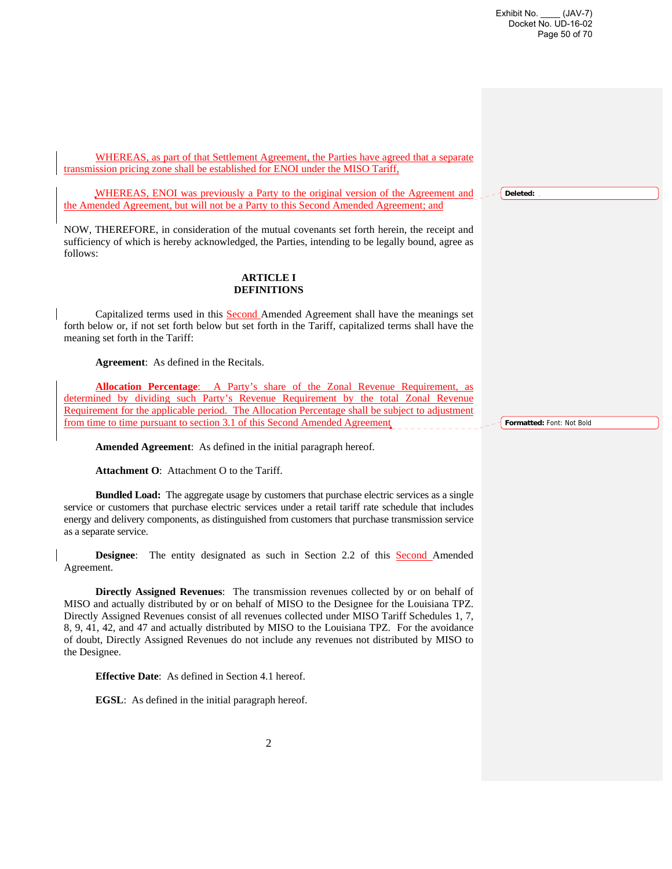**Deleted:** 

WHEREAS, as part of that Settlement Agreement, the Parties have agreed that a separate transmission pricing zone shall be established for ENOI under the MISO Tariff,

WHEREAS, ENOI was previously a Party to the original version of the Agreement and the Amended Agreement, but will not be a Party to this Second Amended Agreement; and

NOW, THEREFORE, in consideration of the mutual covenants set forth herein, the receipt and sufficiency of which is hereby acknowledged, the Parties, intending to be legally bound, agree as follows:

#### **ARTICLE I DEFINITIONS**

Capitalized terms used in this Second Amended Agreement shall have the meanings set forth below or, if not set forth below but set forth in the Tariff, capitalized terms shall have the meaning set forth in the Tariff:

**Agreement**: As defined in the Recitals.

**Allocation Percentage**: A Party's share of the Zonal Revenue Requirement, as determined by dividing such Party's Revenue Requirement by the total Zonal Revenue Requirement for the applicable period. The Allocation Percentage shall be subject to adjustment from time to time pursuant to section 3.1 of this Second Amended Agreement

**Amended Agreement**: As defined in the initial paragraph hereof.

**Attachment O**: Attachment O to the Tariff.

**Bundled Load:** The aggregate usage by customers that purchase electric services as a single service or customers that purchase electric services under a retail tariff rate schedule that includes energy and delivery components, as distinguished from customers that purchase transmission service as a separate service.

**Designee**: The entity designated as such in Section 2.2 of this Second Amended Agreement.

 **Directly Assigned Revenues**: The transmission revenues collected by or on behalf of MISO and actually distributed by or on behalf of MISO to the Designee for the Louisiana TPZ. Directly Assigned Revenues consist of all revenues collected under MISO Tariff Schedules 1, 7, 8, 9, 41, 42, and 47 and actually distributed by MISO to the Louisiana TPZ. For the avoidance of doubt, Directly Assigned Revenues do not include any revenues not distributed by MISO to the Designee.

**Effective Date**: As defined in Section 4.1 hereof.

**EGSL**: As defined in the initial paragraph hereof.

**Formatted:** Font: Not Bold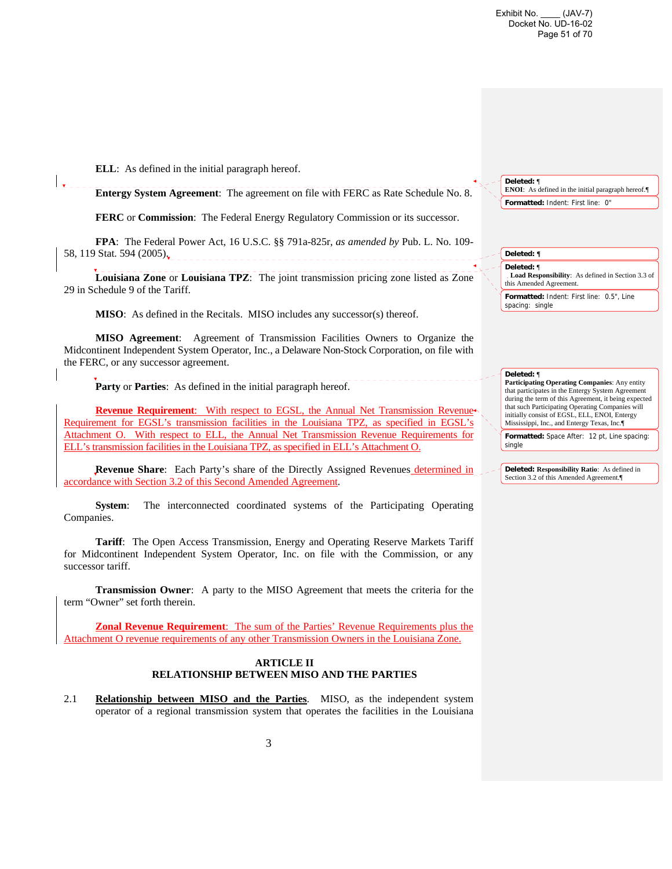**ELL**: As defined in the initial paragraph hereof.

**Entergy System Agreement**: The agreement on file with FERC as Rate Schedule No. 8.

**FERC** or **Commission**: The Federal Energy Regulatory Commission or its successor.

**FPA**: The Federal Power Act, 16 U.S.C. §§ 791a-825r, *as amended by* Pub. L. No. 109- 58, 119 Stat. 594 (2005).

**Louisiana Zone** or **Louisiana TPZ**: The joint transmission pricing zone listed as Zone 29 in Schedule 9 of the Tariff.

**MISO**: As defined in the Recitals. MISO includes any successor(s) thereof.

**MISO Agreement**: Agreement of Transmission Facilities Owners to Organize the Midcontinent Independent System Operator, Inc., a Delaware Non-Stock Corporation, on file with the FERC, or any successor agreement.

**Party** or **Parties**: As defined in the initial paragraph hereof.

**Revenue Requirement**: With respect to EGSL, the Annual Net Transmission Revenue Requirement for EGSL's transmission facilities in the Louisiana TPZ, as specified in EGSL's Attachment O. With respect to ELL, the Annual Net Transmission Revenue Requirements for ELL's transmission facilities in the Louisiana TPZ, as specified in ELL's Attachment O.

**Revenue Share**: Each Party's share of the Directly Assigned Revenues determined in accordance with Section 3.2 of this Second Amended Agreement.

**System**: The interconnected coordinated systems of the Participating Operating Companies.

**Tariff**: The Open Access Transmission, Energy and Operating Reserve Markets Tariff for Midcontinent Independent System Operator, Inc. on file with the Commission, or any successor tariff.

**Transmission Owner**: A party to the MISO Agreement that meets the criteria for the term "Owner" set forth therein.

**Zonal Revenue Requirement**: The sum of the Parties' Revenue Requirements plus the Attachment O revenue requirements of any other Transmission Owners in the Louisiana Zone.

#### **ARTICLE II RELATIONSHIP BETWEEN MISO AND THE PARTIES**

2.1 **Relationship between MISO and the Parties**. MISO, as the independent system operator of a regional transmission system that operates the facilities in the Louisiana **Deleted:** ¶ **ENOI**: As defined in the initial paragraph hereof. **Formatted:** Indent: First line: 0"

**Deleted: ¶ Deleted:** ¶ **Load Responsibility**:As defined in Section 3.3 of this Amended Agreement. **Formatted:** Indent: First line: 0.5", Line spacing: single

**Deleted:** ¶

**Participating Operating Companies**: Any entity that participates in the Entergy System Agreement during the term of this Agreement, it being expected that such Participating Operating Companies will initially consist of EGSL, ELL, ENOI, Entergy Mississippi, Inc., and Entergy Texas, Inc.¶

**Formatted:** Space After: 12 pt, Line spacing: single

**Deleted: Responsibility Ratio**: As defined in Section 3.2 of this Amended Agreement.¶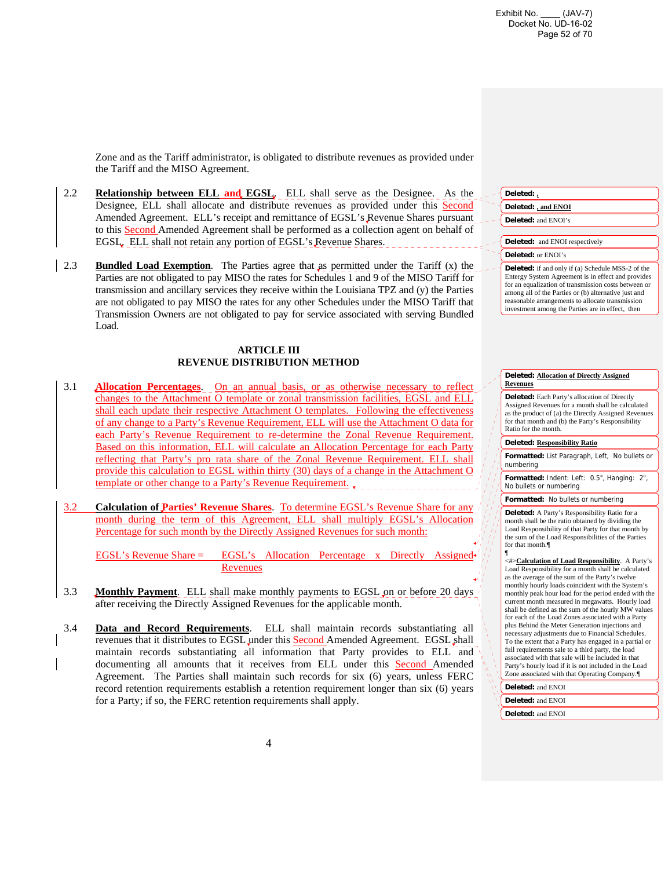Zone and as the Tariff administrator, is obligated to distribute revenues as provided under the Tariff and the MISO Agreement.

- 2.2 **Relationship between ELL and EGSL**. ELL shall serve as the Designee. As the Designee, ELL shall allocate and distribute revenues as provided under this Second Amended Agreement. ELL's receipt and remittance of EGSL's Revenue Shares pursuant to this Second Amended Agreement shall be performed as a collection agent on behalf of EGSL. ELL shall not retain any portion of EGSL's Revenue Shares.
- 2.3 **Bundled Load Exemption**. The Parties agree that as permitted under the Tariff (x) the Parties are not obligated to pay MISO the rates for Schedules 1 and 9 of the MISO Tariff for transmission and ancillary services they receive within the Louisiana TPZ and (y) the Parties are not obligated to pay MISO the rates for any other Schedules under the MISO Tariff that Transmission Owners are not obligated to pay for service associated with serving Bundled Load.

#### **ARTICLE III REVENUE DISTRIBUTION METHOD**

- 3.1 **Allocation Percentages**. On an annual basis, or as otherwise necessary to reflect changes to the Attachment O template or zonal transmission facilities, EGSL and ELL shall each update their respective Attachment O templates. Following the effectiveness of any change to a Party's Revenue Requirement, ELL will use the Attachment O data for each Party's Revenue Requirement to re-determine the Zonal Revenue Requirement. Based on this information, ELL will calculate an Allocation Percentage for each Party reflecting that Party's pro rata share of the Zonal Revenue Requirement. ELL shall provide this calculation to EGSL within thirty (30) days of a change in the Attachment O template or other change to a Party's Revenue Requirement.
- 3.2 **Calculation of Parties' Revenue Shares**. To determine EGSL's Revenue Share for any month during the term of this Agreement, ELL shall multiply EGSL's Allocation Percentage for such month by the Directly Assigned Revenues for such month:

EGSL's Revenue Share = EGSL's Allocation Percentage x Directly Assigned Revenues

- 3.3 **Monthly Payment**. ELL shall make monthly payments to EGSL on or before 20 days after receiving the Directly Assigned Revenues for the applicable month.
- 3.4 **Data and Record Requirements**. ELL shall maintain records substantiating all revenues that it distributes to EGSL under this Second Amended Agreement. EGSL shall maintain records substantiating all information that Party provides to ELL and documenting all amounts that it receives from ELL under this **Second** Amended Agreement. The Parties shall maintain such records for six (6) years, unless FERC record retention requirements establish a retention requirement longer than six (6) years for a Party; if so, the FERC retention requirements shall apply.

#### **Deleted: Allocation of Directly Assigned Revenues**

**Deleted:** Each Party's allocation of Directly Assigned Revenues for a month shall be calculated as the product of (a) the Directly Assigned Revenues for that month and (b) the Party's Responsibility Ratio for the month.

#### **Deleted: Responsibility Ratio**

**Formatted:** List Paragraph, Left, No bullets or numbering

**Formatted:** Indent: Left: 0.5", Hanging: 2", No bullets or numbering

#### **Formatted:** No bullets or numbering

**Deleted:** A Party's Responsibility Ratio for a month shall be the ratio obtained by dividing the Load Responsibility of that Party for that month by the sum of the Load Responsibilities of the Parties for that month.¶

<#>**Calculation of Load Responsibility**. A Party's Load Responsibility for a month shall be calculated as the average of the sum of the Party's twelve monthly hourly loads coincident with the System's monthly peak hour load for the period ended with the current month measured in megawatts. Hourly load shall be defined as the sum of the hourly MW values for each of the Load Zones associated with a Party plus Behind the Meter Generation injections and necessary adjustments due to Financial Schedules. To the extent that a Party has engaged in a partial or full requirements sale to a third party, the load associated with that sale will be included in that Party's hourly load if it is not included in the Load Zone associated with that Operating Company.¶

### **Deleted:** and ENOI **Deleted:** and ENOI

**Deleted:** and ENOI

¶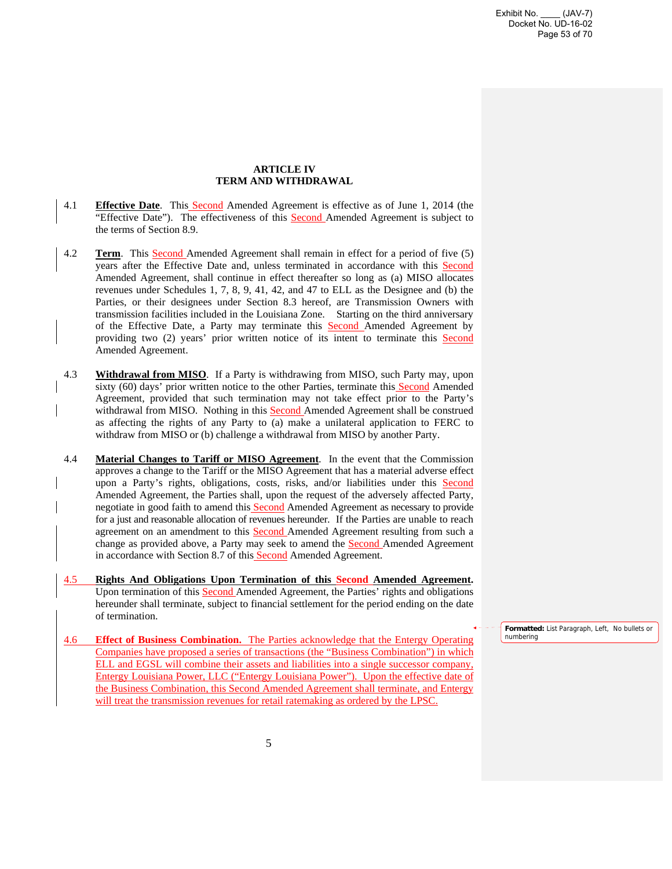### **ARTICLE IV TERM AND WITHDRAWAL**

- 4.1 **Effective Date**. This Second Amended Agreement is effective as of June 1, 2014 (the "Effective Date"). The effectiveness of this **Second** Amended Agreement is subject to the terms of Section 8.9.
- 4.2 **Term**. This Second Amended Agreement shall remain in effect for a period of five (5) years after the Effective Date and, unless terminated in accordance with this Second Amended Agreement, shall continue in effect thereafter so long as (a) MISO allocates revenues under Schedules 1, 7, 8, 9, 41, 42, and 47 to ELL as the Designee and (b) the Parties, or their designees under Section 8.3 hereof, are Transmission Owners with transmission facilities included in the Louisiana Zone. Starting on the third anniversary of the Effective Date, a Party may terminate this **Second** Amended Agreement by providing two (2) years' prior written notice of its intent to terminate this Second Amended Agreement.
- 4.3 **Withdrawal from MISO**. If a Party is withdrawing from MISO, such Party may, upon sixty (60) days' prior written notice to the other Parties, terminate this Second Amended Agreement, provided that such termination may not take effect prior to the Party's withdrawal from MISO. Nothing in this Second Amended Agreement shall be construed as affecting the rights of any Party to (a) make a unilateral application to FERC to withdraw from MISO or (b) challenge a withdrawal from MISO by another Party.
- 4.4 **Material Changes to Tariff or MISO Agreement**. In the event that the Commission approves a change to the Tariff or the MISO Agreement that has a material adverse effect upon a Party's rights, obligations, costs, risks, and/or liabilities under this Second Amended Agreement, the Parties shall, upon the request of the adversely affected Party, negotiate in good faith to amend this **Second** Amended Agreement as necessary to provide for a just and reasonable allocation of revenues hereunder. If the Parties are unable to reach agreement on an amendment to this **Second** Amended Agreement resulting from such a change as provided above, a Party may seek to amend the **Second** Amended Agreement in accordance with Section 8.7 of this Second Amended Agreement.
- 4.5 **Rights And Obligations Upon Termination of this Second Amended Agreement.** Upon termination of this **Second** Amended Agreement, the Parties' rights and obligations hereunder shall terminate, subject to financial settlement for the period ending on the date of termination.
- 4.6 **Effect of Business Combination.** The Parties acknowledge that the Entergy Operating Companies have proposed a series of transactions (the "Business Combination") in which ELL and EGSL will combine their assets and liabilities into a single successor company, Entergy Louisiana Power, LLC ("Entergy Louisiana Power"). Upon the effective date of the Business Combination, this Second Amended Agreement shall terminate, and Entergy will treat the transmission revenues for retail ratemaking as ordered by the LPSC.

**Formatted:** List Paragraph, Left, No bullets or numbering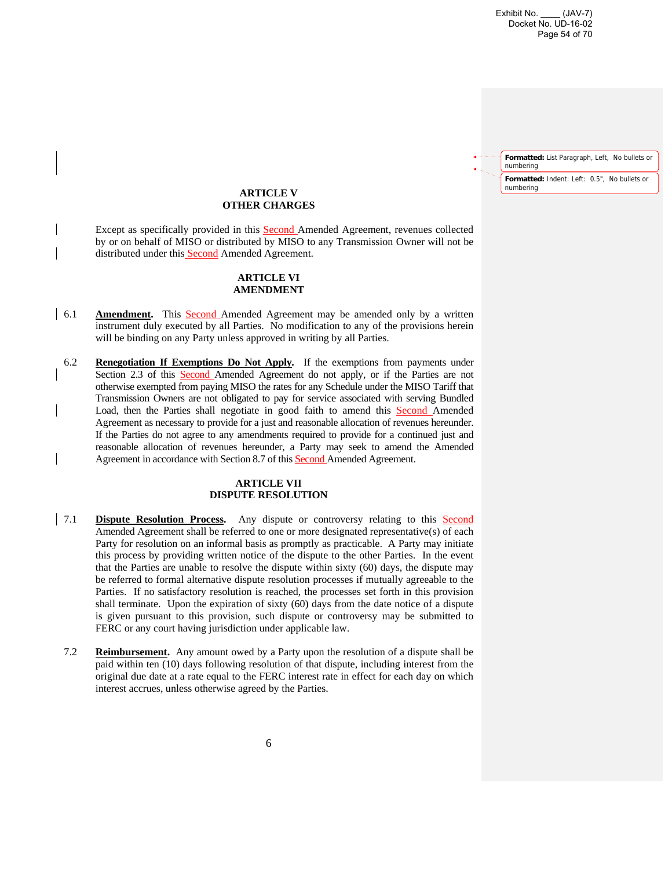Exhibit No. \_\_\_\_ (JAV-7) Docket No. UD-16-02 Page 54 of 70

**Formatted:** List Paragraph, Left, No bullets or numbering **Formatted:** Indent: Left: 0.5", No bullets or numbering

### **ARTICLE V OTHER CHARGES**

 Except as specifically provided in this Second Amended Agreement, revenues collected by or on behalf of MISO or distributed by MISO to any Transmission Owner will not be distributed under this Second Amended Agreement.

#### **ARTICLE VI AMENDMENT**

- 6.1 **Amendment.** This **Second** Amended Agreement may be amended only by a written instrument duly executed by all Parties. No modification to any of the provisions herein will be binding on any Party unless approved in writing by all Parties.
- 6.2 **Renegotiation If Exemptions Do Not Apply.** If the exemptions from payments under Section 2.3 of this Second Amended Agreement do not apply, or if the Parties are not otherwise exempted from paying MISO the rates for any Schedule under the MISO Tariff that Transmission Owners are not obligated to pay for service associated with serving Bundled Load, then the Parties shall negotiate in good faith to amend this Second Amended Agreement as necessary to provide for a just and reasonable allocation of revenues hereunder. If the Parties do not agree to any amendments required to provide for a continued just and reasonable allocation of revenues hereunder, a Party may seek to amend the Amended Agreement in accordance with Section 8.7 of this Second Amended Agreement.

#### **ARTICLE VII DISPUTE RESOLUTION**

- 7.1 **Dispute Resolution Process.** Any dispute or controversy relating to this Second Amended Agreement shall be referred to one or more designated representative(s) of each Party for resolution on an informal basis as promptly as practicable. A Party may initiate this process by providing written notice of the dispute to the other Parties. In the event that the Parties are unable to resolve the dispute within sixty (60) days, the dispute may be referred to formal alternative dispute resolution processes if mutually agreeable to the Parties. If no satisfactory resolution is reached, the processes set forth in this provision shall terminate. Upon the expiration of sixty (60) days from the date notice of a dispute is given pursuant to this provision, such dispute or controversy may be submitted to FERC or any court having jurisdiction under applicable law.
	- 7.2 **Reimbursement.** Any amount owed by a Party upon the resolution of a dispute shall be paid within ten (10) days following resolution of that dispute, including interest from the original due date at a rate equal to the FERC interest rate in effect for each day on which interest accrues, unless otherwise agreed by the Parties.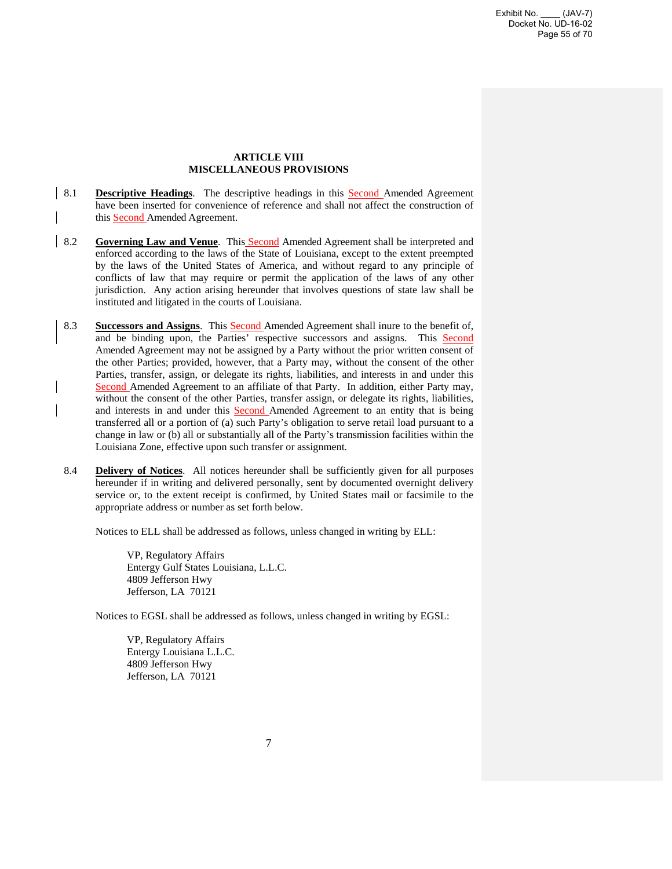#### **ARTICLE VIII MISCELLANEOUS PROVISIONS**

- 8.1 **Descriptive Headings**. The descriptive headings in this Second Amended Agreement have been inserted for convenience of reference and shall not affect the construction of this Second Amended Agreement.
- 8.2 **Governing Law and Venue**. This Second Amended Agreement shall be interpreted and enforced according to the laws of the State of Louisiana, except to the extent preempted by the laws of the United States of America, and without regard to any principle of conflicts of law that may require or permit the application of the laws of any other jurisdiction. Any action arising hereunder that involves questions of state law shall be instituted and litigated in the courts of Louisiana.
	- 8.3 **Successors and Assigns**. This Second Amended Agreement shall inure to the benefit of, and be binding upon, the Parties' respective successors and assigns. This Second Amended Agreement may not be assigned by a Party without the prior written consent of the other Parties; provided, however, that a Party may, without the consent of the other Parties, transfer, assign, or delegate its rights, liabilities, and interests in and under this Second Amended Agreement to an affiliate of that Party. In addition, either Party may, without the consent of the other Parties, transfer assign, or delegate its rights, liabilities, and interests in and under this Second Amended Agreement to an entity that is being transferred all or a portion of (a) such Party's obligation to serve retail load pursuant to a change in law or (b) all or substantially all of the Party's transmission facilities within the Louisiana Zone, effective upon such transfer or assignment.
	- 8.4 **Delivery of Notices**. All notices hereunder shall be sufficiently given for all purposes hereunder if in writing and delivered personally, sent by documented overnight delivery service or, to the extent receipt is confirmed, by United States mail or facsimile to the appropriate address or number as set forth below.

Notices to ELL shall be addressed as follows, unless changed in writing by ELL:

VP, Regulatory Affairs Entergy Gulf States Louisiana, L.L.C. 4809 Jefferson Hwy Jefferson, LA 70121

Notices to EGSL shall be addressed as follows, unless changed in writing by EGSL:

VP, Regulatory Affairs Entergy Louisiana L.L.C. 4809 Jefferson Hwy Jefferson, LA 70121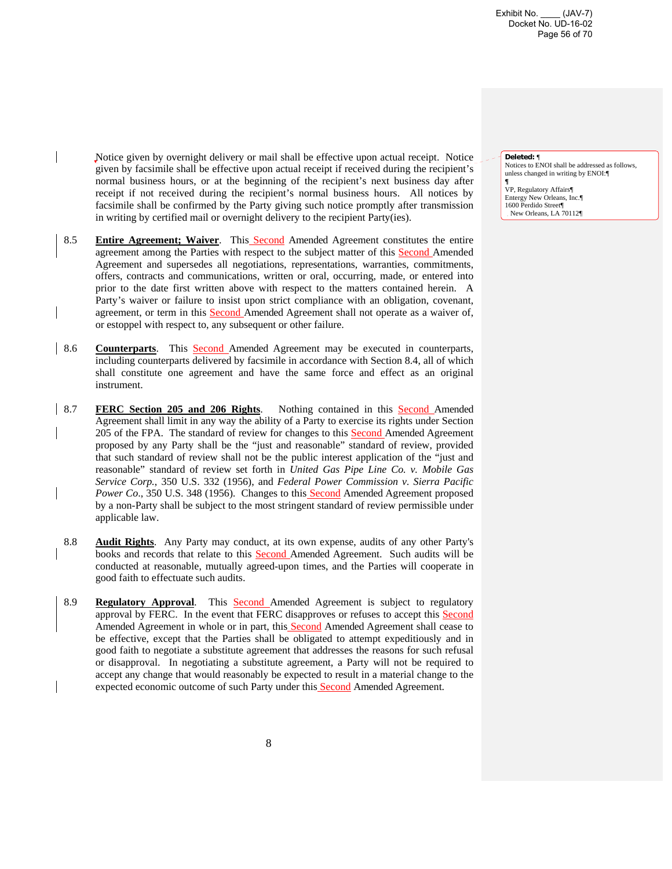Exhibit No. \_\_\_\_ (JAV-7) Docket No. UD-16-02 Page 56 of 70

Notice given by overnight delivery or mail shall be effective upon actual receipt. Notice given by facsimile shall be effective upon actual receipt if received during the recipient's normal business hours, or at the beginning of the recipient's next business day after receipt if not received during the recipient's normal business hours. All notices by facsimile shall be confirmed by the Party giving such notice promptly after transmission in writing by certified mail or overnight delivery to the recipient Party(ies).

- 8.5 **Entire Agreement; Waiver**. This Second Amended Agreement constitutes the entire agreement among the Parties with respect to the subject matter of this Second Amended Agreement and supersedes all negotiations, representations, warranties, commitments, offers, contracts and communications, written or oral, occurring, made, or entered into prior to the date first written above with respect to the matters contained herein. A Party's waiver or failure to insist upon strict compliance with an obligation, covenant, agreement, or term in this Second Amended Agreement shall not operate as a waiver of, or estoppel with respect to, any subsequent or other failure.
- 8.6 **Counterparts**. This Second Amended Agreement may be executed in counterparts, including counterparts delivered by facsimile in accordance with Section 8.4, all of which shall constitute one agreement and have the same force and effect as an original instrument.
- 8.7 **FERC Section 205 and 206 Rights**. Nothing contained in this Second Amended Agreement shall limit in any way the ability of a Party to exercise its rights under Section 205 of the FPA. The standard of review for changes to this **Second** Amended Agreement proposed by any Party shall be the "just and reasonable" standard of review, provided that such standard of review shall not be the public interest application of the "just and reasonable" standard of review set forth in *United Gas Pipe Line Co. v. Mobile Gas Service Corp.*, 350 U.S. 332 (1956), and *Federal Power Commission v. Sierra Pacific*  Power Co., 350 U.S. 348 (1956). Changes to this **Second** Amended Agreement proposed by a non-Party shall be subject to the most stringent standard of review permissible under applicable law.
- 8.8 **Audit Rights**. Any Party may conduct, at its own expense, audits of any other Party's books and records that relate to this **Second** Amended Agreement. Such audits will be conducted at reasonable, mutually agreed-upon times, and the Parties will cooperate in good faith to effectuate such audits.
- 8.9 **Regulatory Approval**. This Second Amended Agreement is subject to regulatory approval by FERC. In the event that FERC disapproves or refuses to accept this Second Amended Agreement in whole or in part, this **Second** Amended Agreement shall cease to be effective, except that the Parties shall be obligated to attempt expeditiously and in good faith to negotiate a substitute agreement that addresses the reasons for such refusal or disapproval. In negotiating a substitute agreement, a Party will not be required to accept any change that would reasonably be expected to result in a material change to the expected economic outcome of such Party under this **Second** Amended Agreement.

#### **Deleted:** ¶

Notices to ENOI shall be addressed as follows, unless changed in writing by ENOI:¶

**¶** VP, Regulatory Affairs¶ Entergy New Orleans, Inc.¶ 1600 Perdido Street¶ New Orleans, LA 70112¶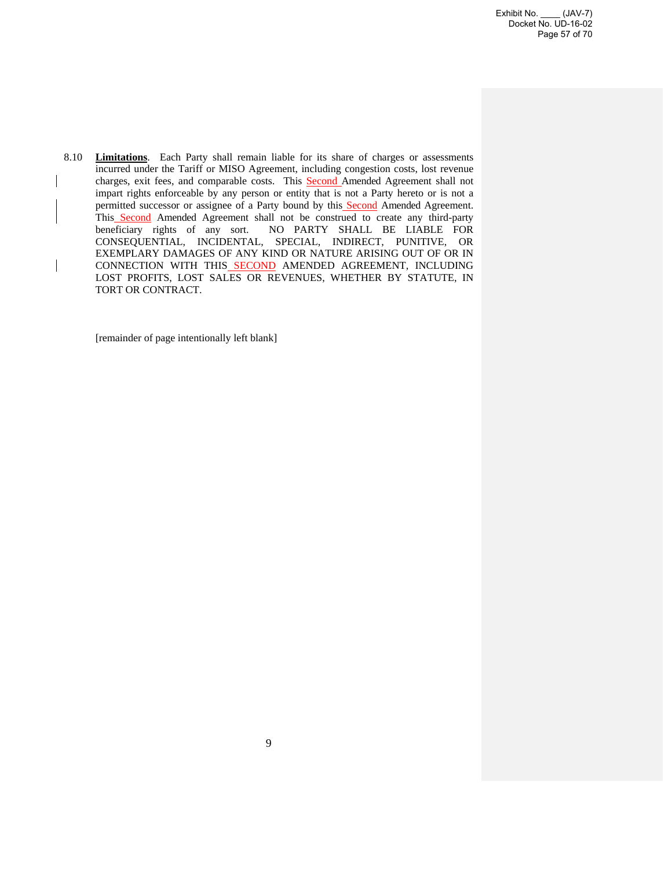8.10 **Limitations**. Each Party shall remain liable for its share of charges or assessments incurred under the Tariff or MISO Agreement, including congestion costs, lost revenue charges, exit fees, and comparable costs. This **Second** Amended Agreement shall not impart rights enforceable by any person or entity that is not a Party hereto or is not a permitted successor or assignee of a Party bound by this **Second** Amended Agreement. This Second Amended Agreement shall not be construed to create any third-party beneficiary rights of any sort. NO PARTY SHALL BE LIABLE FOR CONSEQUENTIAL, INCIDENTAL, SPECIAL, INDIRECT, PUNITIVE, OR EXEMPLARY DAMAGES OF ANY KIND OR NATURE ARISING OUT OF OR IN CONNECTION WITH THIS SECOND AMENDED AGREEMENT, INCLUDING LOST PROFITS, LOST SALES OR REVENUES, WHETHER BY STATUTE, IN TORT OR CONTRACT.

[remainder of page intentionally left blank]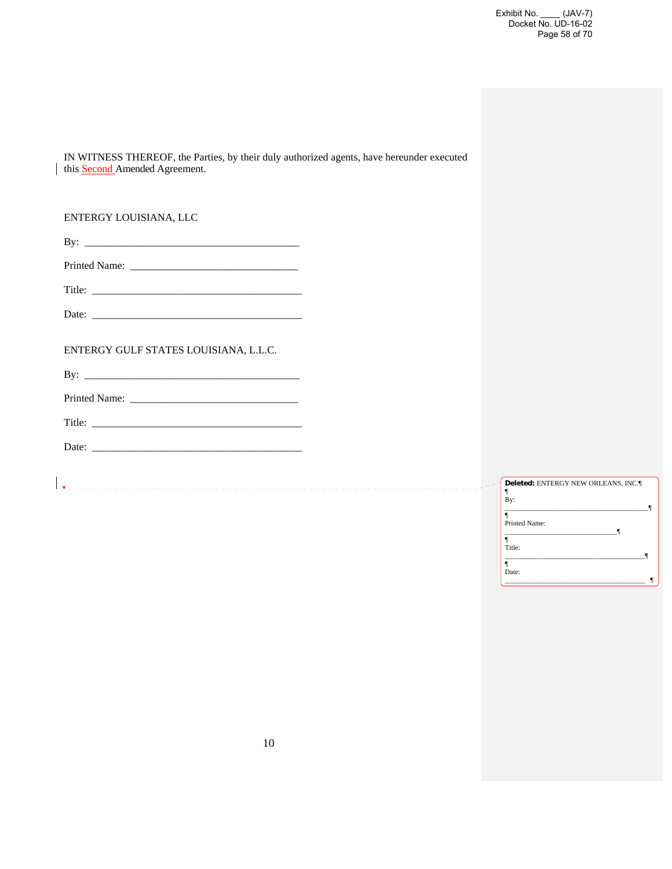Exhibit No. \_\_\_\_ (JAV-7) Docket No. UD-16-02 Page 58 of 70

IN WITNESS THEREOF, the Parties, by their duly authorized agents, have hereunder executed this Second Amended Agreement.

ENTERGY LOUISIANA, LLC

| D. |  |
|----|--|
|    |  |

| <b>Printed Name:</b> |  |
|----------------------|--|
|----------------------|--|

Title: \_\_\_\_\_\_\_\_\_\_\_\_\_\_\_\_\_\_\_\_\_\_\_\_\_\_\_\_\_\_\_\_\_\_\_\_\_\_\_\_

Date: \_\_\_\_\_\_\_\_\_\_\_\_\_\_\_\_\_\_\_\_\_\_\_\_\_\_\_\_\_\_\_\_\_\_\_\_\_\_\_\_

ENTERGY GULF STATES LOUISIANA, L.L.C.

By: \_\_\_\_\_\_\_\_\_\_\_\_\_\_\_\_\_\_\_\_\_\_\_\_\_\_\_\_\_\_\_\_\_\_\_\_\_\_\_\_\_

Printed Name: \_\_\_\_\_\_\_\_\_\_\_\_\_\_\_\_\_\_\_\_\_\_\_\_\_\_\_\_\_\_\_\_

Title: \_\_\_\_\_\_\_\_\_\_\_\_\_\_\_\_\_\_\_\_\_\_\_\_\_\_\_\_\_\_\_\_\_\_\_\_\_\_\_\_

Date: \_\_\_\_\_\_\_\_\_\_\_\_\_\_\_\_\_\_\_\_\_\_\_\_\_\_\_\_\_\_\_\_\_\_\_\_\_\_\_\_

| Deleted: ENTERGY NEW ORLEANS, INC. |  |
|------------------------------------|--|
| By:                                |  |
| Printed Name:                      |  |
|                                    |  |
| Title:                             |  |
| Date:                              |  |
|                                    |  |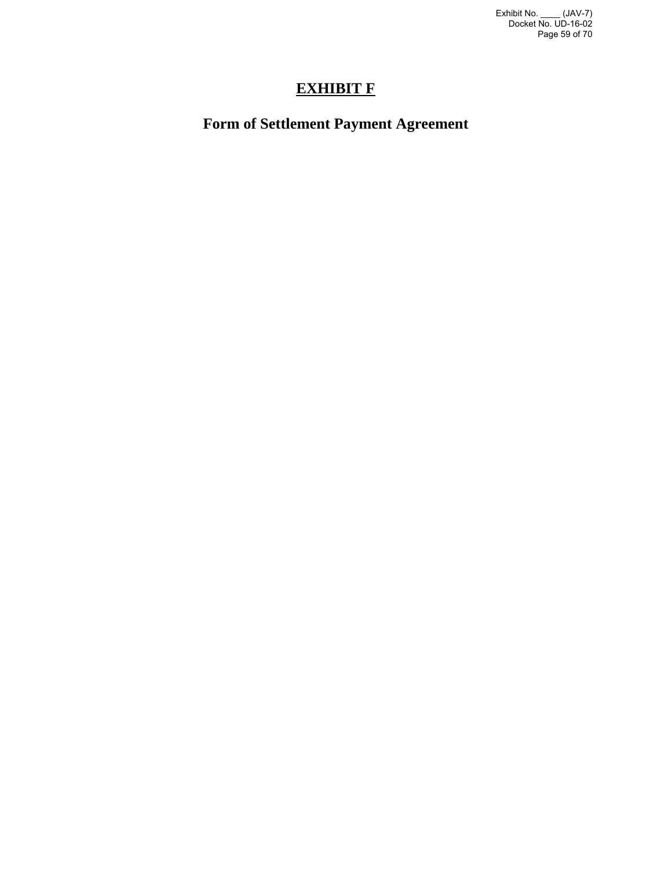Exhibit No. \_\_\_\_ (JAV-7) Docket No. UD-16-02 Page 59 of 70

# **EXHIBIT F**

# **Form of Settlement Payment Agreement**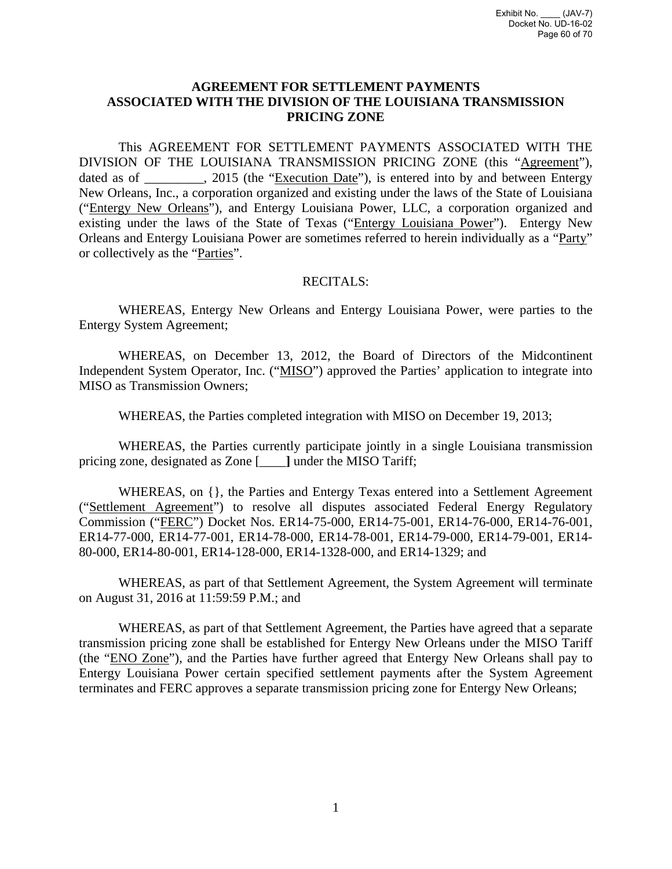## **AGREEMENT FOR SETTLEMENT PAYMENTS ASSOCIATED WITH THE DIVISION OF THE LOUISIANA TRANSMISSION PRICING ZONE**

This AGREEMENT FOR SETTLEMENT PAYMENTS ASSOCIATED WITH THE DIVISION OF THE LOUISIANA TRANSMISSION PRICING ZONE (this "Agreement"), dated as of \_\_\_\_\_\_\_, 2015 (the "Execution Date"), is entered into by and between Entergy New Orleans, Inc., a corporation organized and existing under the laws of the State of Louisiana ("Entergy New Orleans"), and Entergy Louisiana Power, LLC, a corporation organized and existing under the laws of the State of Texas ("Entergy Louisiana Power"). Entergy New Orleans and Entergy Louisiana Power are sometimes referred to herein individually as a "Party" or collectively as the "Parties".

### RECITALS:

WHEREAS, Entergy New Orleans and Entergy Louisiana Power, were parties to the Entergy System Agreement;

WHEREAS, on December 13, 2012, the Board of Directors of the Midcontinent Independent System Operator, Inc. ("MISO") approved the Parties' application to integrate into MISO as Transmission Owners;

WHEREAS, the Parties completed integration with MISO on December 19, 2013;

WHEREAS, the Parties currently participate jointly in a single Louisiana transmission pricing zone, designated as Zone [\_\_\_\_**]** under the MISO Tariff;

WHEREAS, on {}, the Parties and Entergy Texas entered into a Settlement Agreement ("Settlement Agreement") to resolve all disputes associated Federal Energy Regulatory Commission ("FERC") Docket Nos. ER14-75-000, ER14-75-001, ER14-76-000, ER14-76-001, ER14-77-000, ER14-77-001, ER14-78-000, ER14-78-001, ER14-79-000, ER14-79-001, ER14- 80-000, ER14-80-001, ER14-128-000, ER14-1328-000, and ER14-1329; and

WHEREAS, as part of that Settlement Agreement, the System Agreement will terminate on August 31, 2016 at 11:59:59 P.M.; and

WHEREAS, as part of that Settlement Agreement, the Parties have agreed that a separate transmission pricing zone shall be established for Entergy New Orleans under the MISO Tariff (the "ENO Zone"), and the Parties have further agreed that Entergy New Orleans shall pay to Entergy Louisiana Power certain specified settlement payments after the System Agreement terminates and FERC approves a separate transmission pricing zone for Entergy New Orleans;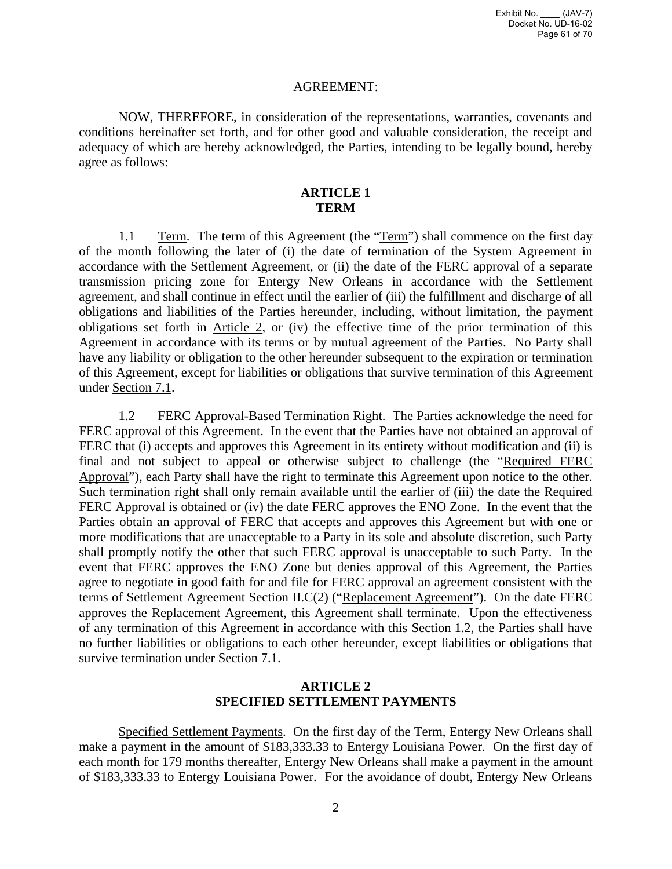### AGREEMENT:

NOW, THEREFORE, in consideration of the representations, warranties, covenants and conditions hereinafter set forth, and for other good and valuable consideration, the receipt and adequacy of which are hereby acknowledged, the Parties, intending to be legally bound, hereby agree as follows:

## **ARTICLE 1 TERM**

1.1 Term. The term of this Agreement (the "Term") shall commence on the first day of the month following the later of (i) the date of termination of the System Agreement in accordance with the Settlement Agreement, or (ii) the date of the FERC approval of a separate transmission pricing zone for Entergy New Orleans in accordance with the Settlement agreement, and shall continue in effect until the earlier of (iii) the fulfillment and discharge of all obligations and liabilities of the Parties hereunder, including, without limitation, the payment obligations set forth in Article 2, or (iv) the effective time of the prior termination of this Agreement in accordance with its terms or by mutual agreement of the Parties. No Party shall have any liability or obligation to the other hereunder subsequent to the expiration or termination of this Agreement, except for liabilities or obligations that survive termination of this Agreement under Section 7.1.

1.2 FERC Approval-Based Termination Right. The Parties acknowledge the need for FERC approval of this Agreement. In the event that the Parties have not obtained an approval of FERC that (i) accepts and approves this Agreement in its entirety without modification and (ii) is final and not subject to appeal or otherwise subject to challenge (the "Required FERC Approval"), each Party shall have the right to terminate this Agreement upon notice to the other. Such termination right shall only remain available until the earlier of (iii) the date the Required FERC Approval is obtained or (iv) the date FERC approves the ENO Zone. In the event that the Parties obtain an approval of FERC that accepts and approves this Agreement but with one or more modifications that are unacceptable to a Party in its sole and absolute discretion, such Party shall promptly notify the other that such FERC approval is unacceptable to such Party. In the event that FERC approves the ENO Zone but denies approval of this Agreement, the Parties agree to negotiate in good faith for and file for FERC approval an agreement consistent with the terms of Settlement Agreement Section II.C(2) ("Replacement Agreement"). On the date FERC approves the Replacement Agreement, this Agreement shall terminate. Upon the effectiveness of any termination of this Agreement in accordance with this Section 1.2, the Parties shall have no further liabilities or obligations to each other hereunder, except liabilities or obligations that survive termination under Section 7.1.

## **ARTICLE 2 SPECIFIED SETTLEMENT PAYMENTS**

Specified Settlement Payments. On the first day of the Term, Entergy New Orleans shall make a payment in the amount of \$183,333.33 to Entergy Louisiana Power. On the first day of each month for 179 months thereafter, Entergy New Orleans shall make a payment in the amount of \$183,333.33 to Entergy Louisiana Power. For the avoidance of doubt, Entergy New Orleans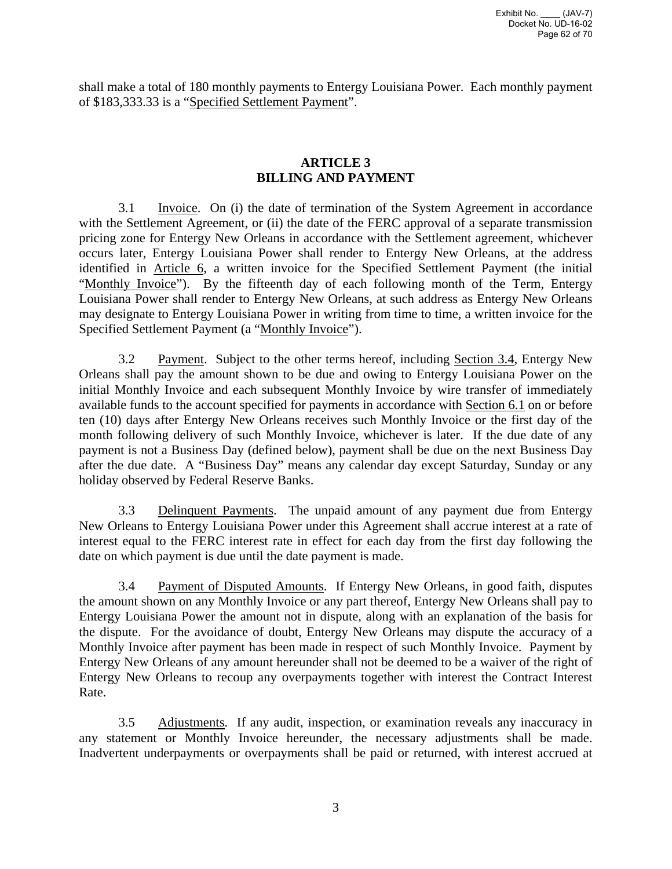shall make a total of 180 monthly payments to Entergy Louisiana Power. Each monthly payment of \$183,333.33 is a "Specified Settlement Payment".

## **ARTICLE 3 BILLING AND PAYMENT**

 3.1 Invoice. On (i) the date of termination of the System Agreement in accordance with the Settlement Agreement, or (ii) the date of the FERC approval of a separate transmission pricing zone for Entergy New Orleans in accordance with the Settlement agreement, whichever occurs later, Entergy Louisiana Power shall render to Entergy New Orleans, at the address identified in Article 6, a written invoice for the Specified Settlement Payment (the initial "Monthly Invoice"). By the fifteenth day of each following month of the Term, Entergy Louisiana Power shall render to Entergy New Orleans, at such address as Entergy New Orleans may designate to Entergy Louisiana Power in writing from time to time, a written invoice for the Specified Settlement Payment (a "Monthly Invoice").

3.2 Payment. Subject to the other terms hereof, including Section 3.4, Entergy New Orleans shall pay the amount shown to be due and owing to Entergy Louisiana Power on the initial Monthly Invoice and each subsequent Monthly Invoice by wire transfer of immediately available funds to the account specified for payments in accordance with Section 6.1 on or before ten (10) days after Entergy New Orleans receives such Monthly Invoice or the first day of the month following delivery of such Monthly Invoice, whichever is later. If the due date of any payment is not a Business Day (defined below), payment shall be due on the next Business Day after the due date. A "Business Day" means any calendar day except Saturday, Sunday or any holiday observed by Federal Reserve Banks.

 3.3 Delinquent Payments. The unpaid amount of any payment due from Entergy New Orleans to Entergy Louisiana Power under this Agreement shall accrue interest at a rate of interest equal to the FERC interest rate in effect for each day from the first day following the date on which payment is due until the date payment is made.

3.4 Payment of Disputed Amounts. If Entergy New Orleans, in good faith, disputes the amount shown on any Monthly Invoice or any part thereof, Entergy New Orleans shall pay to Entergy Louisiana Power the amount not in dispute, along with an explanation of the basis for the dispute. For the avoidance of doubt, Entergy New Orleans may dispute the accuracy of a Monthly Invoice after payment has been made in respect of such Monthly Invoice. Payment by Entergy New Orleans of any amount hereunder shall not be deemed to be a waiver of the right of Entergy New Orleans to recoup any overpayments together with interest the Contract Interest Rate.

 3.5 Adjustments. If any audit, inspection, or examination reveals any inaccuracy in any statement or Monthly Invoice hereunder, the necessary adjustments shall be made. Inadvertent underpayments or overpayments shall be paid or returned, with interest accrued at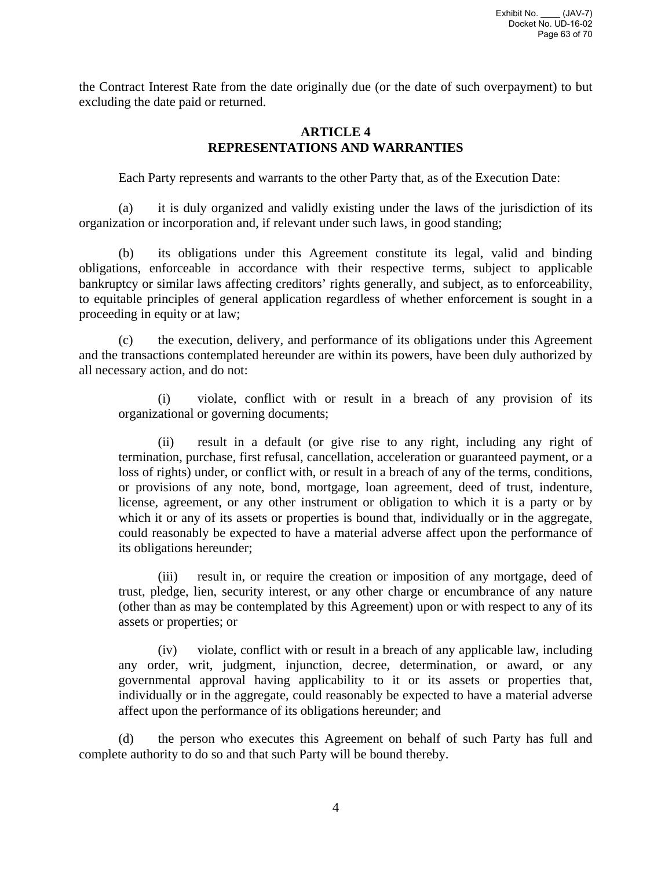the Contract Interest Rate from the date originally due (or the date of such overpayment) to but excluding the date paid or returned.

## **ARTICLE 4 REPRESENTATIONS AND WARRANTIES**

Each Party represents and warrants to the other Party that, as of the Execution Date:

(a) it is duly organized and validly existing under the laws of the jurisdiction of its organization or incorporation and, if relevant under such laws, in good standing;

(b) its obligations under this Agreement constitute its legal, valid and binding obligations, enforceable in accordance with their respective terms, subject to applicable bankruptcy or similar laws affecting creditors' rights generally, and subject, as to enforceability, to equitable principles of general application regardless of whether enforcement is sought in a proceeding in equity or at law;

(c) the execution, delivery, and performance of its obligations under this Agreement and the transactions contemplated hereunder are within its powers, have been duly authorized by all necessary action, and do not:

(i) violate, conflict with or result in a breach of any provision of its organizational or governing documents;

(ii) result in a default (or give rise to any right, including any right of termination, purchase, first refusal, cancellation, acceleration or guaranteed payment, or a loss of rights) under, or conflict with, or result in a breach of any of the terms, conditions, or provisions of any note, bond, mortgage, loan agreement, deed of trust, indenture, license, agreement, or any other instrument or obligation to which it is a party or by which it or any of its assets or properties is bound that, individually or in the aggregate, could reasonably be expected to have a material adverse affect upon the performance of its obligations hereunder;

(iii) result in, or require the creation or imposition of any mortgage, deed of trust, pledge, lien, security interest, or any other charge or encumbrance of any nature (other than as may be contemplated by this Agreement) upon or with respect to any of its assets or properties; or

(iv) violate, conflict with or result in a breach of any applicable law, including any order, writ, judgment, injunction, decree, determination, or award, or any governmental approval having applicability to it or its assets or properties that, individually or in the aggregate, could reasonably be expected to have a material adverse affect upon the performance of its obligations hereunder; and

(d) the person who executes this Agreement on behalf of such Party has full and complete authority to do so and that such Party will be bound thereby.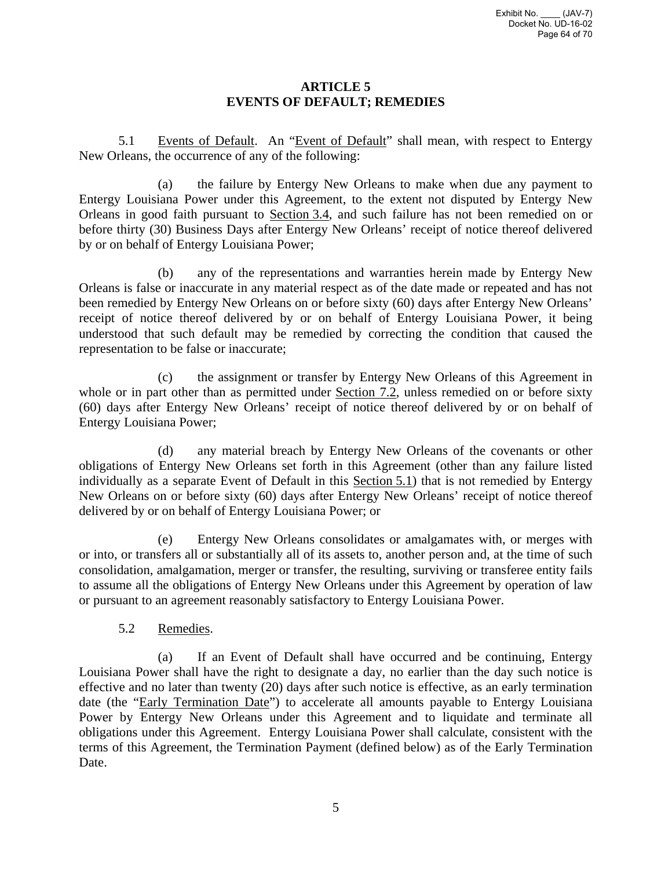## **ARTICLE 5 EVENTS OF DEFAULT; REMEDIES**

5.1 Events of Default. An "Event of Default" shall mean, with respect to Entergy New Orleans, the occurrence of any of the following:

(a) the failure by Entergy New Orleans to make when due any payment to Entergy Louisiana Power under this Agreement, to the extent not disputed by Entergy New Orleans in good faith pursuant to Section 3.4, and such failure has not been remedied on or before thirty (30) Business Days after Entergy New Orleans' receipt of notice thereof delivered by or on behalf of Entergy Louisiana Power;

(b) any of the representations and warranties herein made by Entergy New Orleans is false or inaccurate in any material respect as of the date made or repeated and has not been remedied by Entergy New Orleans on or before sixty (60) days after Entergy New Orleans' receipt of notice thereof delivered by or on behalf of Entergy Louisiana Power, it being understood that such default may be remedied by correcting the condition that caused the representation to be false or inaccurate;

(c) the assignment or transfer by Entergy New Orleans of this Agreement in whole or in part other than as permitted under Section 7.2, unless remedied on or before sixty (60) days after Entergy New Orleans' receipt of notice thereof delivered by or on behalf of Entergy Louisiana Power;

(d) any material breach by Entergy New Orleans of the covenants or other obligations of Entergy New Orleans set forth in this Agreement (other than any failure listed individually as a separate Event of Default in this Section 5.1) that is not remedied by Entergy New Orleans on or before sixty (60) days after Entergy New Orleans' receipt of notice thereof delivered by or on behalf of Entergy Louisiana Power; or

(e) Entergy New Orleans consolidates or amalgamates with, or merges with or into, or transfers all or substantially all of its assets to, another person and, at the time of such consolidation, amalgamation, merger or transfer, the resulting, surviving or transferee entity fails to assume all the obligations of Entergy New Orleans under this Agreement by operation of law or pursuant to an agreement reasonably satisfactory to Entergy Louisiana Power.

5.2 Remedies.

(a) If an Event of Default shall have occurred and be continuing, Entergy Louisiana Power shall have the right to designate a day, no earlier than the day such notice is effective and no later than twenty (20) days after such notice is effective, as an early termination date (the "Early Termination Date") to accelerate all amounts payable to Entergy Louisiana Power by Entergy New Orleans under this Agreement and to liquidate and terminate all obligations under this Agreement. Entergy Louisiana Power shall calculate, consistent with the terms of this Agreement, the Termination Payment (defined below) as of the Early Termination Date.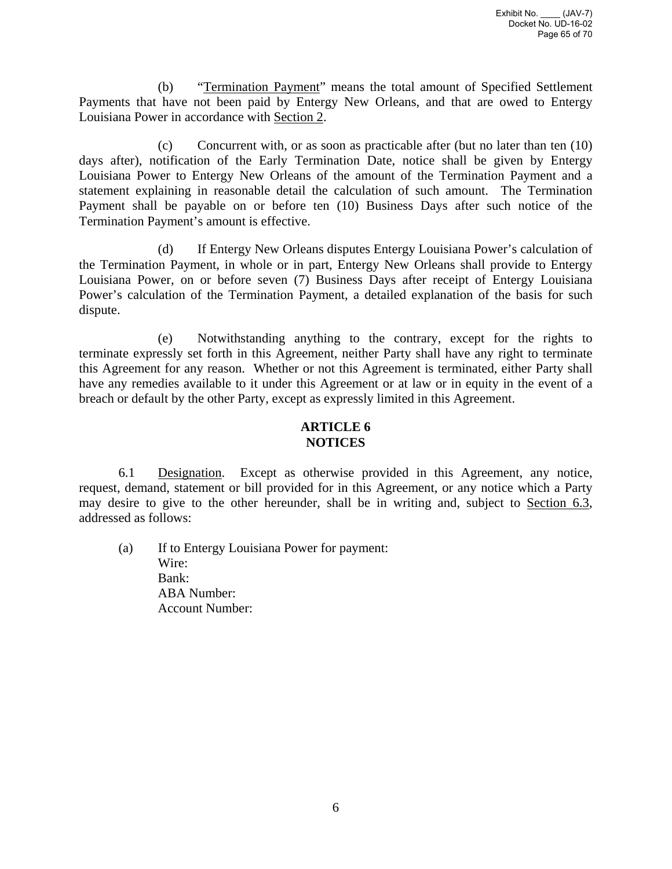(b) "Termination Payment" means the total amount of Specified Settlement Payments that have not been paid by Entergy New Orleans, and that are owed to Entergy Louisiana Power in accordance with Section 2.

(c) Concurrent with, or as soon as practicable after (but no later than ten (10) days after), notification of the Early Termination Date, notice shall be given by Entergy Louisiana Power to Entergy New Orleans of the amount of the Termination Payment and a statement explaining in reasonable detail the calculation of such amount. The Termination Payment shall be payable on or before ten (10) Business Days after such notice of the Termination Payment's amount is effective.

(d) If Entergy New Orleans disputes Entergy Louisiana Power's calculation of the Termination Payment, in whole or in part, Entergy New Orleans shall provide to Entergy Louisiana Power, on or before seven (7) Business Days after receipt of Entergy Louisiana Power's calculation of the Termination Payment, a detailed explanation of the basis for such dispute.

(e) Notwithstanding anything to the contrary, except for the rights to terminate expressly set forth in this Agreement, neither Party shall have any right to terminate this Agreement for any reason. Whether or not this Agreement is terminated, either Party shall have any remedies available to it under this Agreement or at law or in equity in the event of a breach or default by the other Party, except as expressly limited in this Agreement.

# **ARTICLE 6 NOTICES**

6.1 Designation. Except as otherwise provided in this Agreement, any notice, request, demand, statement or bill provided for in this Agreement, or any notice which a Party may desire to give to the other hereunder, shall be in writing and, subject to Section 6.3, addressed as follows:

(a) If to Entergy Louisiana Power for payment: Wire: Bank: ABA Number: Account Number: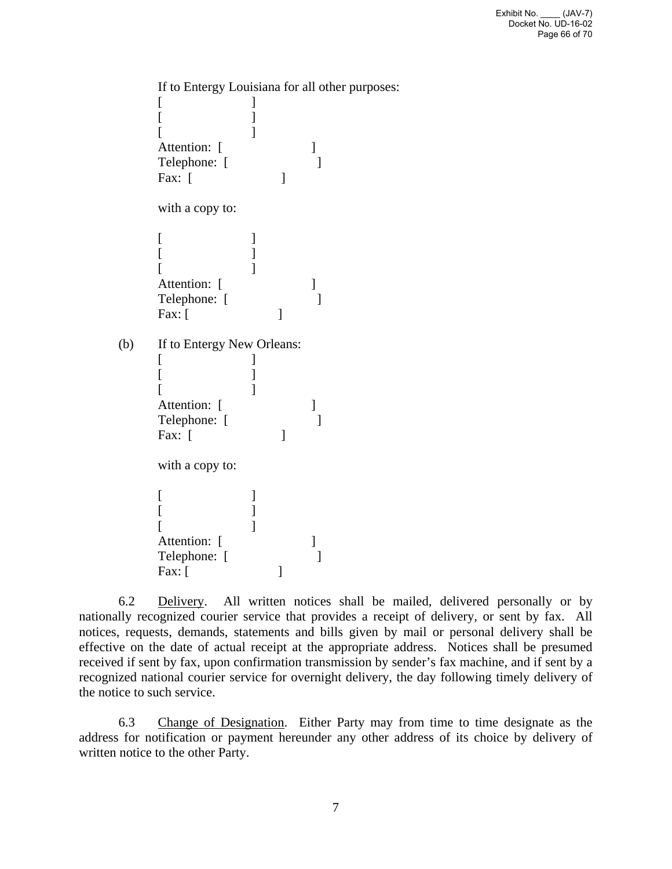If to Entergy Louisiana for all other purposes:  $[$   $]$  $[$   $]$  $[$   $]$ Attention: [ Telephone: [ ] Fax:  $\lceil$ with a copy to:  $[$   $]$  $[$   $]$  $[$   $]$ Attention: [ Telephone: [  $\lceil \cdot \cdot \cdot \rceil \rceil$ (b) If to Entergy New Orleans:  $[$   $]$  $[$   $]$  $[$   $]$ Attention: [ Telephone: [ ] Fax:  $\lceil$ with a copy to:  $[$   $]$  $[$   $]$  $[$   $]$ Attention: [ Telephone: [ Fax:  $\lceil$ 

6.2 Delivery. All written notices shall be mailed, delivered personally or by nationally recognized courier service that provides a receipt of delivery, or sent by fax. All notices, requests, demands, statements and bills given by mail or personal delivery shall be effective on the date of actual receipt at the appropriate address. Notices shall be presumed received if sent by fax, upon confirmation transmission by sender's fax machine, and if sent by a recognized national courier service for overnight delivery, the day following timely delivery of the notice to such service.

6.3 Change of Designation. Either Party may from time to time designate as the address for notification or payment hereunder any other address of its choice by delivery of written notice to the other Party.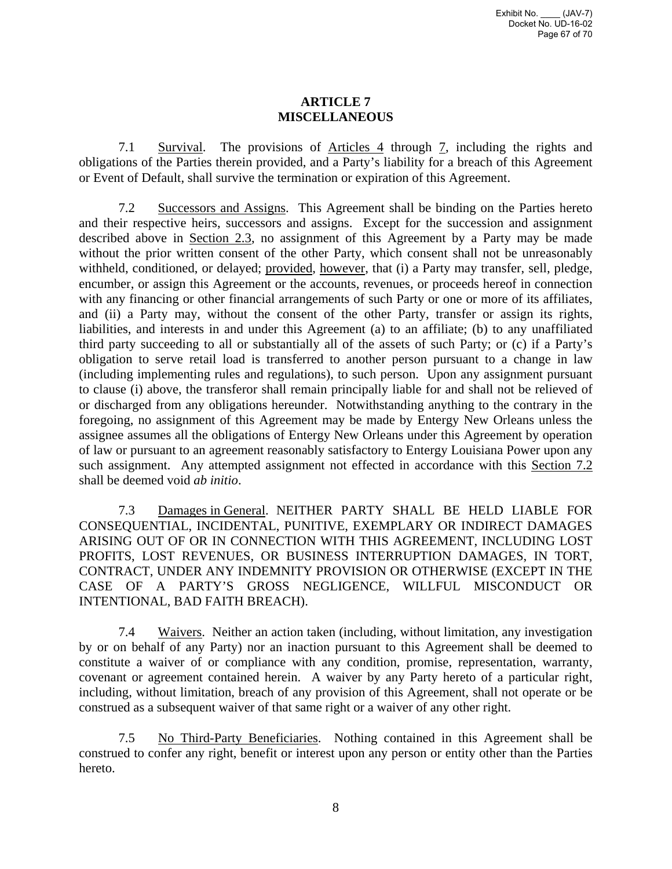# **ARTICLE 7 MISCELLANEOUS**

 7.1 Survival. The provisions of Articles 4 through 7, including the rights and obligations of the Parties therein provided, and a Party's liability for a breach of this Agreement or Event of Default, shall survive the termination or expiration of this Agreement.

7.2 Successors and Assigns. This Agreement shall be binding on the Parties hereto and their respective heirs, successors and assigns. Except for the succession and assignment described above in Section 2.3, no assignment of this Agreement by a Party may be made without the prior written consent of the other Party, which consent shall not be unreasonably withheld, conditioned, or delayed; provided, however, that (i) a Party may transfer, sell, pledge, encumber, or assign this Agreement or the accounts, revenues, or proceeds hereof in connection with any financing or other financial arrangements of such Party or one or more of its affiliates, and (ii) a Party may, without the consent of the other Party, transfer or assign its rights, liabilities, and interests in and under this Agreement (a) to an affiliate; (b) to any unaffiliated third party succeeding to all or substantially all of the assets of such Party; or (c) if a Party's obligation to serve retail load is transferred to another person pursuant to a change in law (including implementing rules and regulations), to such person. Upon any assignment pursuant to clause (i) above, the transferor shall remain principally liable for and shall not be relieved of or discharged from any obligations hereunder. Notwithstanding anything to the contrary in the foregoing, no assignment of this Agreement may be made by Entergy New Orleans unless the assignee assumes all the obligations of Entergy New Orleans under this Agreement by operation of law or pursuant to an agreement reasonably satisfactory to Entergy Louisiana Power upon any such assignment. Any attempted assignment not effected in accordance with this Section 7.2 shall be deemed void *ab initio*.

7.3 Damages in General. NEITHER PARTY SHALL BE HELD LIABLE FOR CONSEQUENTIAL, INCIDENTAL, PUNITIVE, EXEMPLARY OR INDIRECT DAMAGES ARISING OUT OF OR IN CONNECTION WITH THIS AGREEMENT, INCLUDING LOST PROFITS, LOST REVENUES, OR BUSINESS INTERRUPTION DAMAGES, IN TORT, CONTRACT, UNDER ANY INDEMNITY PROVISION OR OTHERWISE (EXCEPT IN THE CASE OF A PARTY'S GROSS NEGLIGENCE, WILLFUL MISCONDUCT OR INTENTIONAL, BAD FAITH BREACH).

7.4 Waivers. Neither an action taken (including, without limitation, any investigation by or on behalf of any Party) nor an inaction pursuant to this Agreement shall be deemed to constitute a waiver of or compliance with any condition, promise, representation, warranty, covenant or agreement contained herein. A waiver by any Party hereto of a particular right, including, without limitation, breach of any provision of this Agreement, shall not operate or be construed as a subsequent waiver of that same right or a waiver of any other right.

7.5 No Third-Party Beneficiaries. Nothing contained in this Agreement shall be construed to confer any right, benefit or interest upon any person or entity other than the Parties hereto.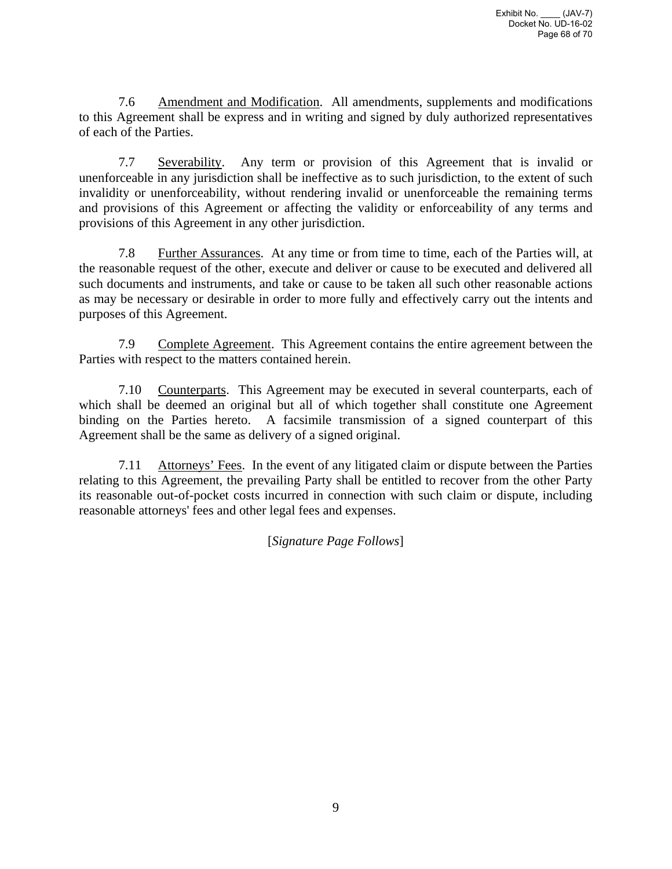7.6 Amendment and Modification. All amendments, supplements and modifications to this Agreement shall be express and in writing and signed by duly authorized representatives of each of the Parties.

 7.7 Severability. Any term or provision of this Agreement that is invalid or unenforceable in any jurisdiction shall be ineffective as to such jurisdiction, to the extent of such invalidity or unenforceability, without rendering invalid or unenforceable the remaining terms and provisions of this Agreement or affecting the validity or enforceability of any terms and provisions of this Agreement in any other jurisdiction.

7.8 Further Assurances. At any time or from time to time, each of the Parties will, at the reasonable request of the other, execute and deliver or cause to be executed and delivered all such documents and instruments, and take or cause to be taken all such other reasonable actions as may be necessary or desirable in order to more fully and effectively carry out the intents and purposes of this Agreement.

7.9 Complete Agreement. This Agreement contains the entire agreement between the Parties with respect to the matters contained herein.

7.10 Counterparts. This Agreement may be executed in several counterparts, each of which shall be deemed an original but all of which together shall constitute one Agreement binding on the Parties hereto. A facsimile transmission of a signed counterpart of this Agreement shall be the same as delivery of a signed original.

7.11 Attorneys' Fees. In the event of any litigated claim or dispute between the Parties relating to this Agreement, the prevailing Party shall be entitled to recover from the other Party its reasonable out-of-pocket costs incurred in connection with such claim or dispute, including reasonable attorneys' fees and other legal fees and expenses.

[*Signature Page Follows*]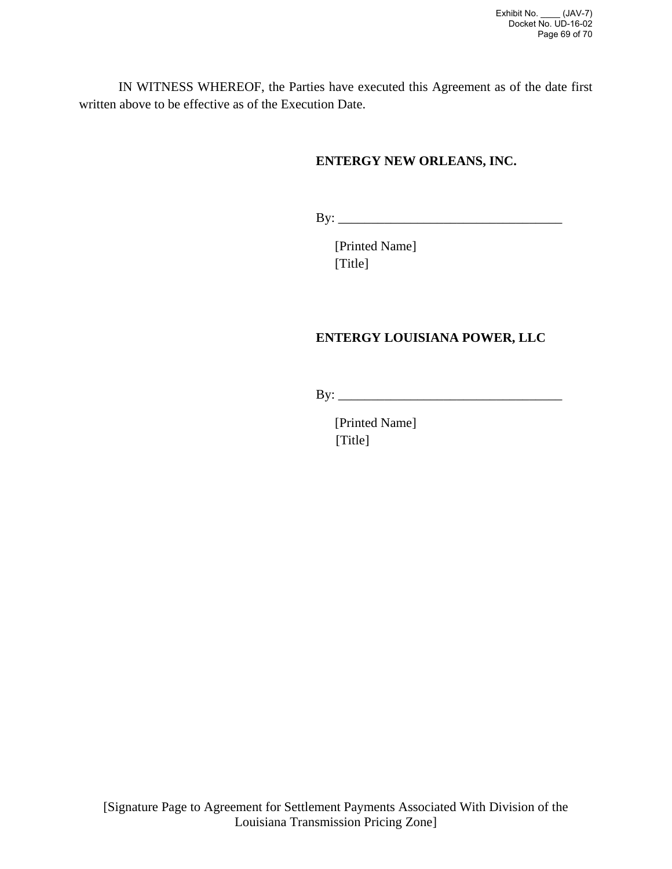IN WITNESS WHEREOF, the Parties have executed this Agreement as of the date first written above to be effective as of the Execution Date.

# **ENTERGY NEW ORLEANS, INC.**

By: \_\_\_\_\_\_\_\_\_\_\_\_\_\_\_\_\_\_\_\_\_\_\_\_\_\_\_\_\_\_\_\_\_\_

[Printed Name] [Title]

# **ENTERGY LOUISIANA POWER, LLC**

By: \_\_\_\_\_\_\_\_\_\_\_\_\_\_\_\_\_\_\_\_\_\_\_\_\_\_\_\_\_\_\_\_\_\_

[Printed Name] [Title]